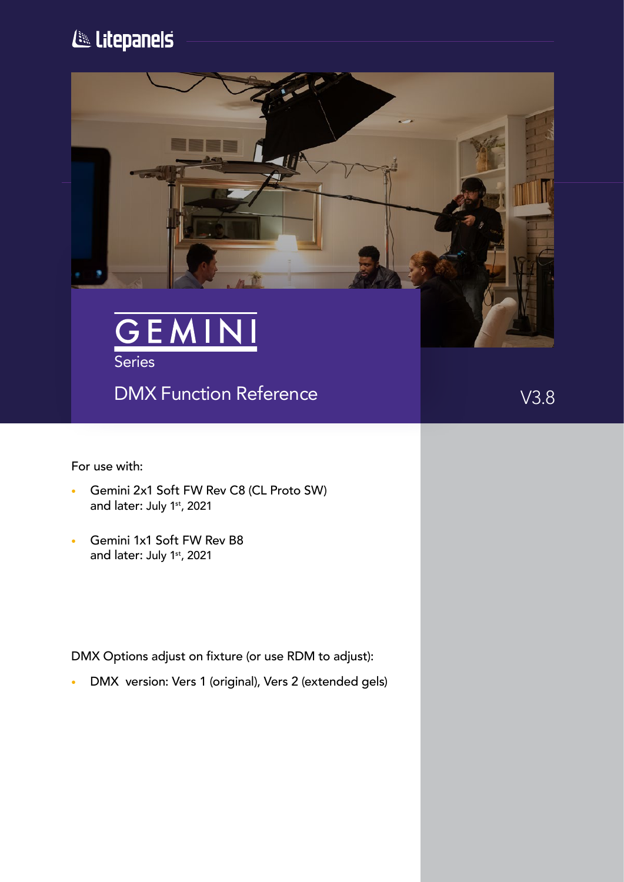# Litepanels



# DMX Function Reference **V3.8**

For use with:

- Gemini 2x1 Soft FW Rev C8 (CL Proto SW) and later: July 1st, 2021
- Gemini 1x1 Soft FW Rev B8 and later: July 1st, 2021

DMX Options adjust on fixture (or use RDM to adjust):

• DMX version: Vers 1 (original), Vers 2 (extended gels)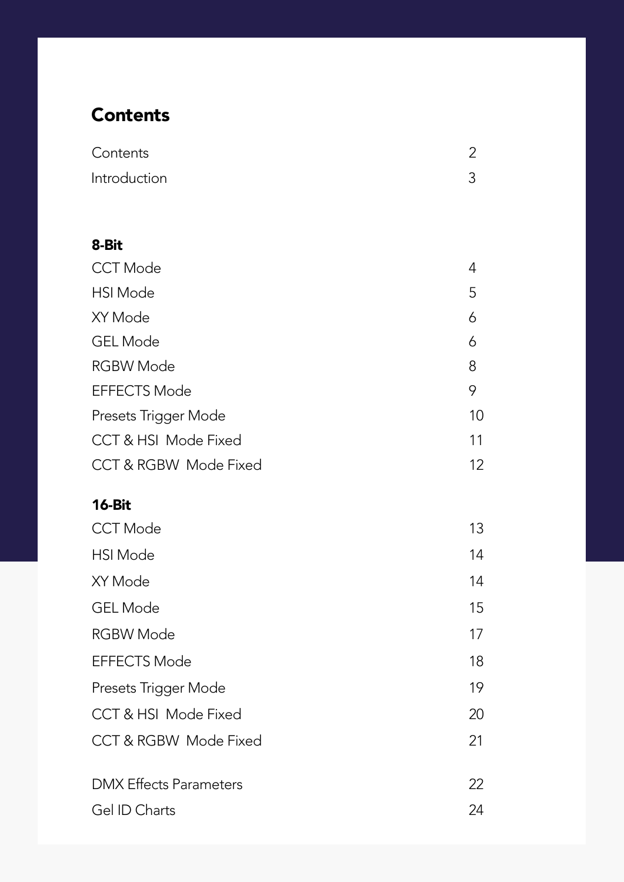# **Contents**

| Contents     |  |
|--------------|--|
| Introduction |  |

# CCT Mode 4 HSI Mode 5 GEL Mode 6 RGBW Mode 8 EFFECTS Mode 9 Presets Trigger Mode 10 CCT & HSI Mode Fixed 2001 11 CCT & RGBW Mode Fixed 12 8-Bit  $\overline{15}$ XY Mode 6

| <b>CCT Mode</b>                  | 13 |
|----------------------------------|----|
| <b>HSI</b> Mode                  | 14 |
| XY Mode                          | 14 |
| <b>GEL Mode</b>                  | 15 |
| <b>RGBW Mode</b>                 | 17 |
| <b>EFFECTS Mode</b>              | 18 |
| Presets Trigger Mode             | 19 |
| CCT & HSI Mode Fixed             | 20 |
| <b>CCT &amp; RGBW Mode Fixed</b> | 21 |
| <b>DMX Effects Parameters</b>    | 22 |
| Gel ID Charts                    | 24 |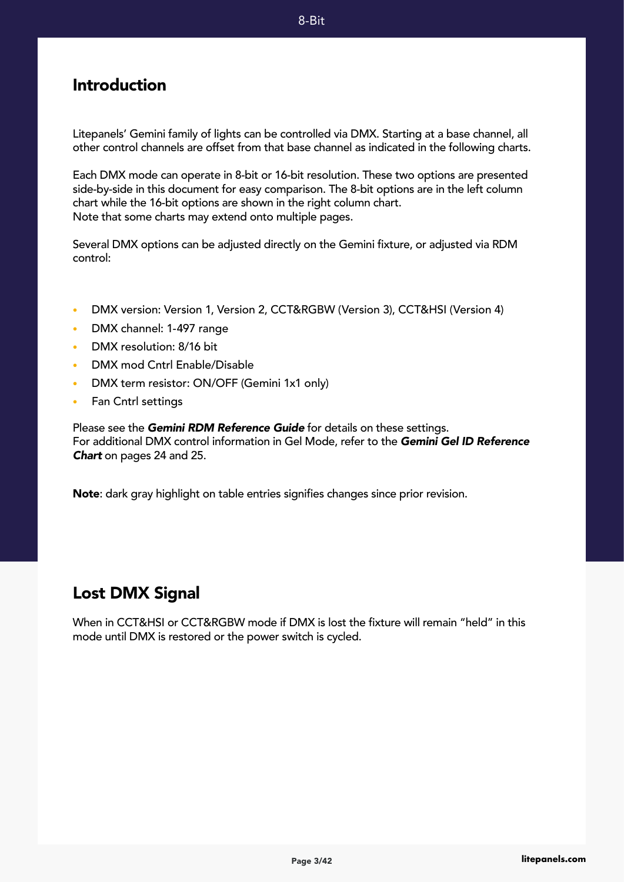#### Introduction

Litepanels' Gemini family of lights can be controlled via DMX. Starting at a base channel, all other control channels are offset from that base channel as indicated in the following charts.

Each DMX mode can operate in 8-bit or 16-bit resolution. These two options are presented side-by-side in this document for easy comparison. The 8-bit options are in the left column chart while the 16-bit options are shown in the right column chart. Note that some charts may extend onto multiple pages.

Several DMX options can be adjusted directly on the Gemini fixture, or adjusted via RDM control:

- DMX version: Version 1, Version 2, CCT&RGBW (Version 3), CCT&HSI (Version 4)
- DMX channel: 1-497 range
- DMX resolution: 8/16 bit
- DMX mod Cntrl Enable/Disable
- DMX term resistor: ON/OFF (Gemini 1x1 only)
- Fan Cntrl settings

Please see the *Gemini RDM Reference Guide* for details on these settings. For additional DMX control information in Gel Mode, refer to the *Gemini Gel ID Reference Chart* on pages 24 and 25.

Note: dark gray highlight on table entries signifies changes since prior revision.

# Lost DMX Signal

When in CCT&HSI or CCT&RGBW mode if DMX is lost the fixture will remain "held" in this mode until DMX is restored or the power switch is cycled.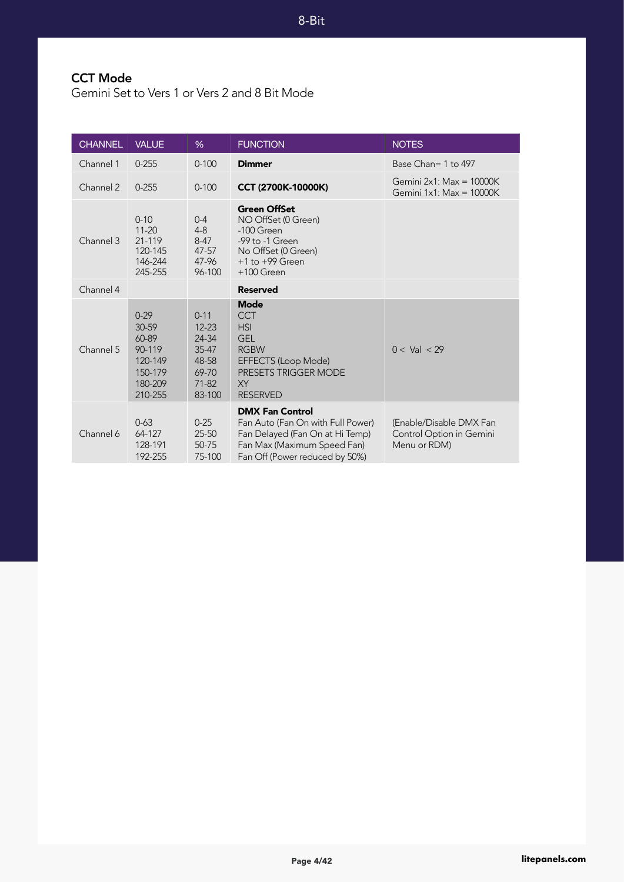# CCT Mode

Gemini Set to Vers 1 or Vers 2 and 8 Bit Mode

| <b>CHANNEL</b> | <b>VALUE</b>                                                                     | %                                                                                | <b>FUNCTION</b>                                                                                                                                                 | <b>NOTES</b>                                                        |
|----------------|----------------------------------------------------------------------------------|----------------------------------------------------------------------------------|-----------------------------------------------------------------------------------------------------------------------------------------------------------------|---------------------------------------------------------------------|
| Channel 1      | $0 - 255$                                                                        | $0 - 100$                                                                        | <b>Dimmer</b>                                                                                                                                                   | Base Chan= 1 to 497                                                 |
| Channel 2      | $0 - 255$                                                                        | $0 - 100$                                                                        | CCT (2700K-10000K)                                                                                                                                              | Gemini $2x1$ : Max = 10000K<br>Gemini $1x1$ : Max = $10000K$        |
| Channel 3      | $0 - 10$<br>$11 - 20$<br>21-119<br>120-145<br>146-244<br>245-255                 | $0 - 4$<br>$4 - 8$<br>$8-47$<br>$47 - 57$<br>47-96<br>96-100                     | <b>Green OffSet</b><br>NO OffSet (0 Green)<br>-100 Green<br>-99 to -1 Green<br>No OffSet (0 Green)<br>$+1$ to $+99$ Green<br>$+100$ Green                       |                                                                     |
| Channel 4      |                                                                                  |                                                                                  | <b>Reserved</b>                                                                                                                                                 |                                                                     |
| Channel 5      | $0 - 29$<br>30-59<br>60-89<br>90-119<br>120-149<br>150-179<br>180-209<br>210-255 | $0 - 11$<br>$12 - 23$<br>24-34<br>$35 - 47$<br>48-58<br>69-70<br>71-82<br>83-100 | <b>Mode</b><br><b>CCT</b><br><b>HSI</b><br><b>GEL</b><br><b>RGBW</b><br>EFFECTS (Loop Mode)<br><b>PRESETS TRIGGER MODE</b><br><b>XY</b><br><b>RESERVED</b>      | $0 <$ Val $<$ 29                                                    |
| Channel 6      | $0 - 63$<br>64-127<br>128-191<br>192-255                                         | $0 - 25$<br>25-50<br>50-75<br>75-100                                             | <b>DMX Fan Control</b><br>Fan Auto (Fan On with Full Power)<br>Fan Delayed (Fan On at Hi Temp)<br>Fan Max (Maximum Speed Fan)<br>Fan Off (Power reduced by 50%) | (Enable/Disable DMX Fan<br>Control Option in Gemini<br>Menu or RDM) |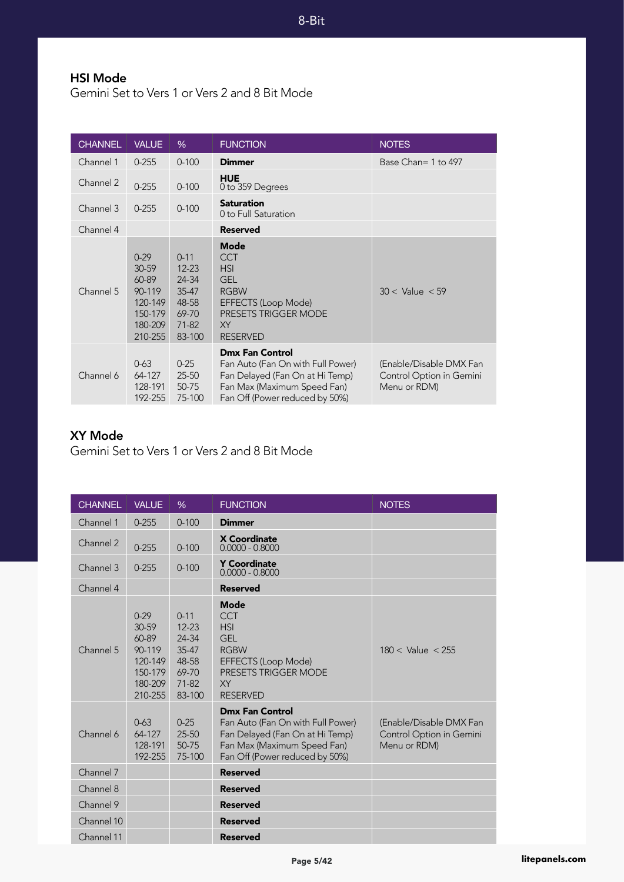8-Bit

## HSI Mode

Gemini Set to Vers 1 or Vers 2 and 8 Bit Mode

| <b>CHANNEL</b> | <b>VALUE</b>                                                                     | %                                                                                    | <b>FUNCTION</b>                                                                                                                                                 | <b>NOTES</b>                                                        |
|----------------|----------------------------------------------------------------------------------|--------------------------------------------------------------------------------------|-----------------------------------------------------------------------------------------------------------------------------------------------------------------|---------------------------------------------------------------------|
| Channel 1      | $0 - 255$                                                                        | $0 - 100$                                                                            | <b>Dimmer</b>                                                                                                                                                   | Base Chan= 1 to 497                                                 |
| Channel 2      | $0 - 255$                                                                        | $0 - 100$                                                                            | <b>HUE</b><br>0 to 359 Degrees                                                                                                                                  |                                                                     |
| Channel 3      | $0 - 255$                                                                        | $0 - 100$                                                                            | <b>Saturation</b><br>0 to Full Saturation                                                                                                                       |                                                                     |
| Channel 4      |                                                                                  |                                                                                      | <b>Reserved</b>                                                                                                                                                 |                                                                     |
| Channel 5      | $0 - 29$<br>30-59<br>60-89<br>90-119<br>120-149<br>150-179<br>180-209<br>210-255 | $0 - 11$<br>$12 - 23$<br>24-34<br>$35 - 47$<br>48-58<br>69-70<br>$71 - 82$<br>83-100 | <b>Mode</b><br><b>CCT</b><br><b>HSI</b><br><b>GEL</b><br><b>RGBW</b><br>EFFECTS (Loop Mode)<br><b>PRESETS TRIGGER MODE</b><br>XY<br><b>RESERVED</b>             | $30 <$ Value $< 59$                                                 |
| Channel 6      | $0 - 63$<br>64-127<br>128-191<br>192-255                                         | $0 - 25$<br>$25 - 50$<br>50-75<br>75-100                                             | <b>Dmx Fan Control</b><br>Fan Auto (Fan On with Full Power)<br>Fan Delayed (Fan On at Hi Temp)<br>Fan Max (Maximum Speed Fan)<br>Fan Off (Power reduced by 50%) | (Enable/Disable DMX Fan<br>Control Option in Gemini<br>Menu or RDM) |

#### XY Mode

Gemini Set to Vers 1 or Vers 2 and 8 Bit Mode

| <b>CHANNEL</b> | <b>VALUE</b>                                                                     | $\%$                                                                         | <b>FUNCTION</b>                                                                                                                                                 | <b>NOTES</b>                                                        |
|----------------|----------------------------------------------------------------------------------|------------------------------------------------------------------------------|-----------------------------------------------------------------------------------------------------------------------------------------------------------------|---------------------------------------------------------------------|
| Channel 1      | $0 - 255$                                                                        | $0 - 100$                                                                    | <b>Dimmer</b>                                                                                                                                                   |                                                                     |
| Channel 2      | $0 - 255$                                                                        | $0 - 100$                                                                    | <b>X Coordinate</b><br>$0.0000 - 0.8000$                                                                                                                        |                                                                     |
| Channel 3      | $0 - 255$                                                                        | $0 - 100$                                                                    | <b>Y Coordinate</b><br>$0.0000 - 0.8000$                                                                                                                        |                                                                     |
| Channel 4      |                                                                                  |                                                                              | <b>Reserved</b>                                                                                                                                                 |                                                                     |
| Channel 5      | $0 - 29$<br>30-59<br>60-89<br>90-119<br>120-149<br>150-179<br>180-209<br>210-255 | $0 - 11$<br>$12 - 23$<br>24-34<br>35-47<br>48-58<br>69-70<br>71-82<br>83-100 | Mode<br><b>CCT</b><br><b>HSI</b><br><b>GFI</b><br><b>RGBW</b><br>EFFECTS (Loop Mode)<br>PRESETS TRIGGER MODE<br><b>XY</b><br><b>RESERVED</b>                    | $180 <$ Value $< 255$                                               |
| Channel 6      | $0 - 63$<br>64-127<br>128-191<br>192-255                                         | $0 - 25$<br>25-50<br>50-75<br>75-100                                         | <b>Dmx Fan Control</b><br>Fan Auto (Fan On with Full Power)<br>Fan Delayed (Fan On at Hi Temp)<br>Fan Max (Maximum Speed Fan)<br>Fan Off (Power reduced by 50%) | (Enable/Disable DMX Fan<br>Control Option in Gemini<br>Menu or RDM) |
| Channel 7      |                                                                                  |                                                                              | <b>Reserved</b>                                                                                                                                                 |                                                                     |
| Channel 8      |                                                                                  |                                                                              | <b>Reserved</b>                                                                                                                                                 |                                                                     |
| Channel 9      |                                                                                  |                                                                              | <b>Reserved</b>                                                                                                                                                 |                                                                     |
| Channel 10     |                                                                                  |                                                                              | <b>Reserved</b>                                                                                                                                                 |                                                                     |
| Channel 11     |                                                                                  |                                                                              | <b>Reserved</b>                                                                                                                                                 |                                                                     |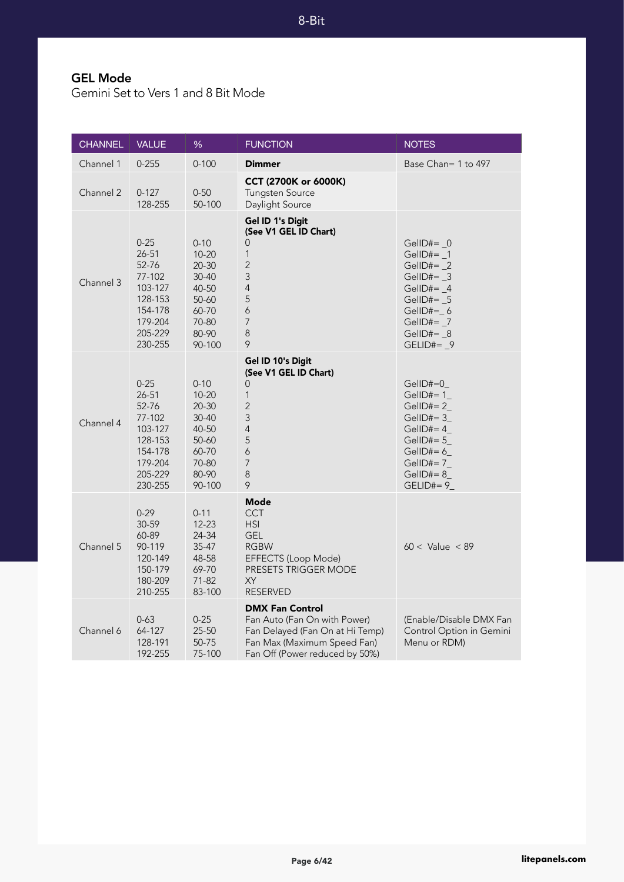### GEL Mode

Gemini Set to Vers 1 and 8 Bit Mode

| <b>CHANNEL</b> | <b>VALUE</b>                                                                                               | %                                                                                                      | <b>FUNCTION</b>                                                                                                                                            | <b>NOTES</b>                                                                                                                                                |
|----------------|------------------------------------------------------------------------------------------------------------|--------------------------------------------------------------------------------------------------------|------------------------------------------------------------------------------------------------------------------------------------------------------------|-------------------------------------------------------------------------------------------------------------------------------------------------------------|
| Channel 1      | $0 - 255$                                                                                                  | $0 - 100$                                                                                              | <b>Dimmer</b>                                                                                                                                              | Base Chan= 1 to 497                                                                                                                                         |
| Channel 2      | $0 - 127$<br>128-255                                                                                       | $0 - 50$<br>50-100                                                                                     | CCT (2700K or 6000K)<br>Tungsten Source<br>Daylight Source                                                                                                 |                                                                                                                                                             |
| Channel 3      | $0 - 25$<br>$26 - 51$<br>52-76<br>77-102<br>103-127<br>128-153<br>154-178<br>179-204<br>205-229<br>230-255 | $0 - 10$<br>$10 - 20$<br>$20 - 30$<br>$30 - 40$<br>40-50<br>50-60<br>60-70<br>70-80<br>80-90<br>90-100 | Gel ID 1's Digit<br>(See V1 GEL ID Chart)<br>0<br>$\mathbf{1}$<br>$\overline{2}$<br>3<br>$\overline{4}$<br>5<br>6<br>$\overline{7}$<br>$\,8\,$<br>9        | GellD#= $\sqrt{0}$<br>GellD#= $_1$<br>GellD#= $_2$<br>GellD#= $_3$<br>GellD#= $_4$<br>GelID#= 5<br>$GellD# = 6$<br>GellD#= $7$<br>GellD#= $_8$<br>GELID#= 9 |
| Channel 4      | $0 - 25$<br>26-51<br>52-76<br>77-102<br>103-127<br>128-153<br>154-178<br>179-204<br>205-229<br>230-255     | $0 - 10$<br>$10 - 20$<br>$20 - 30$<br>30-40<br>40-50<br>50-60<br>60-70<br>70-80<br>80-90<br>90-100     | Gel ID 10's Digit<br>(See V1 GEL ID Chart)<br>0<br>$\mathbf{1}$<br>$\overline{2}$<br>3<br>$\overline{4}$<br>5<br>6<br>$\overline{7}$<br>$\,8\,$<br>9       | GelID#=0<br>GelID#= 1<br>$GellD#=2$<br>GelID#= 3<br>GellD#= $4$<br>GellD#= $5$<br>GelID#= 6_<br>$G$ ellD#= 7 $\_$<br>$G$ ell $D#=8$<br>$GELID#= 9$          |
| Channel 5      | $0 - 29$<br>30-59<br>60-89<br>90-119<br>120-149<br>150-179<br>180-209<br>210-255                           | $0 - 11$<br>$12 - 23$<br>24-34<br>$35 - 47$<br>48-58<br>69-70<br>71-82<br>83-100                       | Mode<br><b>CCT</b><br><b>HSI</b><br><b>GEL</b><br><b>RGBW</b><br>EFFECTS (Loop Mode)<br><b>PRESETS TRIGGER MODE</b><br>XY<br><b>RESERVED</b>               | $60 <$ Value $< 89$                                                                                                                                         |
| Channel 6      | $0 - 63$<br>64-127<br>128-191<br>192-255                                                                   | $0 - 25$<br>25-50<br>50-75<br>75-100                                                                   | <b>DMX Fan Control</b><br>Fan Auto (Fan On with Power)<br>Fan Delayed (Fan On at Hi Temp)<br>Fan Max (Maximum Speed Fan)<br>Fan Off (Power reduced by 50%) | (Enable/Disable DMX Fan<br>Control Option in Gemini<br>Menu or RDM)                                                                                         |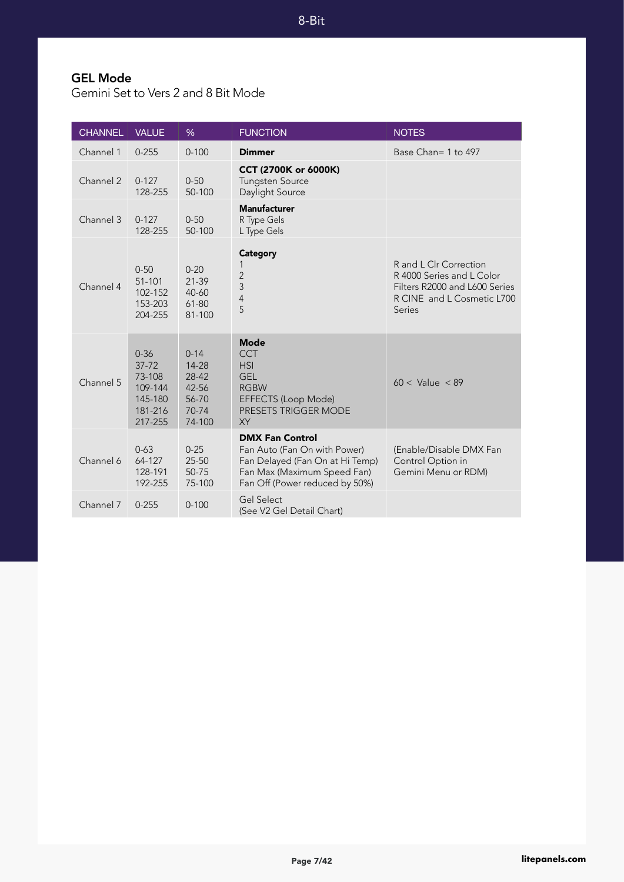### GEL Mode

Gemini Set to Vers 2 and 8 Bit Mode

| <b>CHANNEL</b> | <b>VALUE</b>                                                                | %                                                               | <b>FUNCTION</b>                                                                                                                                            | <b>NOTES</b>                                                                                                                        |
|----------------|-----------------------------------------------------------------------------|-----------------------------------------------------------------|------------------------------------------------------------------------------------------------------------------------------------------------------------|-------------------------------------------------------------------------------------------------------------------------------------|
| Channel 1      | $0 - 255$                                                                   | $0 - 100$                                                       | <b>Dimmer</b>                                                                                                                                              | Base Chan= 1 to 497                                                                                                                 |
| Channel 2      | $0 - 127$<br>128-255                                                        | $0 - 50$<br>50-100                                              | CCT (2700K or 6000K)<br><b>Tungsten Source</b><br>Daylight Source                                                                                          |                                                                                                                                     |
| Channel 3      | $0 - 127$<br>128-255                                                        | $0 - 50$<br>50-100                                              | <b>Manufacturer</b><br>R Type Gels<br>L Type Gels                                                                                                          |                                                                                                                                     |
| Channel 4      | $0 - 50$<br>$51 - 101$<br>102-152<br>153-203<br>204-255                     | $0 - 20$<br>$21 - 39$<br>40-60<br>61-80<br>81-100               | <b>Category</b><br>1<br>$\overline{c}$<br>3<br>$\overline{4}$<br>5                                                                                         | R and L Clr Correction<br>R 4000 Series and L Color<br>Filters R2000 and L600 Series<br>R CINE and L Cosmetic L700<br><b>Series</b> |
| Channel 5      | $0 - 36$<br>$37 - 72$<br>73-108<br>109-144<br>145-180<br>181-216<br>217-255 | $0 - 14$<br>14-28<br>28-42<br>42-56<br>56-70<br>70-74<br>74-100 | <b>Mode</b><br><b>CCT</b><br><b>HSI</b><br><b>GEL</b><br><b>RGBW</b><br>EFFECTS (Loop Mode)<br><b>PRESETS TRIGGER MODE</b><br><b>XY</b>                    | $60 <$ Value $< 89$                                                                                                                 |
| Channel 6      | $0 - 63$<br>64-127<br>128-191<br>192-255                                    | $0 - 25$<br>25-50<br>50-75<br>75-100                            | <b>DMX Fan Control</b><br>Fan Auto (Fan On with Power)<br>Fan Delayed (Fan On at Hi Temp)<br>Fan Max (Maximum Speed Fan)<br>Fan Off (Power reduced by 50%) | (Enable/Disable DMX Fan<br>Control Option in<br>Gemini Menu or RDM)                                                                 |
| Channel 7      | $0 - 255$                                                                   | $0 - 100$                                                       | <b>Gel Select</b><br>(See V2 Gel Detail Chart)                                                                                                             |                                                                                                                                     |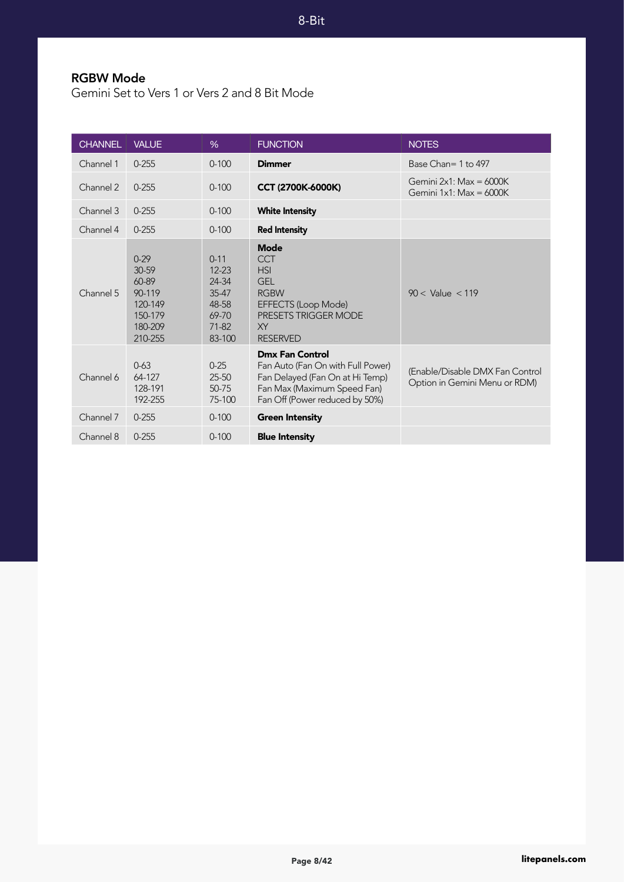#### RGBW Mode

Gemini Set to Vers 1 or Vers 2 and 8 Bit Mode

| <b>CHANNEL</b> | <b>VALUE</b>                                                                     | $\%$                                                                               | <b>FUNCTION</b>                                                                                                                                                 | <b>NOTES</b>                                                     |
|----------------|----------------------------------------------------------------------------------|------------------------------------------------------------------------------------|-----------------------------------------------------------------------------------------------------------------------------------------------------------------|------------------------------------------------------------------|
| Channel 1      | $0 - 255$                                                                        | $0 - 100$                                                                          | <b>Dimmer</b>                                                                                                                                                   | Base Chan= 1 to 497                                              |
| Channel 2      | $0 - 255$                                                                        | $0 - 100$                                                                          | <b>CCT (2700K-6000K)</b>                                                                                                                                        | Gemini $2x1$ : Max = 6000K<br>Gemini $1x1$ : Max = 6000K         |
| Channel 3      | $0 - 255$                                                                        | $0 - 100$                                                                          | <b>White Intensity</b>                                                                                                                                          |                                                                  |
| Channel 4      | $0 - 255$                                                                        | $0 - 100$                                                                          | <b>Red Intensity</b>                                                                                                                                            |                                                                  |
| Channel 5      | $0 - 29$<br>30-59<br>60-89<br>90-119<br>120-149<br>150-179<br>180-209<br>210-255 | $0 - 11$<br>$12 - 23$<br>24-34<br>$35-47$<br>48-58<br>69-70<br>$71 - 82$<br>83-100 | <b>Mode</b><br><b>CCT</b><br><b>HSI</b><br><b>GEL</b><br><b>RGBW</b><br>EFFECTS (Loop Mode)<br><b>PRESETS TRIGGER MODE</b><br><b>XY</b><br><b>RESERVED</b>      | $90 <$ Value $< 119$                                             |
| Channel 6      | $0 - 63$<br>64-127<br>128-191<br>192-255                                         | $0 - 25$<br>$25 - 50$<br>50-75<br>75-100                                           | <b>Dmx Fan Control</b><br>Fan Auto (Fan On with Full Power)<br>Fan Delayed (Fan On at Hi Temp)<br>Fan Max (Maximum Speed Fan)<br>Fan Off (Power reduced by 50%) | (Enable/Disable DMX Fan Control<br>Option in Gemini Menu or RDM) |
| Channel 7      | $0 - 255$                                                                        | $0 - 100$                                                                          | <b>Green Intensity</b>                                                                                                                                          |                                                                  |
| Channel 8      | $0 - 255$                                                                        | $0 - 100$                                                                          | <b>Blue Intensity</b>                                                                                                                                           |                                                                  |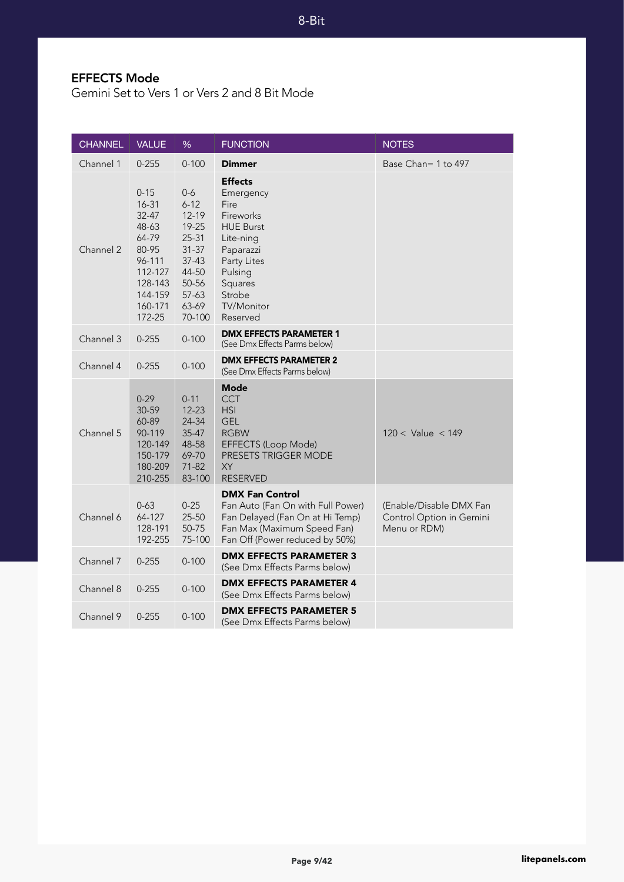8-Bit

### EFFECTS Mode

Gemini Set to Vers 1 or Vers 2 and 8 Bit Mode

| <b>CHANNEL</b> | <b>VALUE</b>                                                                                                          | %                                                                                                                          | <b>FUNCTION</b>                                                                                                                                                                | <b>NOTES</b>                                                        |
|----------------|-----------------------------------------------------------------------------------------------------------------------|----------------------------------------------------------------------------------------------------------------------------|--------------------------------------------------------------------------------------------------------------------------------------------------------------------------------|---------------------------------------------------------------------|
| Channel 1      | $0 - 255$                                                                                                             | $0 - 100$                                                                                                                  | <b>Dimmer</b>                                                                                                                                                                  | Base Chan= 1 to 497                                                 |
| Channel 2      | $0 - 15$<br>16-31<br>32-47<br>48-63<br>64-79<br>80-95<br>96-111<br>112-127<br>128-143<br>144-159<br>160-171<br>172-25 | $0-6$<br>$6 - 12$<br>12-19<br>19-25<br>$25 - 31$<br>$31 - 37$<br>$37-43$<br>44-50<br>50-56<br>$57 - 63$<br>63-69<br>70-100 | <b>Effects</b><br>Emergency<br>Fire<br>Fireworks<br><b>HUE Burst</b><br>Lite-ning<br>Paparazzi<br>Party Lites<br>Pulsing<br>Squares<br>Strobe<br><b>TV/Monitor</b><br>Reserved |                                                                     |
| Channel 3      | $0 - 255$                                                                                                             | $0 - 100$                                                                                                                  | <b>DMX EFFECTS PARAMETER 1</b><br>(See Dmx Effects Parms below)                                                                                                                |                                                                     |
| Channel 4      | $0 - 255$                                                                                                             | $0 - 100$                                                                                                                  | <b>DMX EFFECTS PARAMETER 2</b><br>(See Dmx Effects Parms below)                                                                                                                |                                                                     |
| Channel 5      | $0 - 29$<br>30-59<br>60-89<br>90-119<br>120-149<br>150-179<br>180-209<br>210-255                                      | $0 - 11$<br>12-23<br>24-34<br>35-47<br>48-58<br>69-70<br>$71-82$<br>83-100                                                 | <b>Mode</b><br><b>CCT</b><br><b>HSI</b><br><b>GEL</b><br><b>RGBW</b><br>EFFECTS (Loop Mode)<br>PRESETS TRIGGER MODE<br><b>XY</b><br><b>RESERVED</b>                            | $120 <$ Value $<$ 149                                               |
| Channel 6      | $0 - 63$<br>64-127<br>128-191<br>192-255                                                                              | $0 - 25$<br>25-50<br>50-75<br>75-100                                                                                       | <b>DMX Fan Control</b><br>Fan Auto (Fan On with Full Power)<br>Fan Delayed (Fan On at Hi Temp)<br>Fan Max (Maximum Speed Fan)<br>Fan Off (Power reduced by 50%)                | (Enable/Disable DMX Fan<br>Control Option in Gemini<br>Menu or RDM) |
| Channel 7      | $0 - 255$                                                                                                             | $0 - 100$                                                                                                                  | <b>DMX EFFECTS PARAMETER 3</b><br>(See Dmx Effects Parms below)                                                                                                                |                                                                     |
| Channel 8      | $0 - 255$                                                                                                             | $0 - 100$                                                                                                                  | <b>DMX EFFECTS PARAMETER 4</b><br>(See Dmx Effects Parms below)                                                                                                                |                                                                     |
| Channel 9      | $0 - 255$                                                                                                             | $0 - 100$                                                                                                                  | <b>DMX EFFECTS PARAMETER 5</b><br>(See Dmx Effects Parms below)                                                                                                                |                                                                     |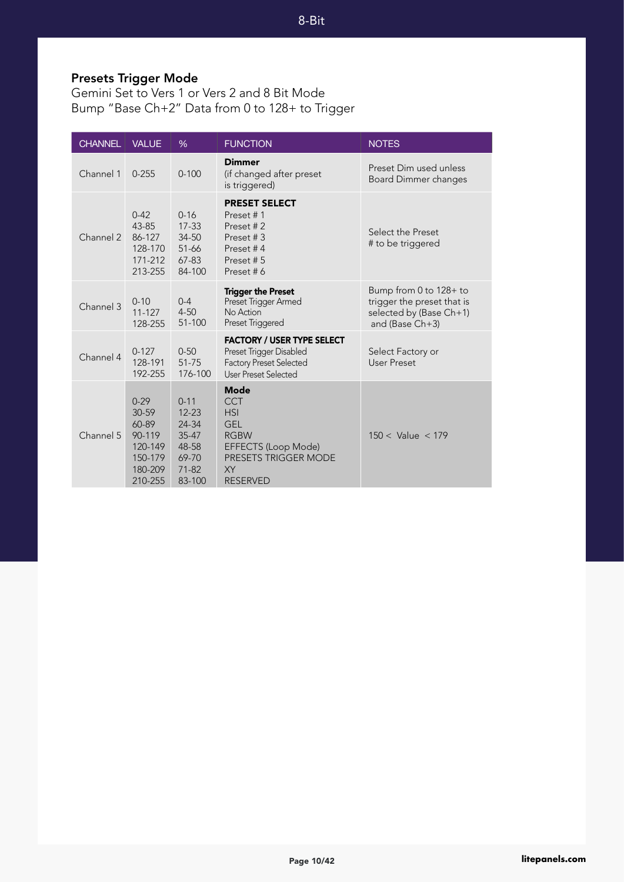# Presets Trigger Mode

Gemini Set to Vers 1 or Vers 2 and 8 Bit Mode Bump "Base Ch+2" Data from 0 to 128+ to Trigger

| <b>CHANNEL</b> | <b>VALUE</b>                                                                   | $\%$                                                                                 | <b>FUNCTION</b>                                                                                                                                     | <b>NOTES</b>                                                                                       |
|----------------|--------------------------------------------------------------------------------|--------------------------------------------------------------------------------------|-----------------------------------------------------------------------------------------------------------------------------------------------------|----------------------------------------------------------------------------------------------------|
| Channel 1      | $0 - 255$                                                                      | $0 - 100$                                                                            | <b>Dimmer</b><br>(if changed after preset<br>is triggered)                                                                                          | Preset Dim used unless<br>Board Dimmer changes                                                     |
| Channel 2      | $0 - 42$<br>43-85<br>86-127<br>128-170<br>171-212<br>213-255                   | $0 - 16$<br>$17 - 33$<br>34-50<br>51-66<br>$67 - 83$<br>84-100                       | <b>PRESET SELECT</b><br>Preset #1<br>Preset #2<br>Preset #3<br>Preset #4<br>Preset #5<br>Preset#6                                                   | Select the Preset<br># to be triggered                                                             |
| Channel 3      | $0 - 10$<br>$11 - 127$<br>128-255                                              | $0 - 4$<br>$4 - 50$<br>51-100                                                        | <b>Trigger the Preset</b><br>Preset Trigger Armed<br>No Action<br>Preset Triggered                                                                  | Bump from 0 to 128+ to<br>trigger the preset that is<br>selected by (Base Ch+1)<br>and (Base Ch+3) |
| Channel 4      | $0 - 127$<br>128-191<br>192-255                                                | $0 - 50$<br>51-75<br>176-100                                                         | <b>FACTORY / USER TYPE SELECT</b><br>Preset Trigger Disabled<br><b>Factory Preset Selected</b><br>User Preset Selected                              | Select Factory or<br><b>User Preset</b>                                                            |
| Channel 5      | $0-29$<br>30-59<br>60-89<br>90-119<br>120-149<br>150-179<br>180-209<br>210-255 | $0 - 11$<br>$12 - 23$<br>24-34<br>$35 - 47$<br>48-58<br>69-70<br>$71 - 82$<br>83-100 | <b>Mode</b><br><b>CCT</b><br><b>HSI</b><br><b>GEL</b><br><b>RGBW</b><br>EFFECTS (Loop Mode)<br><b>PRESETS TRIGGER MODE</b><br>XY<br><b>RESERVED</b> | $150 <$ Value $< 179$                                                                              |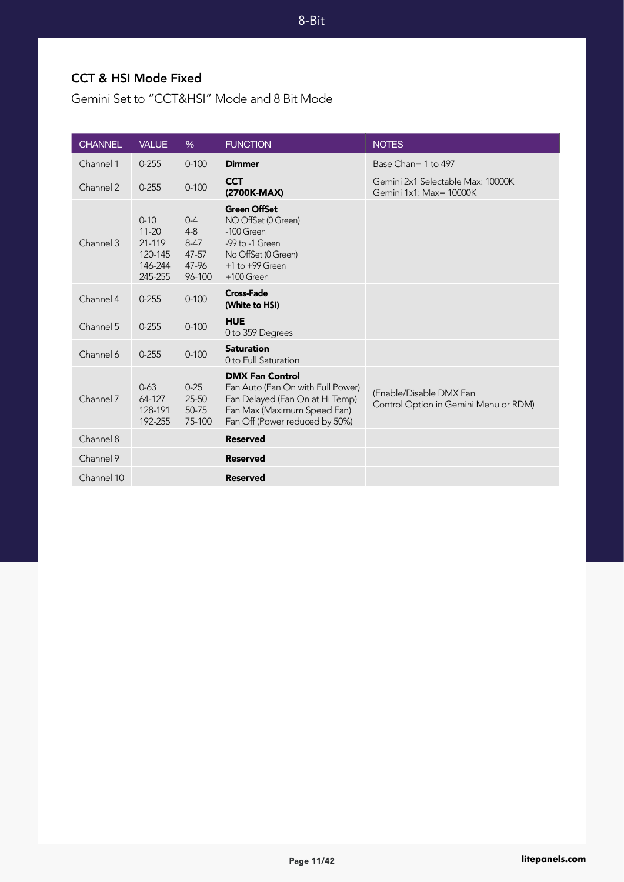8-Bit

#### CCT & HSI Mode Fixed

Gemini Set to "CCT&HSI" Mode and 8 Bit Mode

| <b>CHANNEL</b> | <b>VALUE</b>                                                     | %                                                          | <b>FUNCTION</b>                                                                                                                                                 | <b>NOTES</b>                                                     |
|----------------|------------------------------------------------------------------|------------------------------------------------------------|-----------------------------------------------------------------------------------------------------------------------------------------------------------------|------------------------------------------------------------------|
| Channel 1      | $0 - 255$                                                        | $0 - 100$                                                  | <b>Dimmer</b>                                                                                                                                                   | Base Chan= 1 to 497                                              |
| Channel 2      | $0 - 255$                                                        | $0 - 100$                                                  | <b>CCT</b><br>(2700K-MAX)                                                                                                                                       | Gemini 2x1 Selectable Max: 10000K<br>Gemini 1x1: Max= 10000K     |
| Channel 3      | $0 - 10$<br>$11 - 20$<br>21-119<br>120-145<br>146-244<br>245-255 | $0 - 4$<br>$4 - 8$<br>$8 - 47$<br>47-57<br>47-96<br>96-100 | <b>Green OffSet</b><br>NO OffSet (0 Green)<br>-100 Green<br>-99 to -1 Green<br>No OffSet (0 Green)<br>$+1$ to $+99$ Green<br>$+100$ Green                       |                                                                  |
| Channel 4      | $0 - 255$                                                        | $0 - 100$                                                  | <b>Cross-Fade</b><br>(White to HSI)                                                                                                                             |                                                                  |
| Channel 5      | $0 - 255$                                                        | $0 - 100$                                                  | <b>HUE</b><br>0 to 359 Degrees                                                                                                                                  |                                                                  |
| Channel 6      | $0 - 255$                                                        | $0 - 100$                                                  | <b>Saturation</b><br>0 to Full Saturation                                                                                                                       |                                                                  |
| Channel 7      | $0 - 63$<br>64-127<br>128-191<br>192-255                         | $0 - 25$<br>$25 - 50$<br>50-75<br>75-100                   | <b>DMX Fan Control</b><br>Fan Auto (Fan On with Full Power)<br>Fan Delayed (Fan On at Hi Temp)<br>Fan Max (Maximum Speed Fan)<br>Fan Off (Power reduced by 50%) | (Enable/Disable DMX Fan<br>Control Option in Gemini Menu or RDM) |
| Channel 8      |                                                                  |                                                            | <b>Reserved</b>                                                                                                                                                 |                                                                  |
| Channel 9      |                                                                  |                                                            | <b>Reserved</b>                                                                                                                                                 |                                                                  |
| Channel 10     |                                                                  |                                                            | <b>Reserved</b>                                                                                                                                                 |                                                                  |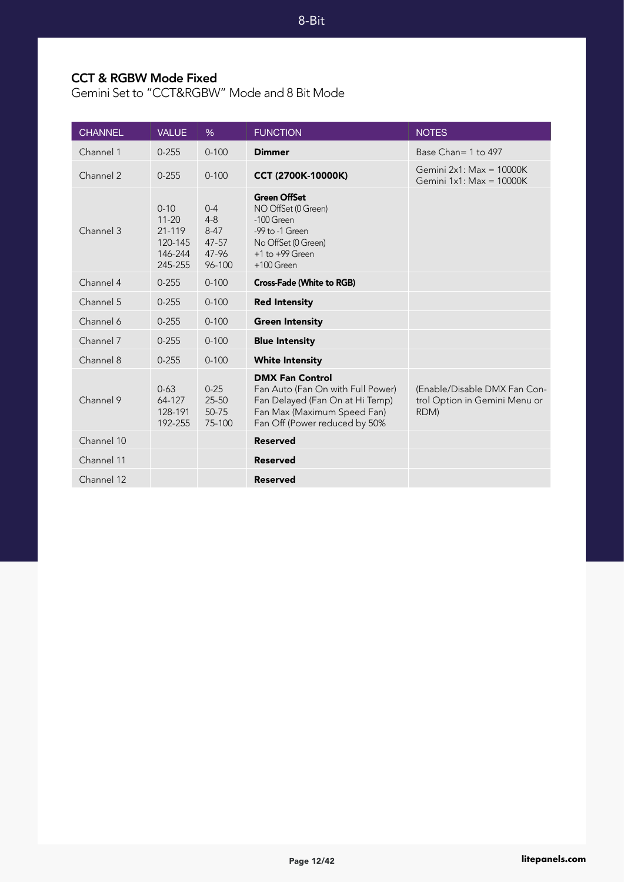8-Bit

#### CCT & RGBW Mode Fixed

Gemini Set to "CCT&RGBW" Mode and 8 Bit Mode

| <b>CHANNEL</b> | <b>VALUE</b>                                                     | $\%$                                                     | <b>FUNCTION</b>                                                                                                                                                | <b>NOTES</b>                                                          |
|----------------|------------------------------------------------------------------|----------------------------------------------------------|----------------------------------------------------------------------------------------------------------------------------------------------------------------|-----------------------------------------------------------------------|
| Channel 1      | $0 - 255$                                                        | $0 - 100$                                                | <b>Dimmer</b>                                                                                                                                                  | Base Chan= 1 to 497                                                   |
| Channel 2      | $0 - 255$                                                        | $0 - 100$                                                | CCT (2700K-10000K)                                                                                                                                             | Gemini $2x1$ : Max = 10000K<br>Gemini $1x1$ : Max = $10000K$          |
| Channel 3      | $0 - 10$<br>$11 - 20$<br>21-119<br>120-145<br>146-244<br>245-255 | $0 - 4$<br>$4 - 8$<br>$8-47$<br>47-57<br>47-96<br>96-100 | <b>Green OffSet</b><br>NO OffSet (0 Green)<br>$-100$ Green<br>-99 to -1 Green<br>No OffSet (0 Green)<br>$+1$ to $+99$ Green<br>$+100$ Green                    |                                                                       |
| Channel 4      | $0 - 255$                                                        | $0 - 100$                                                | <b>Cross-Fade (White to RGB)</b>                                                                                                                               |                                                                       |
| Channel 5      | $0 - 255$                                                        | $0 - 100$                                                | <b>Red Intensity</b>                                                                                                                                           |                                                                       |
| Channel 6      | $0 - 255$                                                        | $0 - 100$                                                | <b>Green Intensity</b>                                                                                                                                         |                                                                       |
| Channel 7      | $0 - 255$                                                        | $0 - 100$                                                | <b>Blue Intensity</b>                                                                                                                                          |                                                                       |
| Channel 8      | $0 - 255$                                                        | $0 - 100$                                                | <b>White Intensity</b>                                                                                                                                         |                                                                       |
| Channel 9      | $0 - 63$<br>64-127<br>128-191<br>192-255                         | $0 - 25$<br>25-50<br>50-75<br>75-100                     | <b>DMX Fan Control</b><br>Fan Auto (Fan On with Full Power)<br>Fan Delayed (Fan On at Hi Temp)<br>Fan Max (Maximum Speed Fan)<br>Fan Off (Power reduced by 50% | (Enable/Disable DMX Fan Con-<br>trol Option in Gemini Menu or<br>RDM) |
| Channel 10     |                                                                  |                                                          | <b>Reserved</b>                                                                                                                                                |                                                                       |
| Channel 11     |                                                                  |                                                          | <b>Reserved</b>                                                                                                                                                |                                                                       |
| Channel 12     |                                                                  |                                                          | <b>Reserved</b>                                                                                                                                                |                                                                       |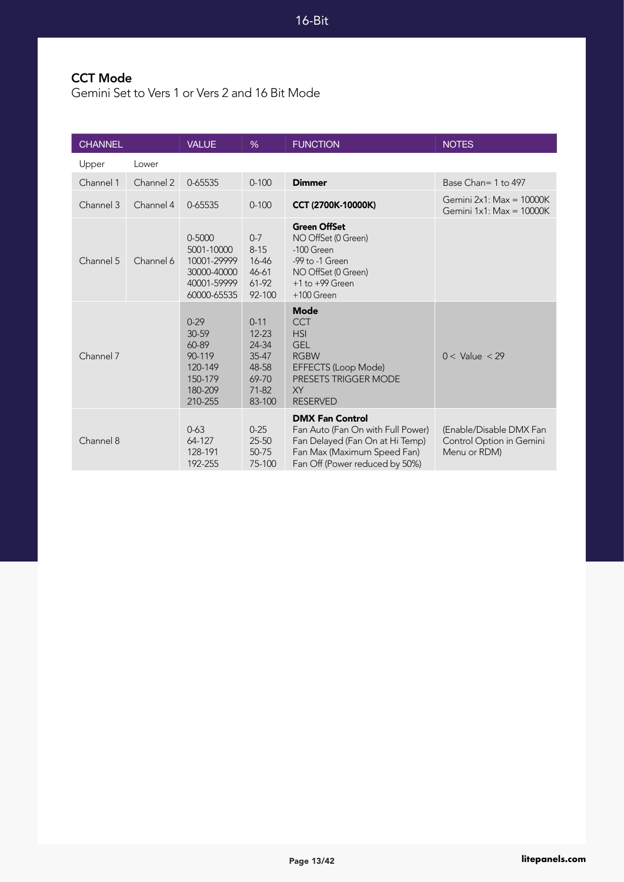# CCT Mode

Gemini Set to Vers 1 or Vers 2 and 16 Bit Mode

| <b>CHANNEL</b> |           | <b>VALUE</b>                                                                         | $\%$                                                                             | <b>FUNCTION</b>                                                                                                                                                   | <b>NOTES</b>                                                        |
|----------------|-----------|--------------------------------------------------------------------------------------|----------------------------------------------------------------------------------|-------------------------------------------------------------------------------------------------------------------------------------------------------------------|---------------------------------------------------------------------|
| Upper          | Lower     |                                                                                      |                                                                                  |                                                                                                                                                                   |                                                                     |
| Channel 1      | Channel 2 | 0-65535                                                                              | $0 - 100$                                                                        | <b>Dimmer</b>                                                                                                                                                     | Base Chan= 1 to 497                                                 |
| Channel 3      | Channel 4 | 0-65535                                                                              | $0 - 100$                                                                        | <b>CCT (2700K-10000K)</b>                                                                                                                                         | Gemini $2x1$ : Max = 10000K<br>Gemini $1x1$ : Max = $10000K$        |
| Channel 5      | Channel 6 | $0 - 5000$<br>5001-10000<br>10001-29999<br>30000-40000<br>40001-59999<br>60000-65535 | $0 - 7$<br>$8 - 15$<br>16-46<br>46-61<br>61-92<br>92-100                         | <b>Green OffSet</b><br>NO OffSet (0 Green)<br>-100 Green<br>-99 to -1 Green<br>NO OffSet (0 Green)<br>$+1$ to $+99$ Green<br>$+100$ Green                         |                                                                     |
| Channel 7      |           | $0-29$<br>30-59<br>60-89<br>90-119<br>120-149<br>150-179<br>180-209<br>210-255       | $0 - 11$<br>$12 - 23$<br>24-34<br>35-47<br>48-58<br>69-70<br>$71 - 82$<br>83-100 | <b>Mode</b><br><b>CCT</b><br><b>HSI</b><br><b>GEL</b><br><b>RGBW</b><br><b>EFFECTS (Loop Mode)</b><br><b>PRESETS TRIGGER MODE</b><br><b>XY</b><br><b>RESERVED</b> | $0 <$ Value $<$ 29                                                  |
| Channel 8      |           | $0 - 63$<br>64-127<br>128-191<br>192-255                                             | $0 - 25$<br>$25 - 50$<br>50-75<br>75-100                                         | <b>DMX Fan Control</b><br>Fan Auto (Fan On with Full Power)<br>Fan Delayed (Fan On at Hi Temp)<br>Fan Max (Maximum Speed Fan)<br>Fan Off (Power reduced by 50%)   | (Enable/Disable DMX Fan<br>Control Option in Gemini<br>Menu or RDM) |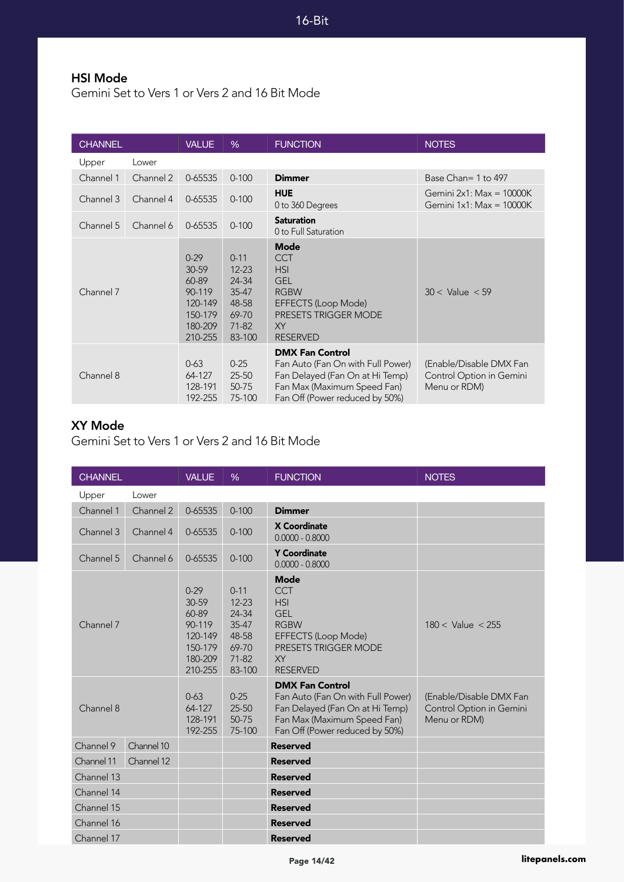#### HSI Mode

Gemini Set to Vers 1 or Vers 2 and 16 Bit Mode

| <b>CHANNEL</b> |           | <b>VALUE</b>                                                                         | %                                                                                | <b>FUNCTION</b>                                                                                                                                                 | <b>NOTES</b>                                                        |
|----------------|-----------|--------------------------------------------------------------------------------------|----------------------------------------------------------------------------------|-----------------------------------------------------------------------------------------------------------------------------------------------------------------|---------------------------------------------------------------------|
| Upper          | Lower     |                                                                                      |                                                                                  |                                                                                                                                                                 |                                                                     |
| Channel 1      | Channel 2 | 0-65535                                                                              | $0 - 100$                                                                        | <b>Dimmer</b>                                                                                                                                                   | Base Chan= 1 to 497                                                 |
| Channel 3      | Channel 4 | 0-65535                                                                              | $0 - 100$                                                                        | <b>HUE</b><br>0 to 360 Degrees                                                                                                                                  | Gemini $2x1$ : Max = 10000K<br>Gemini $1x1$ : Max = $10000K$        |
| Channel 5      | Channel 6 | 0-65535                                                                              | $0 - 100$                                                                        | <b>Saturation</b><br>0 to Full Saturation                                                                                                                       |                                                                     |
| Channel 7      |           | $0 - 29$<br>$30 - 59$<br>60-89<br>90-119<br>120-149<br>150-179<br>180-209<br>210-255 | $0 - 11$<br>$12 - 23$<br>24-34<br>35-47<br>48-58<br>69-70<br>$71 - 82$<br>83-100 | <b>Mode</b><br><b>CCT</b><br><b>HSI</b><br><b>GEL</b><br><b>RGBW</b><br><b>EFFECTS (Loop Mode)</b><br><b>PRESETS TRIGGER MODE</b><br>XY<br><b>RESERVED</b>      | $30 <$ Value $< 59$                                                 |
| Channel 8      |           | $0 - 63$<br>64-127<br>128-191<br>192-255                                             | $0 - 25$<br>$25 - 50$<br>50-75<br>75-100                                         | <b>DMX Fan Control</b><br>Fan Auto (Fan On with Full Power)<br>Fan Delayed (Fan On at Hi Temp)<br>Fan Max (Maximum Speed Fan)<br>Fan Off (Power reduced by 50%) | (Enable/Disable DMX Fan<br>Control Option in Gemini<br>Menu or RDM) |

#### XY Mode

Gemini Set to Vers 1 or Vers 2 and 16 Bit Mode

| <b>CHANNEL</b> |            | <b>VALUE</b>                                                                     | %                                                                            | <b>FUNCTION</b>                                                                                                                                                   | <b>NOTES</b>                                                        |
|----------------|------------|----------------------------------------------------------------------------------|------------------------------------------------------------------------------|-------------------------------------------------------------------------------------------------------------------------------------------------------------------|---------------------------------------------------------------------|
| Upper          | Lower      |                                                                                  |                                                                              |                                                                                                                                                                   |                                                                     |
| Channel 1      | Channel 2  | 0-65535                                                                          | $0 - 100$                                                                    | <b>Dimmer</b>                                                                                                                                                     |                                                                     |
| Channel 3      | Channel 4  | 0-65535                                                                          | $0 - 100$                                                                    | <b>X Coordinate</b><br>$0.0000 - 0.8000$                                                                                                                          |                                                                     |
| Channel 5      | Channel 6  | 0-65535                                                                          | $0 - 100$                                                                    | <b>Y Coordinate</b><br>$0.0000 - 0.8000$                                                                                                                          |                                                                     |
| Channel 7      |            | $0 - 29$<br>30-59<br>60-89<br>90-119<br>120-149<br>150-179<br>180-209<br>210-255 | $0 - 11$<br>$12 - 23$<br>24-34<br>35-47<br>48-58<br>69-70<br>71-82<br>83-100 | <b>Mode</b><br><b>CCT</b><br><b>HSI</b><br><b>GEL</b><br><b>RGBW</b><br><b>EFFECTS (Loop Mode)</b><br><b>PRESETS TRIGGER MODE</b><br><b>XY</b><br><b>RESERVED</b> | $180 <$ Value $< 255$                                               |
| Channel 8      |            | $0 - 63$<br>64-127<br>128-191<br>192-255                                         | $0 - 25$<br>25-50<br>50-75<br>75-100                                         | <b>DMX Fan Control</b><br>Fan Auto (Fan On with Full Power)<br>Fan Delayed (Fan On at Hi Temp)<br>Fan Max (Maximum Speed Fan)<br>Fan Off (Power reduced by 50%)   | (Enable/Disable DMX Fan<br>Control Option in Gemini<br>Menu or RDM) |
| Channel 9      | Channel 10 |                                                                                  |                                                                              | <b>Reserved</b>                                                                                                                                                   |                                                                     |
| Channel 11     | Channel 12 |                                                                                  |                                                                              | <b>Reserved</b>                                                                                                                                                   |                                                                     |
| Channel 13     |            |                                                                                  |                                                                              | <b>Reserved</b>                                                                                                                                                   |                                                                     |
| Channel 14     |            |                                                                                  |                                                                              | <b>Reserved</b>                                                                                                                                                   |                                                                     |
| Channel 15     |            |                                                                                  |                                                                              | <b>Reserved</b>                                                                                                                                                   |                                                                     |
| Channel 16     |            |                                                                                  |                                                                              | <b>Reserved</b>                                                                                                                                                   |                                                                     |
| Channel 17     |            |                                                                                  |                                                                              | <b>Reserved</b>                                                                                                                                                   |                                                                     |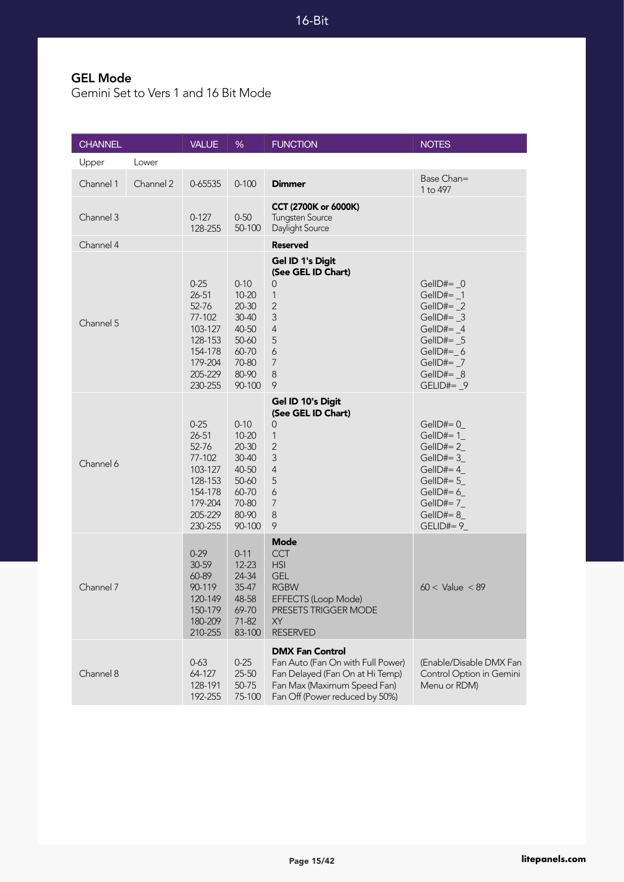#### GEL Mode

Gemini Set to Vers 1 and 16 Bit Mode

| <b>CHANNEL</b> |           | <b>VALUE</b>                                                                                               | %                                                                                                  | <b>FUNCTION</b>                                                                                                                                                 | <b>NOTES</b>                                                                                                                                            |
|----------------|-----------|------------------------------------------------------------------------------------------------------------|----------------------------------------------------------------------------------------------------|-----------------------------------------------------------------------------------------------------------------------------------------------------------------|---------------------------------------------------------------------------------------------------------------------------------------------------------|
| Upper          | Lower     |                                                                                                            |                                                                                                    |                                                                                                                                                                 |                                                                                                                                                         |
| Channel 1      | Channel 2 | 0-65535                                                                                                    | $0 - 100$                                                                                          | <b>Dimmer</b>                                                                                                                                                   | Base Chan=<br>1 to 497                                                                                                                                  |
| Channel 3      |           | $0 - 127$<br>128-255                                                                                       | $0 - 50$<br>50-100                                                                                 | CCT (2700K or 6000K)<br><b>Tungsten Source</b><br>Daylight Source                                                                                               |                                                                                                                                                         |
| Channel 4      |           |                                                                                                            |                                                                                                    | <b>Reserved</b>                                                                                                                                                 |                                                                                                                                                         |
| Channel 5      |           | $0 - 25$<br>$26 - 51$<br>52-76<br>77-102<br>103-127<br>128-153<br>154-178<br>179-204<br>205-229<br>230-255 | $0 - 10$<br>$10 - 20$<br>$20 - 30$<br>30-40<br>40-50<br>50-60<br>60-70<br>70-80<br>80-90<br>90-100 | Gel ID 1's Digit<br>(See GEL ID Chart)<br>$\overline{0}$<br>$\mathbf{1}$<br>$\overline{2}$<br>3<br>$\overline{4}$<br>5<br>6<br>$\overline{7}$<br>8<br>9         | GellD#= $_0$<br>Gell $D#=$ 1<br>GelID#= $_2$<br>GellD#= $_3$<br>GellD#= $_4$<br>GellD#= $5$<br>$GellD#=$ 6<br>GelID#= $_7$<br>GellD#= $_8$<br>GELID#= 9 |
| Channel 6      |           | $0 - 25$<br>$26 - 51$<br>52-76<br>77-102<br>103-127<br>128-153<br>154-178<br>179-204<br>205-229<br>230-255 | $0 - 10$<br>$10 - 20$<br>$20 - 30$<br>30-40<br>40-50<br>50-60<br>60-70<br>70-80<br>80-90<br>90-100 | Gel ID 10's Digit<br>(See GEL ID Chart)<br>$\mathsf{O}\xspace$<br>$\mathbf{1}$<br>$\overline{2}$<br>3<br>$\overline{4}$<br>5<br>6<br>7<br>8<br>9                | $GellD#= 0$<br>GellD#= $1$<br>$GellD#=2$<br>GellD#= $3$<br>GellD#= $4_$<br>GellD#= $5$<br>$GellD#=6$<br>$GellD#=7$<br>GellD#= $8$<br>$GELID#= 9$        |
| Channel 7      |           | $0-29$<br>30-59<br>60-89<br>90-119<br>120-149<br>150-179<br>180-209<br>210-255                             | $0 - 11$<br>$12 - 23$<br>24-34<br>$35-47$<br>48-58<br>69-70<br>71-82<br>83-100                     | <b>Mode</b><br><b>CCT</b><br><b>HSI</b><br><b>GEL</b><br><b>RGBW</b><br>EFFECTS (Loop Mode)<br>PRESETS TRIGGER MODE<br>XY<br><b>RESERVED</b>                    | $60 <$ Value $< 89$                                                                                                                                     |
| Channel 8      |           | $0 - 63$<br>64-127<br>128-191<br>192-255                                                                   | $0 - 25$<br>25-50<br>50-75<br>75-100                                                               | <b>DMX Fan Control</b><br>Fan Auto (Fan On with Full Power)<br>Fan Delayed (Fan On at Hi Temp)<br>Fan Max (Maximum Speed Fan)<br>Fan Off (Power reduced by 50%) | (Enable/Disable DMX Fan<br>Control Option in Gemini<br>Menu or RDM)                                                                                     |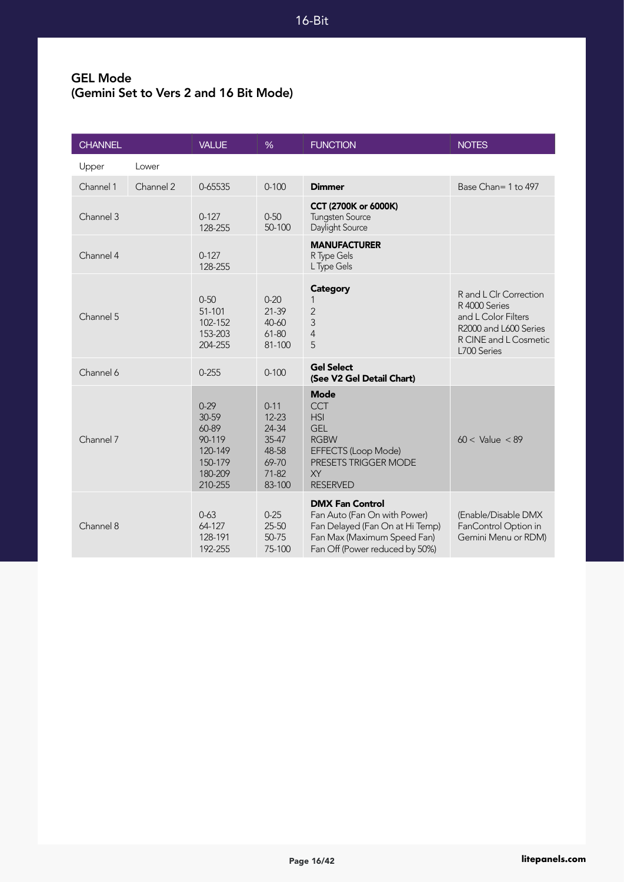#### GEL Mode (Gemini Set to Vers 2 and 16 Bit Mode)

| <b>CHANNEL</b> |           | <b>VALUE</b>                                                                   | $\frac{9}{6}$                                                                | <b>FUNCTION</b>                                                                                                                                            | <b>NOTES</b>                                                                                                                    |
|----------------|-----------|--------------------------------------------------------------------------------|------------------------------------------------------------------------------|------------------------------------------------------------------------------------------------------------------------------------------------------------|---------------------------------------------------------------------------------------------------------------------------------|
| Upper          | Lower     |                                                                                |                                                                              |                                                                                                                                                            |                                                                                                                                 |
| Channel 1      | Channel 2 | 0-65535                                                                        | $0 - 100$                                                                    | <b>Dimmer</b>                                                                                                                                              | Base Chan= 1 to 497                                                                                                             |
| Channel 3      |           | $0 - 127$<br>128-255                                                           | $0 - 50$<br>50-100                                                           | CCT (2700K or 6000K)<br><b>Tungsten Source</b><br>Daylight Source                                                                                          |                                                                                                                                 |
| Channel 4      |           | $0 - 127$<br>128-255                                                           |                                                                              | <b>MANUFACTURER</b><br>R Type Gels<br>L Type Gels                                                                                                          |                                                                                                                                 |
| Channel 5      |           | $0 - 50$<br>51-101<br>102-152<br>153-203<br>204-255                            | $0 - 20$<br>$21 - 39$<br>40-60<br>61-80<br>81-100                            | <b>Category</b><br>$\overline{2}$<br>3<br>$\overline{4}$<br>5                                                                                              | R and L Clr Correction<br>R 4000 Series<br>and L Color Filters<br>R2000 and L600 Series<br>R CINE and L Cosmetic<br>L700 Series |
| Channel 6      |           | $0 - 255$                                                                      | $0 - 100$                                                                    | <b>Gel Select</b><br>(See V2 Gel Detail Chart)                                                                                                             |                                                                                                                                 |
| Channel 7      |           | $0-29$<br>30-59<br>60-89<br>90-119<br>120-149<br>150-179<br>180-209<br>210-255 | $0 - 11$<br>$12 - 23$<br>24-34<br>35-47<br>48-58<br>69-70<br>71-82<br>83-100 | <b>Mode</b><br><b>CCT</b><br><b>HSI</b><br><b>GEL</b><br><b>RGBW</b><br>EFFECTS (Loop Mode)<br>PRESETS TRIGGER MODE<br><b>XY</b><br><b>RESERVED</b>        | $60 <$ Value $< 89$                                                                                                             |
| Channel 8      |           | $0 - 63$<br>64-127<br>128-191<br>192-255                                       | $0 - 25$<br>$25 - 50$<br>50-75<br>75-100                                     | <b>DMX Fan Control</b><br>Fan Auto (Fan On with Power)<br>Fan Delayed (Fan On at Hi Temp)<br>Fan Max (Maximum Speed Fan)<br>Fan Off (Power reduced by 50%) | (Enable/Disable DMX<br>FanControl Option in<br>Gemini Menu or RDM)                                                              |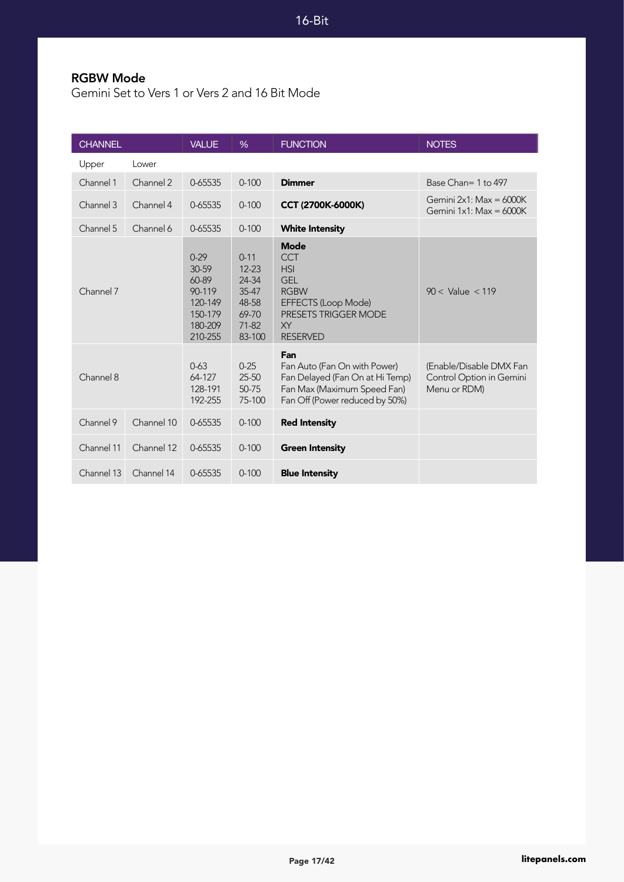#### RGBW Mode

Gemini Set to Vers 1 or Vers 2 and 16 Bit Mode

| <b>CHANNEL</b> |            | <b>VALUE</b>                                                                   | $\frac{9}{6}$                                                                    | <b>FUNCTION</b>                                                                                                                              | <b>NOTES</b>                                                        |
|----------------|------------|--------------------------------------------------------------------------------|----------------------------------------------------------------------------------|----------------------------------------------------------------------------------------------------------------------------------------------|---------------------------------------------------------------------|
| Upper          | Lower      |                                                                                |                                                                                  |                                                                                                                                              |                                                                     |
| Channel 1      | Channel 2  | 0-65535                                                                        | $0 - 100$                                                                        | <b>Dimmer</b>                                                                                                                                | Base Chan= 1 to 497                                                 |
| Channel 3      | Channel 4  | 0-65535                                                                        | $0 - 100$                                                                        | CCT (2700K-6000K)                                                                                                                            | Gemini $2x1$ : Max = 6000K<br>Gemini $1x1$ : Max = 6000K            |
| Channel 5      | Channel 6  | 0-65535                                                                        | $0 - 100$                                                                        | <b>White Intensity</b>                                                                                                                       |                                                                     |
| Channel 7      |            | $0-29$<br>30-59<br>60-89<br>90-119<br>120-149<br>150-179<br>180-209<br>210-255 | $0 - 11$<br>$12 - 23$<br>24-34<br>$35 - 47$<br>48-58<br>69-70<br>71-82<br>83-100 | <b>Mode</b><br><b>CCT</b><br><b>HSI</b><br><b>GEL</b><br><b>RGBW</b><br>EFFECTS (Loop Mode)<br>PRESETS TRIGGER MODE<br>XY<br><b>RESERVED</b> | $90 <$ Value $<$ 119                                                |
| Channel 8      |            | $0 - 63$<br>64-127<br>128-191<br>192-255                                       | $0 - 25$<br>$25 - 50$<br>50-75<br>75-100                                         | Fan<br>Fan Auto (Fan On with Power)<br>Fan Delayed (Fan On at Hi Temp)<br>Fan Max (Maximum Speed Fan)<br>Fan Off (Power reduced by 50%)      | (Enable/Disable DMX Fan<br>Control Option in Gemini<br>Menu or RDM) |
| Channel 9      | Channel 10 | 0-65535                                                                        | $0 - 100$                                                                        | <b>Red Intensity</b>                                                                                                                         |                                                                     |
| Channel 11     | Channel 12 | 0-65535                                                                        | $0 - 100$                                                                        | <b>Green Intensity</b>                                                                                                                       |                                                                     |
| Channel 13     | Channel 14 | 0-65535                                                                        | $0 - 100$                                                                        | <b>Blue Intensity</b>                                                                                                                        |                                                                     |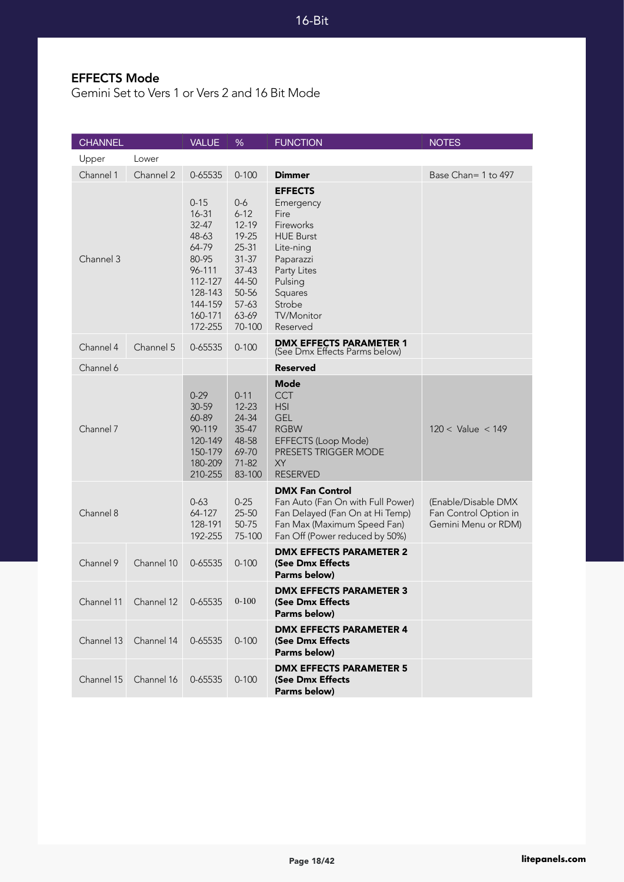#### EFFECTS Mode

Gemini Set to Vers 1 or Vers 2 and 16 Bit Mode

| <b>CHANNEL</b> |                               | <b>VALUE</b>                                                                                                               | %                                                                                                                            | <b>FUNCTION</b>                                                                                                                                                                | <b>NOTES</b>                                                        |
|----------------|-------------------------------|----------------------------------------------------------------------------------------------------------------------------|------------------------------------------------------------------------------------------------------------------------------|--------------------------------------------------------------------------------------------------------------------------------------------------------------------------------|---------------------------------------------------------------------|
| Upper          | Lower                         |                                                                                                                            |                                                                                                                              |                                                                                                                                                                                |                                                                     |
| Channel 1      | Channel 2                     | 0-65535                                                                                                                    | $0 - 100$                                                                                                                    | <b>Dimmer</b>                                                                                                                                                                  | Base Chan= 1 to 497                                                 |
| Channel 3      |                               | $0 - 15$<br>16-31<br>$32 - 47$<br>48-63<br>64-79<br>80-95<br>96-111<br>112-127<br>128-143<br>144-159<br>160-171<br>172-255 | $0-6$<br>$6 - 12$<br>$12 - 19$<br>19-25<br>$25 - 31$<br>$31 - 37$<br>$37-43$<br>44-50<br>50-56<br>$57-63$<br>63-69<br>70-100 | <b>EFFECTS</b><br>Emergency<br>Fire<br>Fireworks<br><b>HUE Burst</b><br>Lite-ning<br>Paparazzi<br>Party Lites<br>Pulsing<br>Squares<br>Strobe<br><b>TV/Monitor</b><br>Reserved |                                                                     |
| Channel 4      | Channel 5                     | 0-65535                                                                                                                    | $0 - 100$                                                                                                                    | <b>DMX EFFECTS PARAMETER 1</b><br>(See Dmx Effects Parms below)                                                                                                                |                                                                     |
| Channel 6      |                               |                                                                                                                            |                                                                                                                              | Reserved                                                                                                                                                                       |                                                                     |
| Channel 7      |                               | $0 - 29$<br>30-59<br>60-89<br>90-119<br>120-149<br>150-179<br>180-209<br>210-255                                           | $0 - 11$<br>$12 - 23$<br>24-34<br>$35 - 47$<br>48-58<br>69-70<br>71-82<br>83-100                                             | <b>Mode</b><br>CCT<br><b>HSI</b><br><b>GEL</b><br><b>RGBW</b><br>EFFECTS (Loop Mode)<br><b>PRESETS TRIGGER MODE</b><br><b>XY</b><br><b>RESERVED</b>                            | $120 <$ Value $<$ 149                                               |
| Channel 8      |                               | $0 - 63$<br>64-127<br>128-191<br>192-255                                                                                   | $0 - 25$<br>25-50<br>50-75<br>75-100                                                                                         | <b>DMX Fan Control</b><br>Fan Auto (Fan On with Full Power)<br>Fan Delayed (Fan On at Hi Temp)<br>Fan Max (Maximum Speed Fan)<br>Fan Off (Power reduced by 50%)                | (Enable/Disable DMX<br>Fan Control Option in<br>Gemini Menu or RDM) |
| Channel 9      | Channel 10                    | 0-65535                                                                                                                    | $0 - 100$                                                                                                                    | <b>DMX EFFECTS PARAMETER 2</b><br>(See Dmx Effects<br>Parms below)                                                                                                             |                                                                     |
|                | Channel 11 Channel 12 0-65535 |                                                                                                                            | $0 - 100$                                                                                                                    | <b>DMX EFFECTS PARAMETER 3</b><br>(See Dmx Effects<br>Parms below)                                                                                                             |                                                                     |
| Channel 13     | Channel 14                    | 0-65535                                                                                                                    | $0 - 100$                                                                                                                    | <b>DMX EFFECTS PARAMETER 4</b><br>(See Dmx Effects<br>Parms below)                                                                                                             |                                                                     |
| Channel 15     | Channel 16                    | 0-65535                                                                                                                    | $0 - 100$                                                                                                                    | <b>DMX EFFECTS PARAMETER 5</b><br>(See Dmx Effects<br>Parms below)                                                                                                             |                                                                     |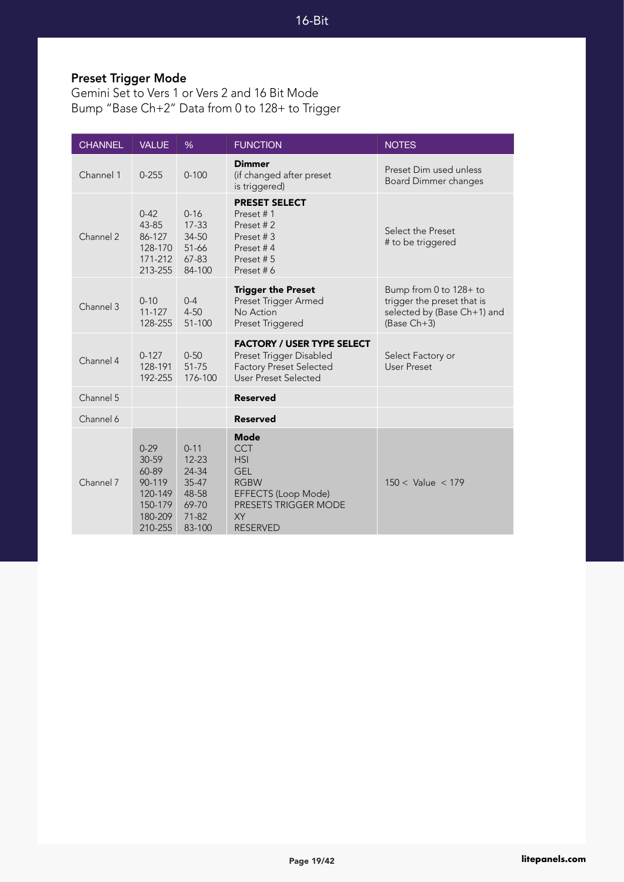# Preset Trigger Mode

Gemini Set to Vers 1 or Vers 2 and 16 Bit Mode Bump "Base Ch+2" Data from 0 to 128+ to Trigger

| <b>CHANNEL</b> | <b>VALUE</b>                                                                     | %                                                                              | <b>FUNCTION</b>                                                                                                                                            | <b>NOTES</b>                                                                                         |
|----------------|----------------------------------------------------------------------------------|--------------------------------------------------------------------------------|------------------------------------------------------------------------------------------------------------------------------------------------------------|------------------------------------------------------------------------------------------------------|
| Channel 1      | $0 - 255$                                                                        | $0 - 100$                                                                      | <b>Dimmer</b><br>(if changed after preset<br>is triggered)                                                                                                 | Preset Dim used unless<br><b>Board Dimmer changes</b>                                                |
| Channel 2      | $0 - 42$<br>43-85<br>86-127<br>128-170<br>171-212<br>213-255                     | $0 - 16$<br>$17 - 33$<br>34-50<br>51-66<br>67-83<br>84-100                     | <b>PRESET SELECT</b><br>Preset #1<br>Preset #2<br>Preset #3<br>Preset #4<br>Preset #5<br>Preset #6                                                         | Select the Preset<br># to be triggered                                                               |
| Channel 3      | $0 - 10$<br>$11 - 127$<br>128-255                                                | $0 - 4$<br>$4 - 50$<br>51-100                                                  | <b>Trigger the Preset</b><br>Preset Trigger Armed<br>No Action<br>Preset Triggered                                                                         | Bump from 0 to 128+ to<br>trigger the preset that is<br>selected by (Base Ch+1) and<br>$(Base Ch+3)$ |
| Channel 4      | $0 - 127$<br>128-191<br>192-255                                                  | $0 - 50$<br>51-75<br>176-100                                                   | <b>FACTORY / USER TYPE SELECT</b><br>Preset Trigger Disabled<br><b>Factory Preset Selected</b><br><b>User Preset Selected</b>                              | Select Factory or<br>User Preset                                                                     |
| Channel 5      |                                                                                  |                                                                                | <b>Reserved</b>                                                                                                                                            |                                                                                                      |
| Channel 6      |                                                                                  |                                                                                | <b>Reserved</b>                                                                                                                                            |                                                                                                      |
| Channel 7      | $0 - 29$<br>30-59<br>60-89<br>90-119<br>120-149<br>150-179<br>180-209<br>210-255 | $0 - 11$<br>$12 - 23$<br>24-34<br>35-47<br>48-58<br>69-70<br>$71-82$<br>83-100 | <b>Mode</b><br><b>CCT</b><br><b>HSI</b><br><b>GEL</b><br><b>RGBW</b><br>EFFECTS (Loop Mode)<br><b>PRESETS TRIGGER MODE</b><br><b>XY</b><br><b>RESERVED</b> | $150 <$ Value $< 179$                                                                                |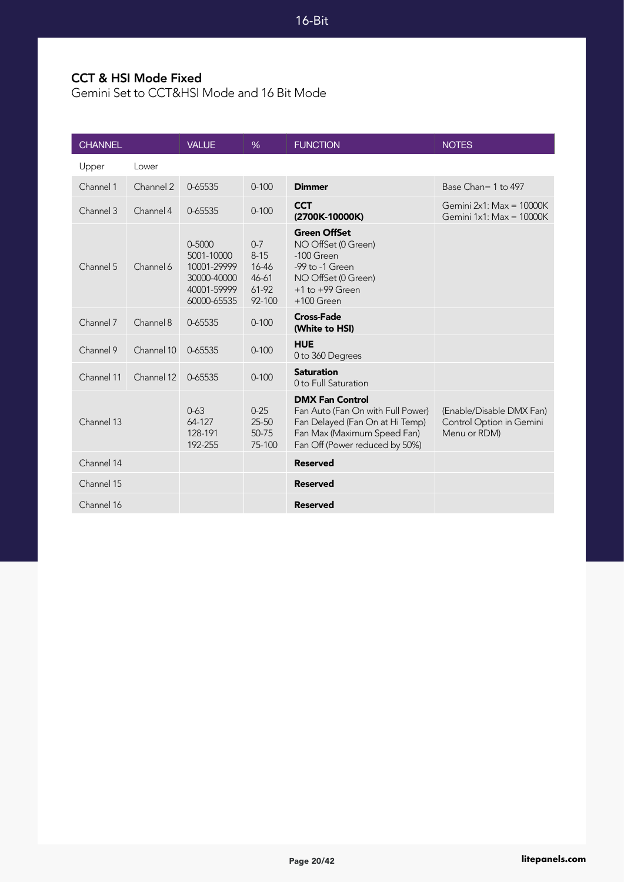#### CCT & HSI Mode Fixed

Gemini Set to CCT&HSI Mode and 16 Bit Mode

| <b>CHANNEL</b> |            | <b>VALUE</b>                                                                         | %                                                            | <b>FUNCTION</b>                                                                                                                                                 | <b>NOTES</b>                                                         |
|----------------|------------|--------------------------------------------------------------------------------------|--------------------------------------------------------------|-----------------------------------------------------------------------------------------------------------------------------------------------------------------|----------------------------------------------------------------------|
| Upper          | Lower      |                                                                                      |                                                              |                                                                                                                                                                 |                                                                      |
| Channel 1      | Channel 2  | 0-65535                                                                              | $0 - 100$                                                    | <b>Dimmer</b>                                                                                                                                                   | Base Chan= 1 to 497                                                  |
| Channel 3      | Channel 4  | 0-65535                                                                              | $0 - 100$                                                    | <b>CCT</b><br>(2700K-10000K)                                                                                                                                    | Gemini $2x1$ : Max = 10000K<br>Gemini $1x1$ : Max = $10000K$         |
| Channel 5      | Channel 6  | $0 - 5000$<br>5001-10000<br>10001-29999<br>30000-40000<br>40001-59999<br>60000-65535 | $0 - 7$<br>$8 - 15$<br>16-46<br>$46 - 61$<br>61-92<br>92-100 | <b>Green OffSet</b><br>NO OffSet (0 Green)<br>$-100$ Green<br>-99 to -1 Green<br>NO OffSet (0 Green)<br>$+1$ to $+99$ Green<br>$+100$ Green                     |                                                                      |
| Channel 7      | Channel 8  | 0-65535                                                                              | $0 - 100$                                                    | <b>Cross-Fade</b><br>(White to HSI)                                                                                                                             |                                                                      |
| Channel 9      | Channel 10 | 0-65535                                                                              | $0 - 100$                                                    | <b>HUE</b><br>0 to 360 Degrees                                                                                                                                  |                                                                      |
| Channel 11     | Channel 12 | 0-65535                                                                              | $0 - 100$                                                    | <b>Saturation</b><br>0 to Full Saturation                                                                                                                       |                                                                      |
| Channel 13     |            | $0 - 63$<br>64-127<br>128-191<br>192-255                                             | $0 - 25$<br>$25 - 50$<br>50-75<br>75-100                     | <b>DMX Fan Control</b><br>Fan Auto (Fan On with Full Power)<br>Fan Delayed (Fan On at Hi Temp)<br>Fan Max (Maximum Speed Fan)<br>Fan Off (Power reduced by 50%) | (Enable/Disable DMX Fan)<br>Control Option in Gemini<br>Menu or RDM) |
| Channel 14     |            |                                                                                      |                                                              | <b>Reserved</b>                                                                                                                                                 |                                                                      |
| Channel 15     |            |                                                                                      |                                                              | <b>Reserved</b>                                                                                                                                                 |                                                                      |
| Channel 16     |            |                                                                                      |                                                              | <b>Reserved</b>                                                                                                                                                 |                                                                      |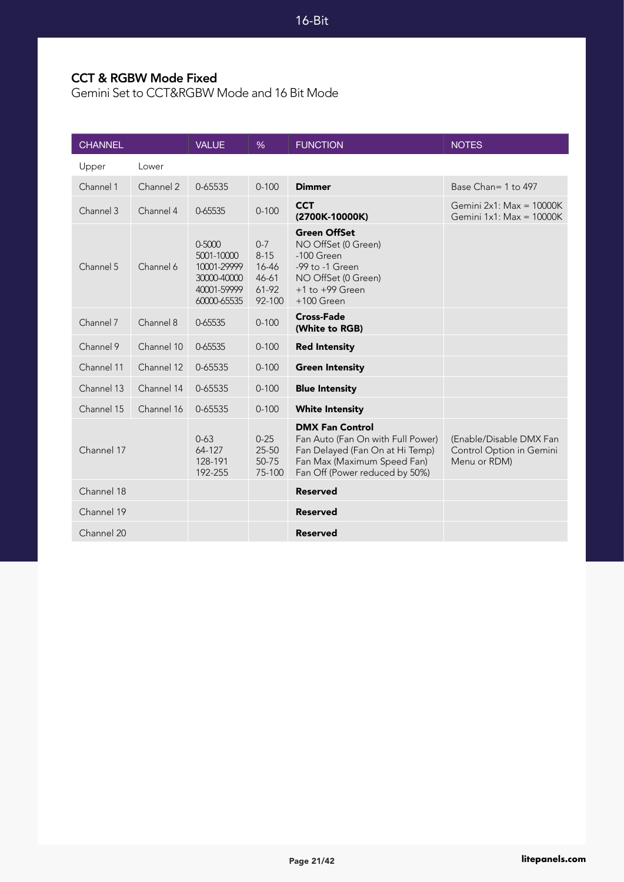#### CCT & RGBW Mode Fixed

Gemini Set to CCT&RGBW Mode and 16 Bit Mode

| <b>CHANNEL</b> |            | <b>VALUE</b>                                                                     | %                                                        | <b>FUNCTION</b>                                                                                                                                                 | <b>NOTES</b>                                                        |
|----------------|------------|----------------------------------------------------------------------------------|----------------------------------------------------------|-----------------------------------------------------------------------------------------------------------------------------------------------------------------|---------------------------------------------------------------------|
| Upper          | Lower      |                                                                                  |                                                          |                                                                                                                                                                 |                                                                     |
| Channel 1      | Channel 2  | 0-65535                                                                          | $0 - 100$                                                | <b>Dimmer</b>                                                                                                                                                   | Base Chan= 1 to 497                                                 |
| Channel 3      | Channel 4  | 0-65535                                                                          | $0 - 100$                                                | <b>CCT</b><br>(2700K-10000K)                                                                                                                                    | Gemini $2x1$ : Max = 10000K<br>Gemini 1x1: Max = 10000K             |
| Channel 5      | Channel 6  | 0-5000<br>5001-10000<br>10001-29999<br>30000-40000<br>40001-59999<br>60000-65535 | $0 - 7$<br>$8 - 15$<br>16-46<br>46-61<br>61-92<br>92-100 | <b>Green OffSet</b><br>NO OffSet (0 Green)<br>-100 Green<br>-99 to -1 Green<br>NO OffSet (0 Green)<br>$+1$ to $+99$ Green<br>$+100$ Green                       |                                                                     |
| Channel 7      | Channel 8  | 0-65535                                                                          | $0 - 100$                                                | <b>Cross-Fade</b><br>(White to RGB)                                                                                                                             |                                                                     |
| Channel 9      | Channel 10 | 0-65535                                                                          | $0 - 100$                                                | <b>Red Intensity</b>                                                                                                                                            |                                                                     |
| Channel 11     | Channel 12 | 0-65535                                                                          | $0 - 100$                                                | <b>Green Intensity</b>                                                                                                                                          |                                                                     |
| Channel 13     | Channel 14 | 0-65535                                                                          | $0 - 100$                                                | <b>Blue Intensity</b>                                                                                                                                           |                                                                     |
| Channel 15     | Channel 16 | 0-65535                                                                          | $0 - 100$                                                | <b>White Intensity</b>                                                                                                                                          |                                                                     |
| Channel 17     |            | $0 - 63$<br>64-127<br>128-191<br>192-255                                         | $0 - 25$<br>25-50<br>50-75<br>75-100                     | <b>DMX Fan Control</b><br>Fan Auto (Fan On with Full Power)<br>Fan Delayed (Fan On at Hi Temp)<br>Fan Max (Maximum Speed Fan)<br>Fan Off (Power reduced by 50%) | (Enable/Disable DMX Fan<br>Control Option in Gemini<br>Menu or RDM) |
| Channel 18     |            |                                                                                  |                                                          | <b>Reserved</b>                                                                                                                                                 |                                                                     |
| Channel 19     |            |                                                                                  |                                                          | <b>Reserved</b>                                                                                                                                                 |                                                                     |
| Channel 20     |            |                                                                                  |                                                          | <b>Reserved</b>                                                                                                                                                 |                                                                     |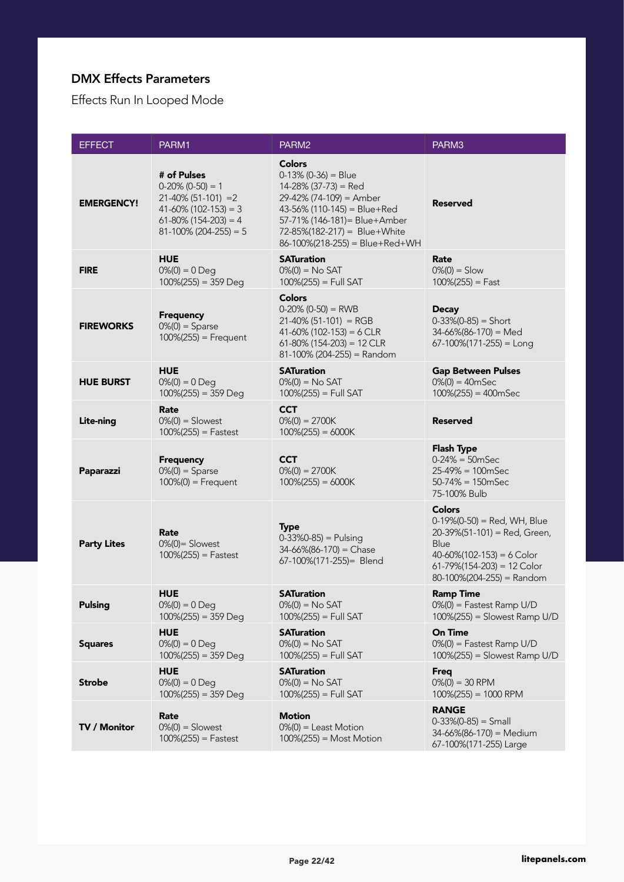#### DMX Effects Parameters

Effects Run In Looped Mode

| <b>EFFECT</b>      | PARM1                                                                                                                                          | PARM <sub>2</sub>                                                                                                                                                                                                                   | PARM3                                                                                                                                                                                    |
|--------------------|------------------------------------------------------------------------------------------------------------------------------------------------|-------------------------------------------------------------------------------------------------------------------------------------------------------------------------------------------------------------------------------------|------------------------------------------------------------------------------------------------------------------------------------------------------------------------------------------|
| <b>EMERGENCY!</b>  | # of Pulses<br>$0-20\%$ (0-50) = 1<br>$21-40\%$ (51-101) = 2<br>$41-60\%$ (102-153) = 3<br>$61-80\%$ (154-203) = 4<br>$81-100\%$ (204-255) = 5 | <b>Colors</b><br>$0-13\%$ (0-36) = Blue<br>$14-28\%$ (37-73) = Red<br>29-42% (74-109) = Amber<br>43-56% (110-145) = Blue+Red<br>57-71% (146-181) = Blue+Amber<br>72-85%(182-217) = Blue+White<br>$86-100\%$ (218-255) = Blue+Red+WH | <b>Reserved</b>                                                                                                                                                                          |
| <b>FIRE</b>        | <b>HUE</b><br>$0\%(0) = 0$ Deq<br>$100\%(255) = 359$ Deg                                                                                       | <b>SATuration</b><br>$0\%(0) = No SAT$<br>$100\% (255) = Full SAT$                                                                                                                                                                  | Rate<br>$0\%(0) =$ Slow<br>$100\% (255) = Fast$                                                                                                                                          |
| <b>FIREWORKS</b>   | <b>Frequency</b><br>$0\%(0) =$ Sparse<br>$100\% (255) =$ Frequent                                                                              | <b>Colors</b><br>$0-20\%$ (0-50) = RWB<br>$21-40\%$ (51-101) = RGB<br>$41-60\%$ (102-153) = 6 CLR<br>$61-80\%$ (154-203) = 12 CLR<br>$81-100\%$ (204-255) = Random                                                                  | <b>Decay</b><br>$0-33\%(0-85) =$ Short<br>$34-66\%(86-170) = Med$<br>$67-100\%$ (171-255) = Long                                                                                         |
| <b>HUE BURST</b>   | <b>HUE</b><br>$0\%(0) = 0$ Deq<br>$100\%(255) = 359$ Deg                                                                                       | <b>SATuration</b><br>$0\% (0) = No SAT$<br>$100\% (255) = Full SAT$                                                                                                                                                                 | <b>Gap Between Pulses</b><br>$0\%(0) = 40mSec$<br>$100\%(255) = 400mSec$                                                                                                                 |
| <b>Lite-ning</b>   | Rate<br>$0\%$ (0) = Slowest<br>$100\% (255) =$ Fastest                                                                                         | <b>CCT</b><br>$0\%(0) = 2700K$<br>$100\%(255) = 6000K$                                                                                                                                                                              | <b>Reserved</b>                                                                                                                                                                          |
| Paparazzi          | <b>Frequency</b><br>$0\%(0) =$ Sparse<br>$100\%$ (0) = Frequent                                                                                | <b>CCT</b><br>$0\%(0) = 2700K$<br>$100\%(255) = 6000K$                                                                                                                                                                              | <b>Flash Type</b><br>$0-24\% = 50$ mSec<br>$25-49\% = 100$ mSec<br>$50-74\% = 150$ mSec<br>75-100% Bulb                                                                                  |
| <b>Party Lites</b> | Rate<br>$0\%$ (0) = Slowest<br>$100\%(255) = \text{Fastest}$                                                                                   | <b>Type</b><br>$0-33\%0-85$ ) = Pulsing<br>$34-66\%(86-170) = Chase$<br>67-100%(171-255)= Blend                                                                                                                                     | <b>Colors</b><br>$0-19\%$ (0-50) = Red, WH, Blue<br>20-39%(51-101) = Red, Green,<br>Blue<br>$40-60\%$ (102-153) = 6 Color<br>$61-79\%$ (154-203) = 12 Color<br>80-100%(204-255) = Random |
| <b>Pulsing</b>     | <b>HUE</b><br>$0\%$ (0) = 0 Deg<br>$100\%(255) = 359$ Deg                                                                                      | <b>SATuration</b><br>$0\%$ (0) = No SAT<br>$100\% (255) = Full SAT$                                                                                                                                                                 | <b>Ramp Time</b><br>$0\%$ (0) = Fastest Ramp U/D<br>$100\%(255) =$ Slowest Ramp U/D                                                                                                      |
| <b>Squares</b>     | <b>HUE</b><br>$0\% (0) = 0$ Deg<br>$100\%(255) = 359$ Deg                                                                                      | <b>SATuration</b><br>$0\%(0) = No SAT$<br>$100\% (255) = Full SAT$                                                                                                                                                                  | <b>On Time</b><br>$0\%$ (0) = Fastest Ramp U/D<br>$100\%(255) =$ Slowest Ramp U/D                                                                                                        |
| <b>Strobe</b>      | <b>HUE</b><br>$0\%(0) = 0$ Deg<br>$100\%(255) = 359$ Deg                                                                                       | <b>SATuration</b><br>$0\%(0) = No SAT$<br>$100\% (255) = Full SAT$                                                                                                                                                                  | <b>Freg</b><br>$0\%(0) = 30$ RPM<br>$100\%(255) = 1000$ RPM                                                                                                                              |
| TV / Monitor       | Rate<br>$0\%(0) =$ Slowest<br>$100\%(255) = \text{Fastest}$                                                                                    | <b>Motion</b><br>$0\%$ (0) = Least Motion<br>$100\%(255) =$ Most Motion                                                                                                                                                             | <b>RANGE</b><br>$0-33\%(0-85) = Small$<br>34-66%(86-170) = Medium<br>67-100%(171-255) Large                                                                                              |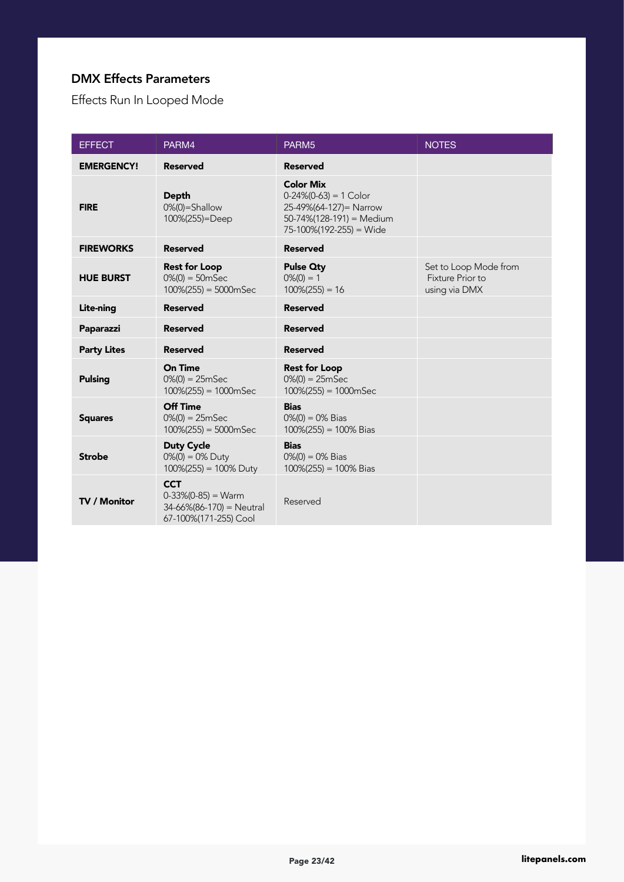#### DMX Effects Parameters

Effects Run In Looped Mode

| <b>EFFECT</b>       | PARM4                                                                                        | PARM <sub>5</sub>                                                                                                              | <b>NOTES</b>                                                      |
|---------------------|----------------------------------------------------------------------------------------------|--------------------------------------------------------------------------------------------------------------------------------|-------------------------------------------------------------------|
| <b>EMERGENCY!</b>   | <b>Reserved</b>                                                                              | <b>Reserved</b>                                                                                                                |                                                                   |
| <b>FIRE</b>         | <b>Depth</b><br>$0\%(0)$ =Shallow<br>100%(255)=Deep                                          | <b>Color Mix</b><br>$0-24\% (0-63) = 1$ Color<br>25-49%(64-127)= Narrow<br>50-74%(128-191) = Medium<br>75-100%(192-255) = Wide |                                                                   |
| <b>FIREWORKS</b>    | <b>Reserved</b>                                                                              | <b>Reserved</b>                                                                                                                |                                                                   |
| <b>HUE BURST</b>    | <b>Rest for Loop</b><br>$0\%$ (0) = 50mSec<br>$100\%(255) = 5000mSec$                        | <b>Pulse Qty</b><br>$0\%(0) = 1$<br>$100\%(255) = 16$                                                                          | Set to Loop Mode from<br><b>Fixture Prior to</b><br>using via DMX |
| Lite-ning           | <b>Reserved</b>                                                                              | <b>Reserved</b>                                                                                                                |                                                                   |
| Paparazzi           | <b>Reserved</b>                                                                              | <b>Reserved</b>                                                                                                                |                                                                   |
| <b>Party Lites</b>  | <b>Reserved</b>                                                                              | <b>Reserved</b>                                                                                                                |                                                                   |
| <b>Pulsing</b>      | <b>On Time</b><br>$0\%$ (0) = 25mSec<br>$100\%(255) = 1000mSec$                              | <b>Rest for Loop</b><br>$0\%$ (0) = 25mSec<br>$100\%(255) = 1000mSec$                                                          |                                                                   |
| <b>Squares</b>      | Off Time<br>$0\%(0) = 25mSec$<br>$100\%(255) = 5000mSec$                                     | <b>Bias</b><br>$0\%$ (0) = 0% Bias<br>$100\%(255) = 100\%$ Bias                                                                |                                                                   |
| <b>Strobe</b>       | <b>Duty Cycle</b><br>$0\%$ (0) = 0% Duty<br>$100\%(255) = 100\%$ Duty                        | <b>Bias</b><br>$0\%$ (0) = 0% Bias<br>$100\%(255) = 100\%$ Bias                                                                |                                                                   |
| <b>TV / Monitor</b> | <b>CCT</b><br>$0-33\%(0-85) = Warm$<br>$34-66\%$ (86-170) = Neutral<br>67-100%(171-255) Cool | Reserved                                                                                                                       |                                                                   |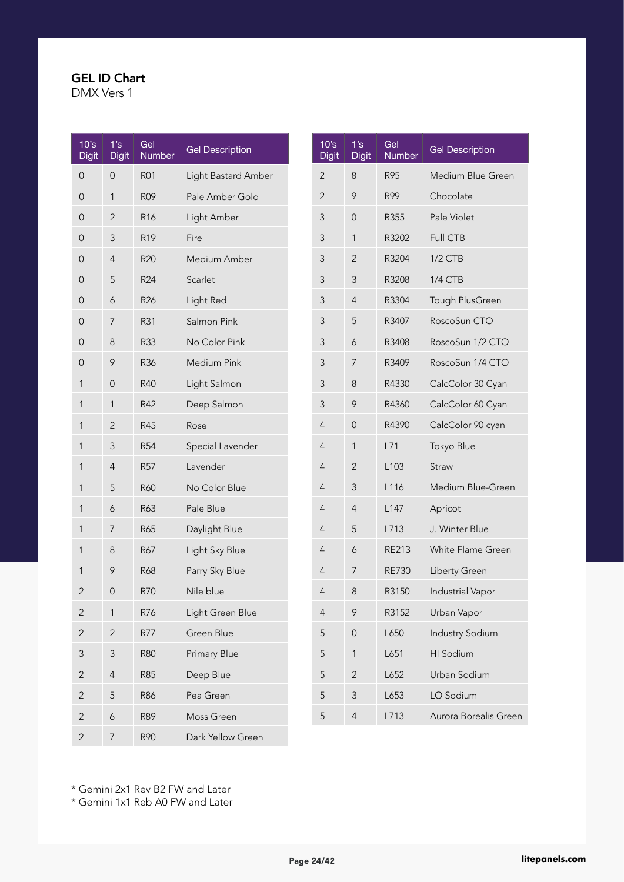DMX Vers 1

| 10s<br><b>Digit</b> | 1's<br>Digit   | Gel<br>Number   | <b>Gel Description</b> |
|---------------------|----------------|-----------------|------------------------|
| 0                   | 0              | <b>R01</b>      | Light Bastard Amber    |
| 0                   | 1              | <b>R09</b>      | Pale Amber Gold        |
| $\mathbf 0$         | $\overline{2}$ | R <sub>16</sub> | Light Amber            |
| $\mathbf 0$         | 3              | R <sub>19</sub> | Fire                   |
| $\mathbf 0$         | $\overline{4}$ | R20             | Medium Amber           |
| 0                   | 5              | R <sub>24</sub> | Scarlet                |
| 0                   | 6              | R <sub>26</sub> | Light Red              |
| 0                   | 7              | R31             | Salmon Pink            |
| 0                   | 8              | R33             | No Color Pink          |
| $\overline{0}$      | 9              | R36             | Medium Pink            |
| 1                   | 0              | R40             | Light Salmon           |
| 1                   | 1              | R42             | Deep Salmon            |
| 1                   | $\overline{2}$ | R45             | Rose                   |
| 1                   | 3              | <b>R54</b>      | Special Lavender       |
| 1                   | $\overline{4}$ | <b>R57</b>      | Lavender               |
| 1                   | 5              | R60             | No Color Blue          |
| 1                   | 6              | R63             | Pale Blue              |
| 1                   | 7              | R65             | Daylight Blue          |
| 1                   | 8              | R67             | Light Sky Blue         |
| 1                   | 9              | R68             | Parry Sky Blue         |
| 2                   | 0              | <b>R70</b>      | Nile blue              |
| $\overline{c}$      | 1              | R76             | Light Green Blue       |
| $\overline{c}$      | $\overline{c}$ | R77             | Green Blue             |
| 3                   | 3              | <b>R80</b>      | Primary Blue           |
| $\overline{c}$      | $\overline{4}$ | <b>R85</b>      | Deep Blue              |
| $\overline{c}$      | 5              | <b>R86</b>      | Pea Green              |
| $\overline{2}$      | 6              | R89             | Moss Green             |
| $\overline{c}$      | 7              | R90             | Dark Yellow Green      |

| 10's<br><b>Digit</b> | 1's<br><b>Digit</b> | Gel<br>Number    | <b>Gel Description</b>   |
|----------------------|---------------------|------------------|--------------------------|
| 2                    | 8                   | R95              | Medium Blue Green        |
| $\overline{2}$       | 9                   | R99              | Chocolate                |
| 3                    | $\Omega$            | R355             | Pale Violet              |
| 3                    | 1                   | R3202            | <b>Full CTB</b>          |
| 3                    | 2                   | R3204            | $1/2$ CTB                |
| 3                    | 3                   | R3208            | 1/4 CTB                  |
| 3                    | 4                   | R3304            | Tough PlusGreen          |
| 3                    | 5                   | R3407            | RoscoSun CTO             |
| 3                    | 6                   | R3408            | RoscoSun 1/2 CTO         |
| 3                    | 7                   | R3409            | RoscoSun 1/4 CTO         |
| 3                    | 8                   | R4330            | CalcColor 30 Cyan        |
| 3                    | 9                   | R4360            | CalcColor 60 Cyan        |
| 4                    | 0                   | R4390            | CalcColor 90 cyan        |
| 4                    | 1                   | L71              | Tokyo Blue               |
| 4                    | $\overline{2}$      | L <sub>103</sub> | Straw                    |
| 4                    | 3                   | L116             | Medium Blue-Green        |
| 4                    | 4                   | L <sub>147</sub> | Apricot                  |
| 4                    | 5                   | L713             | J. Winter Blue           |
| 4                    | 6                   | <b>RE213</b>     | <b>White Flame Green</b> |
| 4                    | 7                   | <b>RE730</b>     | Liberty Green            |
| 4                    | 8                   | R3150            | <b>Industrial Vapor</b>  |
| 4                    | 9                   | R3152            | Urban Vapor              |
| 5                    | 0                   | L650             | <b>Industry Sodium</b>   |
| 5                    | 1                   | L651             | <b>HI</b> Sodium         |
| 5                    | $\overline{2}$      | L652             | Urban Sodium             |
| 5                    | 3                   | L653             | LO Sodium                |
| 5                    | 4                   | L713             | Aurora Borealis Green    |

\* Gemini 2x1 Rev B2 FW and Later

\* Gemini 1x1 Reb A0 FW and Later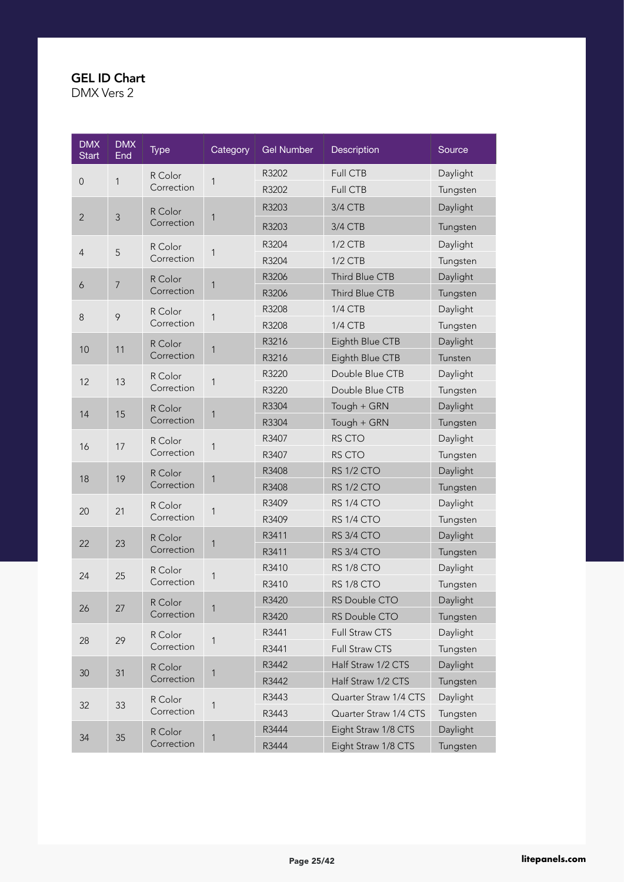| <b>DMX</b><br><b>Start</b> | <b>DMX</b><br>End | <b>Type</b>           | Category | <b>Gel Number</b> | Description                                | Source   |          |
|----------------------------|-------------------|-----------------------|----------|-------------------|--------------------------------------------|----------|----------|
|                            |                   | R Color               |          | R3202             | Full CTB                                   | Daylight |          |
| $\mathsf{O}\xspace$        | 1                 | Correction            | 1        | R3202             | Full CTB                                   | Tungsten |          |
|                            |                   | R Color               |          | R3203             | 3/4 CTB                                    | Daylight |          |
| $\overline{2}$             | $\mathfrak{Z}$    | Correction            | 1        | R3203             | 3/4 CTB                                    | Tungsten |          |
|                            |                   | R Color               |          | R3204             | $1/2$ CTB                                  | Daylight |          |
| 4                          | 5                 | Correction            | 1        | R3204             | $1/2$ CTB                                  | Tungsten |          |
|                            |                   | R Color               |          | R3206             | Third Blue CTB                             | Daylight |          |
| 6                          | $\overline{7}$    | Correction            | 1        | R3206             | Third Blue CTB                             | Tungsten |          |
|                            |                   | R Color               |          | R3208             | <b>1/4 CTB</b>                             | Daylight |          |
| $\,8\,$                    | 9                 | Correction            | 1        | R3208             | 1/4 CTB                                    | Tungsten |          |
| 10                         | 11                | R Color               | 1        | R3216             | Eighth Blue CTB                            | Daylight |          |
|                            |                   | Correction            |          | R3216             | Eighth Blue CTB                            | Tunsten  |          |
| 12                         | 13                | R Color               | 1        | R3220             | Double Blue CTB                            | Daylight |          |
|                            |                   | Correction            |          | R3220             | Double Blue CTB                            | Tungsten |          |
| 14                         | 15                | R Color               | 1        | R3304             | Tough + GRN                                | Daylight |          |
|                            |                   | Correction            |          | R3304             | Tough + GRN                                | Tungsten |          |
| 16                         | 17                | R Color               |          | 1                 | R3407                                      | RS CTO   | Daylight |
|                            |                   | Correction            |          | R3407             | RS CTO                                     | Tungsten |          |
| 18                         | 19                | R Color               | 1        | R3408             | RS 1/2 CTO                                 | Daylight |          |
|                            |                   | Correction            |          | R3408             | RS 1/2 CTO                                 | Tungsten |          |
| 20                         | 21                | R Color               | 1        | R3409             | RS 1/4 CTO                                 | Daylight |          |
|                            |                   | Correction            |          | R3409             | RS 1/4 CTO                                 | Tungsten |          |
| 22                         | 23                | R Color               | 1        | R3411             | RS 3/4 CTO                                 | Daylight |          |
|                            |                   | Correction            |          | R3411             | RS 3/4 CTO                                 | Tungsten |          |
| 24                         | 25                | R Color               | 1        | R3410             | RS 1/8 CTO                                 | Daylight |          |
|                            |                   | Correction            |          | R3410             | RS 1/8 CTO                                 | Tungsten |          |
| 26                         | 27                | R Color               | 1        | R3420             | RS Double CTO                              | Daylight |          |
|                            |                   | Correction            |          | R3420             | RS Double CTO                              | Tungsten |          |
| 28                         | 29                | R Color               | 1        | R3441             | Full Straw CTS                             | Daylight |          |
|                            |                   | Correction            |          | R3441             | Full Straw CTS                             | Tungsten |          |
| 30                         | 31                | R Color<br>Correction | 1        | R3442             | Half Straw 1/2 CTS                         | Daylight |          |
|                            |                   |                       |          | R3442             | Half Straw 1/2 CTS                         | Tungsten |          |
| 32                         | 33                | R Color<br>Correction | 1        | R3443             | Quarter Straw 1/4 CTS                      | Daylight |          |
|                            |                   |                       |          | R3443             | Quarter Straw 1/4 CTS                      | Tungsten |          |
| 34                         | 35                | R Color<br>Correction | 1        | R3444<br>R3444    | Eight Straw 1/8 CTS<br>Eight Straw 1/8 CTS | Daylight |          |
|                            |                   |                       |          |                   |                                            | Tungsten |          |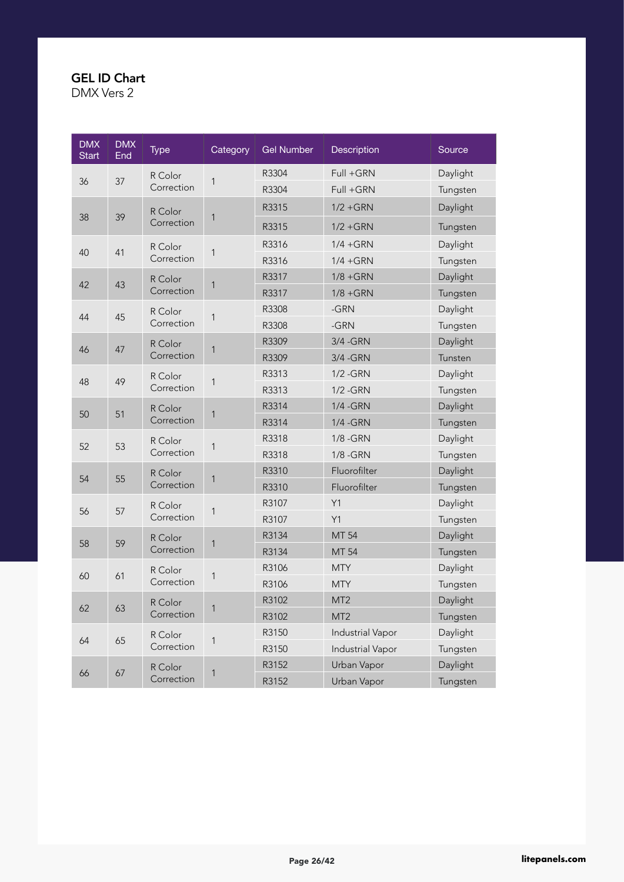| <b>DMX</b><br><b>Start</b> | <b>DMX</b><br>End | <b>Type</b> | Category | <b>Gel Number</b> | Description             | Source      |          |
|----------------------------|-------------------|-------------|----------|-------------------|-------------------------|-------------|----------|
| 36                         | 37                | R Color     | 1        | R3304             | Full +GRN               | Daylight    |          |
|                            |                   | Correction  |          | R3304             | Full +GRN               | Tungsten    |          |
|                            |                   | R Color     |          | R3315             | $1/2 + GRN$             | Daylight    |          |
| 38                         | 39                | Correction  | 1        | R3315             | $1/2 + GRN$             | Tungsten    |          |
|                            |                   | R Color     |          | R3316             | $1/4 + GRN$             | Daylight    |          |
| 40                         | 41                | Correction  | 1        | R3316             | $1/4 + GRN$             | Tungsten    |          |
|                            |                   | R Color     |          | R3317             | $1/8 + GRN$             | Daylight    |          |
| 42                         | 43                | Correction  | 1        | R3317             | $1/8 + GRN$             | Tungsten    |          |
|                            |                   | R Color     |          | R3308             | $-GRN$                  | Daylight    |          |
| 44                         | 45                | Correction  | 1        | R3308             | -GRN                    | Tungsten    |          |
|                            | 47                | R Color     |          | R3309             | 3/4 - GRN               | Daylight    |          |
| 46                         |                   | Correction  | 1        | R3309             | 3/4 - GRN               | Tunsten     |          |
|                            | 49                | R Color     |          | R3313             | $1/2 - GRN$             | Daylight    |          |
| 48                         |                   | Correction  | 1        | R3313             | $1/2 - GRN$             | Tungsten    |          |
| 50                         | 51                | R Color     | 1        | R3314             | 1/4 - GRN               | Daylight    |          |
|                            |                   | Correction  |          | R3314             | 1/4 - GRN               | Tungsten    |          |
| 52                         | 53                | R Color     | 1        | R3318             | 1/8 - GRN               | Daylight    |          |
|                            |                   | Correction  |          | R3318             | $1/8 - GRN$             | Tungsten    |          |
| 54                         | 55                | R Color     | 1        | R3310             | Fluorofilter            | Daylight    |          |
|                            |                   | Correction  |          | R3310             | Fluorofilter            | Tungsten    |          |
| 56                         | 57                | R Color     | 1        | R3107             | Y1                      | Daylight    |          |
|                            |                   | Correction  |          | R3107             | Y1                      | Tungsten    |          |
| 58                         | 59                | R Color     | 1        | R3134             | MT 54                   | Daylight    |          |
|                            |                   | Correction  |          | R3134             | MT 54                   | Tungsten    |          |
| 60                         | 61                | R Color     | 1        | R3106             | <b>MTY</b>              | Daylight    |          |
|                            |                   | Correction  |          | R3106             | <b>MTY</b>              | Tungsten    |          |
| 62                         | 63                | R Color     | 1        | R3102             | MT <sub>2</sub>         | Daylight    |          |
|                            |                   | Correction  |          | R3102             | MT <sub>2</sub>         | Tungsten    |          |
| 64                         | 65                | R Color     | 1        | R3150             | <b>Industrial Vapor</b> | Daylight    |          |
|                            |                   | Correction  |          | R3150             | Industrial Vapor        | Tungsten    |          |
| 66                         | 67                | R Color     | 1        | R3152             | Urban Vapor             | Daylight    |          |
|                            |                   | Correction  |          |                   | R3152                   | Urban Vapor | Tungsten |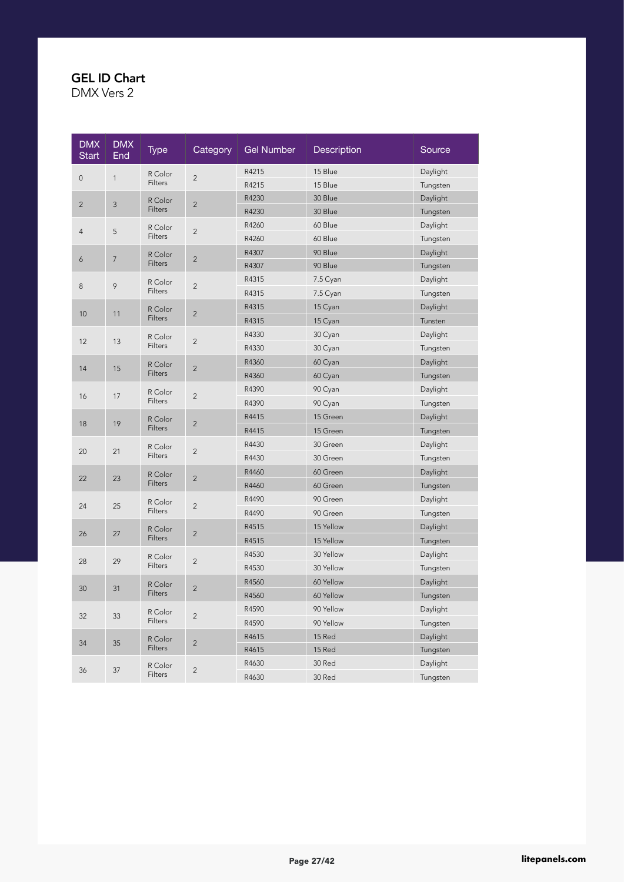| <b>DMX</b><br><b>Start</b> | <b>DMX</b><br>End | <b>Type</b>    | Category       | Gel Number | <b>Description</b> | Source   |
|----------------------------|-------------------|----------------|----------------|------------|--------------------|----------|
| $\mathbf 0$                | $\mathbf{1}$      | R Color        | $\overline{2}$ | R4215      | 15 Blue            | Daylight |
|                            |                   | Filters        |                | R4215      | 15 Blue            | Tungsten |
| $\overline{c}$             | $\mathsf 3$       | R Color        | $\overline{2}$ | R4230      | 30 Blue            | Daylight |
|                            |                   | Filters        |                | R4230      | 30 Blue            | Tungsten |
| $\overline{4}$             | 5                 | R Color        | $\overline{2}$ | R4260      | 60 Blue            | Daylight |
|                            |                   | Filters        |                | R4260      | 60 Blue            | Tungsten |
| 6                          | $\overline{7}$    | R Color        | $\overline{c}$ | R4307      | 90 Blue            | Daylight |
|                            |                   | Filters        |                | R4307      | 90 Blue            | Tungsten |
| 8                          | 9                 | R Color        | $\overline{2}$ | R4315      | 7.5 Cyan           | Daylight |
|                            |                   | Filters        |                | R4315      | 7.5 Cyan           | Tungsten |
| 10                         | 11                | R Color        | $\overline{2}$ | R4315      | 15 Cyan            | Daylight |
|                            |                   | Filters        |                | R4315      | 15 Cyan            | Tunsten  |
| 12                         | 13                | R Color        | $\overline{c}$ | R4330      | 30 Cyan            | Daylight |
|                            |                   | Filters        |                | R4330      | 30 Cyan            | Tungsten |
| 14                         | 15                | R Color        | $\overline{2}$ | R4360      | 60 Cyan            | Daylight |
|                            |                   | <b>Filters</b> |                | R4360      | 60 Cyan            | Tungsten |
| 16                         | 17                | R Color        | $\overline{2}$ | R4390      | 90 Cyan            | Daylight |
|                            |                   | Filters        |                | R4390      | 90 Cyan            | Tungsten |
| 18                         | 19                | R Color        | $\overline{2}$ | R4415      | 15 Green           | Daylight |
|                            |                   | Filters        |                | R4415      | 15 Green           | Tungsten |
| 20                         | 21                | R Color        | $\overline{c}$ | R4430      | 30 Green           | Daylight |
|                            |                   | Filters        |                | R4430      | 30 Green           | Tungsten |
| 22                         | 23                | R Color        | $\overline{2}$ | R4460      | 60 Green           | Daylight |
|                            |                   | Filters        |                | R4460      | 60 Green           | Tungsten |
| 24                         | 25                | R Color        | $\overline{c}$ | R4490      | 90 Green           | Daylight |
|                            |                   | Filters        |                | R4490      | 90 Green           | Tungsten |
| 26                         | 27                | R Color        | $\overline{c}$ | R4515      | 15 Yellow          | Daylight |
|                            |                   | Filters        |                | R4515      | 15 Yellow          | Tungsten |
| 28                         | 29                | R Color        | $\overline{c}$ | R4530      | 30 Yellow          | Daylight |
|                            |                   | Filters        |                | R4530      | 30 Yellow          | Tungsten |
| 30                         | 31                | R Color        | $\overline{c}$ | R4560      | 60 Yellow          | Daylight |
|                            |                   | Filters        |                | R4560      | 60 Yellow          | Tungsten |
| 32                         | 33                | R Color        | $\overline{c}$ | R4590      | 90 Yellow          | Daylight |
|                            |                   | Filters        |                | R4590      | 90 Yellow          | Tungsten |
| 34                         | 35                | R Color        | $\overline{c}$ | R4615      | 15 Red             | Daylight |
|                            |                   | Filters        |                | R4615      | 15 Red             | Tungsten |
| 36                         | 37                | R Color        | $\overline{c}$ | R4630      | 30 Red             | Daylight |
|                            |                   | Filters        |                | R4630      | 30 Red             | Tungsten |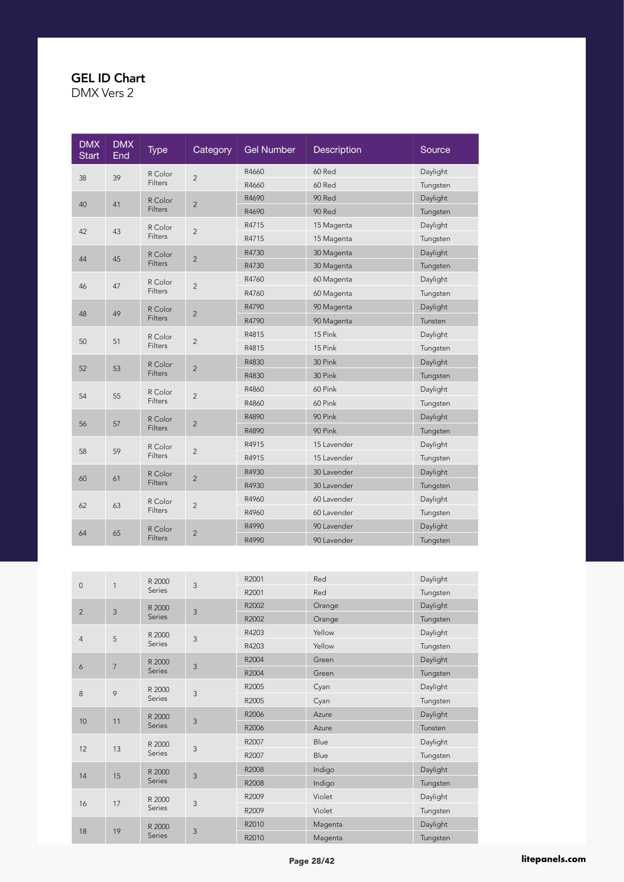| <b>DMX</b><br><b>Start</b> | <b>DMX</b><br>End | <b>Type</b>    | Category       | <b>Gel Number</b> | <b>Description</b> | Source         |          |            |          |
|----------------------------|-------------------|----------------|----------------|-------------------|--------------------|----------------|----------|------------|----------|
|                            |                   | R Color        | $\overline{c}$ | R4660             | 60 Red             | Daylight       |          |            |          |
| 38                         | 39                | <b>Filters</b> |                | R4660             | 60 Red             | Tungsten       |          |            |          |
| 40                         | 41                | R Color        | $\overline{2}$ | R4690             | 90 Red             | Daylight       |          |            |          |
|                            |                   | Filters        |                | R4690             | 90 Red             | Tungsten       |          |            |          |
| 42                         | 43                | R Color        | $\overline{c}$ | R4715             | 15 Magenta         | Daylight       |          |            |          |
|                            |                   | <b>Filters</b> |                | R4715             | 15 Magenta         | Tungsten       |          |            |          |
| 44                         | 45                | R Color        | $\overline{2}$ | R4730             | 30 Magenta         | Daylight       |          |            |          |
|                            |                   | <b>Filters</b> |                | R4730             | 30 Magenta         | Tungsten       |          |            |          |
| 46                         | 47                | R Color        | $\overline{c}$ | R4760             | 60 Magenta         | Daylight       |          |            |          |
|                            |                   | Filters        |                | R4760             | 60 Magenta         | Tungsten       |          |            |          |
| 48                         | 49                | R Color        |                |                   |                    | $\overline{2}$ | R4790    | 90 Magenta | Daylight |
|                            |                   | <b>Filters</b> |                | R4790             | 90 Magenta         | Tunsten        |          |            |          |
| 50                         | 51                | R Color        | $\overline{c}$ | R4815             | 15 Pink            | Daylight       |          |            |          |
|                            |                   | Filters        |                | R4815             | 15 Pink            | Tungsten       |          |            |          |
| 52                         | 53                | R Color        | $\overline{2}$ | R4830             | 30 Pink            | Daylight       |          |            |          |
|                            |                   | <b>Filters</b> |                | R4830             | 30 Pink            | Tungsten       |          |            |          |
| 54                         | 55                | R Color        |                |                   | R4860              | 60 Pink        | Daylight |            |          |
|                            |                   | Filters        | $\overline{c}$ | R4860             | 60 Pink            | Tungsten       |          |            |          |
|                            |                   | R Color        | $\overline{2}$ | R4890             | 90 Pink            | Daylight       |          |            |          |
| 56                         | 57                | <b>Filters</b> |                | R4890             | 90 Pink            | Tungsten       |          |            |          |
|                            | 59                | R Color        | $\overline{c}$ | R4915             | 15 Lavender        | Daylight       |          |            |          |
| 58                         |                   | Filters        |                | R4915             | 15 Lavender        | Tungsten       |          |            |          |
| 60                         | 61                | R Color        | $\overline{2}$ | R4930             | 30 Lavender        | Daylight       |          |            |          |
|                            |                   | Filters        |                | R4930             | 30 Lavender        | Tungsten       |          |            |          |
|                            |                   | R Color        |                | R4960             | 60 Lavender        | Daylight       |          |            |          |
| 62                         | 63                | <b>Filters</b> | $\overline{c}$ | R4960             | 60 Lavender        | Tungsten       |          |            |          |
|                            |                   | R Color        |                | R4990             | 90 Lavender        | Daylight       |          |            |          |
|                            | 65<br>64          | <b>Filters</b> | $\overline{2}$ | R4990             | 90 Lavender        | Tungsten       |          |            |          |

| $\mathbf{0}$   | 1              | R 2000           | $\mathfrak{Z}$ | R2001 | Red     | Daylight |          |  |  |                |  |       |      |          |
|----------------|----------------|------------------|----------------|-------|---------|----------|----------|--|--|----------------|--|-------|------|----------|
|                |                | Series           |                | R2001 | Red     | Tungsten |          |  |  |                |  |       |      |          |
| $\overline{2}$ | $\mathbf{3}$   | R 2000           | 3              | R2002 | Orange  | Daylight |          |  |  |                |  |       |      |          |
|                |                | Series           |                | R2002 | Orange  | Tungsten |          |  |  |                |  |       |      |          |
|                |                | R 2000           | 3              | R4203 | Yellow  | Daylight |          |  |  |                |  |       |      |          |
| $\overline{4}$ | 5              | Series           |                | R4203 | Yellow  | Tungsten |          |  |  |                |  |       |      |          |
|                | $\overline{7}$ | R 2000           | 3              | R2004 | Green   | Daylight |          |  |  |                |  |       |      |          |
| 6              |                | Series           |                | R2004 | Green   | Tungsten |          |  |  |                |  |       |      |          |
|                | 9              | R 2000<br>Series |                |       |         |          |          |  |  | $\mathfrak{Z}$ |  | R2005 | Cyan | Daylight |
| 8              |                |                  |                | R2005 | Cyan    | Tungsten |          |  |  |                |  |       |      |          |
|                |                | R 2000           |                | R2006 | Azure   | Daylight |          |  |  |                |  |       |      |          |
| 10             | 11             | <b>Series</b>    | 3              | R2006 | Azure   | Tunsten  |          |  |  |                |  |       |      |          |
|                |                | R 2000           |                | R2007 | Blue    | Daylight |          |  |  |                |  |       |      |          |
| 12             | 13             | Series           | 3              | R2007 | Blue    | Tungsten |          |  |  |                |  |       |      |          |
|                |                |                  | R 2000         |       | R2008   | Indigo   | Daylight |  |  |                |  |       |      |          |
| 14             | 15             | Series           | 3              | R2008 | Indigo  | Tungsten |          |  |  |                |  |       |      |          |
|                |                | R 2000           |                | R2009 | Violet  | Daylight |          |  |  |                |  |       |      |          |
| 16             | 17             | Series           | 3              | R2009 | Violet  | Tungsten |          |  |  |                |  |       |      |          |
|                |                | R 2000           |                | R2010 | Magenta | Daylight |          |  |  |                |  |       |      |          |
| 18             | 19             | Series           | 3              | R2010 | Magenta | Tungsten |          |  |  |                |  |       |      |          |
|                |                |                  |                |       |         |          |          |  |  |                |  |       |      |          |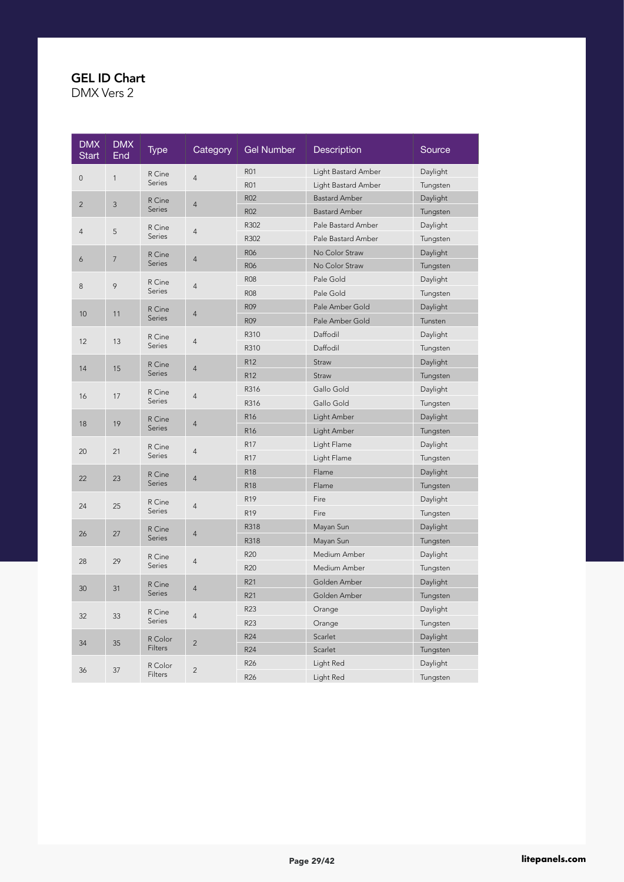| <b>DMX</b><br>Start | <b>DMX</b><br>End | <b>Type</b>   | Category       | <b>Gel Number</b> | <b>Description</b>   | Source   |
|---------------------|-------------------|---------------|----------------|-------------------|----------------------|----------|
| $\mathsf{O}\xspace$ | $\mathbf{1}$      | R Cine        | $\overline{4}$ | <b>R01</b>        | Light Bastard Amber  | Daylight |
|                     |                   | <b>Series</b> |                | <b>R01</b>        | Light Bastard Amber  | Tungsten |
| $\overline{2}$      | 3                 | R Cine        | $\overline{4}$ | <b>R02</b>        | <b>Bastard Amber</b> | Daylight |
|                     |                   | Series        |                | <b>R02</b>        | <b>Bastard Amber</b> | Tungsten |
| $\overline{4}$      | 5                 | R Cine        | $\overline{4}$ | R302              | Pale Bastard Amber   | Daylight |
|                     |                   | Series        |                | R302              | Pale Bastard Amber   | Tungsten |
| 6                   | $\overline{7}$    | R Cine        | $\overline{4}$ | <b>R06</b>        | No Color Straw       | Daylight |
|                     |                   | <b>Series</b> |                | <b>R06</b>        | No Color Straw       | Tungsten |
| 8                   | 9                 | R Cine        | $\overline{4}$ | <b>R08</b>        | Pale Gold            | Daylight |
|                     |                   | Series        |                | <b>R08</b>        | Pale Gold            | Tungsten |
| 10                  | 11                | R Cine        | $\overline{4}$ | <b>R09</b>        | Pale Amber Gold      | Daylight |
|                     |                   | <b>Series</b> |                | <b>R09</b>        | Pale Amber Gold      | Tunsten  |
| 12                  | 13                | R Cine        | $\overline{4}$ | R310              | Daffodil             | Daylight |
|                     |                   | <b>Series</b> |                | R310              | Daffodil             | Tungsten |
| 14                  | 15                | R Cine        | $\overline{4}$ | R12               | Straw                | Daylight |
|                     |                   | <b>Series</b> |                | R <sub>12</sub>   | Straw                | Tungsten |
| 16                  | 17                | R Cine        | $\overline{4}$ | R316              | Gallo Gold           | Daylight |
|                     |                   | Series        |                | R316              | Gallo Gold           | Tungsten |
| 18                  | 19                | R Cine        | $\overline{4}$ | R <sub>16</sub>   | Light Amber          | Daylight |
|                     |                   | <b>Series</b> |                | R <sub>16</sub>   | Light Amber          | Tungsten |
| 20                  | 21                | R Cine        | $\overline{4}$ | R17               | Light Flame          | Daylight |
|                     |                   | <b>Series</b> |                | <b>R17</b>        | Light Flame          | Tungsten |
| 22                  | 23                | R Cine        | $\overline{4}$ | <b>R18</b>        | Flame                | Daylight |
|                     |                   | Series        |                | <b>R18</b>        | Flame                | Tungsten |
| 24                  | 25                | R Cine        | $\overline{4}$ | R <sub>19</sub>   | Fire                 | Daylight |
|                     |                   | Series        |                | R <sub>19</sub>   | Fire                 | Tungsten |
| 26                  | 27                | R Cine        | $\overline{4}$ | R318              | Mayan Sun            | Daylight |
|                     |                   | Series        |                | R318              | Mayan Sun            | Tungsten |
| 28                  | 29                | R Cine        | $\overline{4}$ | R20               | Medium Amber         | Daylight |
|                     |                   | Series        |                | R20               | Medium Amber         | Tungsten |
| 30                  | 31                | R Cine        | $\overline{4}$ | R21               | Golden Amber         | Daylight |
|                     |                   | <b>Series</b> |                | R21               | Golden Amber         | Tungsten |
| 32                  | 33                | R Cine        |                | R23               | Orange               | Daylight |
|                     |                   | <b>Series</b> | $\overline{4}$ | R23               | Orange               | Tungsten |
| 34                  | 35                | R Color       | $\overline{2}$ | R24               | Scarlet              | Daylight |
|                     |                   | Filters       |                | R24               | Scarlet              | Tungsten |
| 36                  | 37                | R Color       | $\overline{c}$ | R <sub>26</sub>   | Light Red            | Daylight |
|                     |                   | Filters       |                | R <sub>26</sub>   | Light Red            | Tungsten |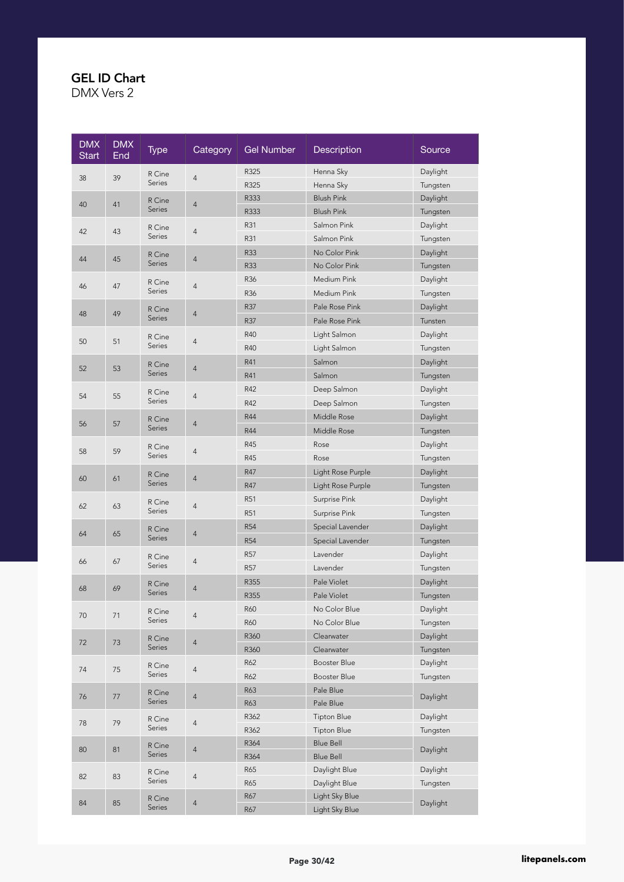| <b>DMX</b><br><b>Start</b> | <b>DMX</b><br>End | <b>Type</b>   | Category       | <b>Gel Number</b> | Description        | Source   |
|----------------------------|-------------------|---------------|----------------|-------------------|--------------------|----------|
| 38                         | 39                | R Cine        | $\overline{4}$ | R325              | Henna Sky          | Daylight |
|                            |                   | <b>Series</b> |                | R325              | Henna Sky          | Tungsten |
| 40                         | 41                | R Cine        | $\overline{4}$ | R333              | <b>Blush Pink</b>  | Daylight |
|                            |                   | Series        |                | R333              | <b>Blush Pink</b>  | Tungsten |
| 42                         | 43                | R Cine        | $\overline{4}$ | R31               | Salmon Pink        | Daylight |
|                            |                   | Series        |                | R31               | Salmon Pink        | Tungsten |
| 44                         | 45                | R Cine        | 4              | <b>R33</b>        | No Color Pink      | Daylight |
|                            |                   | Series        |                | <b>R33</b>        | No Color Pink      | Tungsten |
| 46                         | 47                | R Cine        | 4              | R36               | Medium Pink        | Daylight |
|                            |                   | Series        |                | R36               | Medium Pink        | Tungsten |
| 48                         | 49                | R Cine        | $\overline{4}$ | R37               | Pale Rose Pink     | Daylight |
|                            |                   | Series        |                | R37               | Pale Rose Pink     | Tunsten  |
| 50                         | 51                | R Cine        | $\overline{4}$ | R40               | Light Salmon       | Daylight |
|                            |                   | Series        |                | R40               | Light Salmon       | Tungsten |
| 52                         | 53                | R Cine        |                | R41               | Salmon             | Daylight |
|                            |                   | Series        | $\overline{4}$ | R41               | Salmon             | Tungsten |
|                            |                   | R Cine        |                | R42               | Deep Salmon        | Daylight |
| 54                         | 55                | Series        | 4              | R42               | Deep Salmon        | Tungsten |
|                            |                   | R Cine        |                | R44               | Middle Rose        | Daylight |
| 56                         | 57                | Series        | $\overline{4}$ | <b>R44</b>        | Middle Rose        | Tungsten |
|                            |                   | R Cine        |                | R45               | Rose               | Daylight |
| 58                         | 59                | Series        | $\overline{4}$ | R45               | Rose               | Tungsten |
|                            |                   | R Cine        |                | R47               | Light Rose Purple  | Daylight |
| 60                         | 61                | Series        | 4              | R47               | Light Rose Purple  | Tungsten |
|                            |                   | R Cine        |                | <b>R51</b>        | Surprise Pink      | Daylight |
| 62                         | 63                | Series        | $\overline{4}$ | R51               | Surprise Pink      | Tungsten |
|                            |                   | R Cine        |                | <b>R54</b>        | Special Lavender   | Daylight |
| 64                         | 65                | Series        | $\overline{4}$ | <b>R54</b>        | Special Lavender   | Tungsten |
|                            |                   | R Cine        |                | <b>R57</b>        | Lavender           | Daylight |
| 66                         | 67                | Series        | 4              | R <sub>57</sub>   | Lavender           | Tungsten |
|                            |                   | R Cine        |                | R355              | Pale Violet        | Daylight |
| 68                         | 69                | Series        | 4              | R355              | Pale Violet        | Tungsten |
|                            |                   | R Cine        |                | <b>R60</b>        | No Color Blue      | Daylight |
| 70                         | 71                | Series        | $\overline{4}$ | R60               | No Color Blue      | Tungsten |
|                            |                   | R Cine        |                | R360              | Clearwater         | Daylight |
| 72                         | 73                | Series        | $\sqrt{4}$     | R360              | Clearwater         | Tungsten |
| 74                         | 75                | R Cine        | $\sqrt{4}$     | R62               | Booster Blue       | Daylight |
|                            |                   | Series        |                | R62               | Booster Blue       | Tungsten |
| 76                         | 77                | R Cine        | $\overline{4}$ | R63               | Pale Blue          | Daylight |
|                            |                   | Series        |                | R63               | Pale Blue          |          |
| 78                         | 79                | R Cine        | $\overline{4}$ | R362              | <b>Tipton Blue</b> | Daylight |
|                            |                   | Series        |                | R362              | <b>Tipton Blue</b> | Tungsten |
| 80                         | 81                | R Cine        | $\overline{4}$ | R364              | <b>Blue Bell</b>   | Daylight |
|                            |                   | Series        |                | R364              | <b>Blue Bell</b>   |          |
| 82                         | 83                | R Cine        | $\sqrt{4}$     | R65               | Daylight Blue      | Daylight |
|                            |                   | Series        |                | R65               | Daylight Blue      | Tungsten |
| 84                         | 85                | R Cine        | $\sqrt{4}$     | R67               | Light Sky Blue     | Daylight |
|                            |                   | Series        |                | R67               | Light Sky Blue     |          |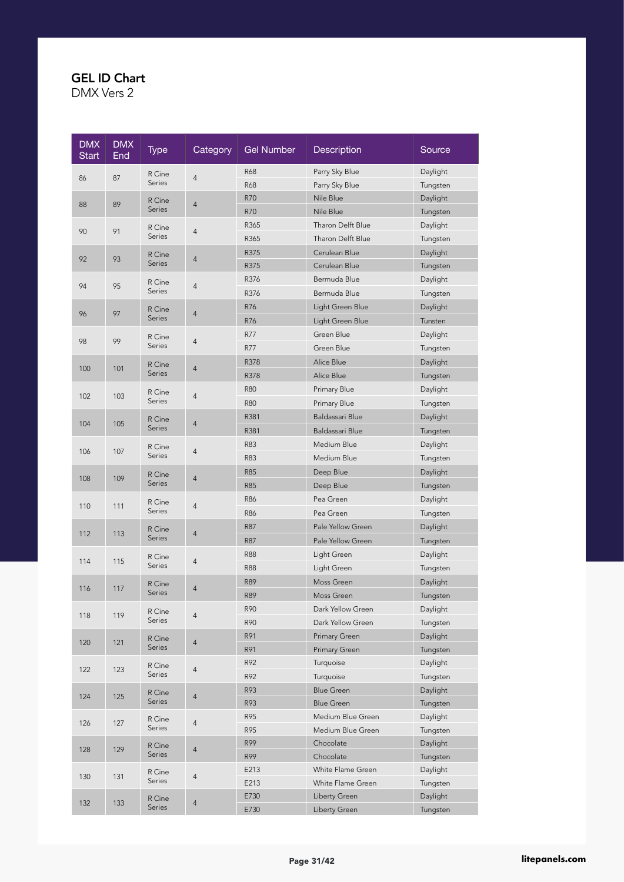| <b>DMX</b><br><b>Start</b> | <b>DMX</b><br>End | <b>Type</b>      | Category       | <b>Gel Number</b> | Description          | Source   |
|----------------------------|-------------------|------------------|----------------|-------------------|----------------------|----------|
|                            |                   | R Cine           |                | <b>R68</b>        | Parry Sky Blue       | Daylight |
| 86                         | 87                | <b>Series</b>    | 4              | <b>R68</b>        | Parry Sky Blue       | Tungsten |
| 88                         | 89                | R Cine           | 4              | R70               | Nile Blue            | Daylight |
|                            |                   | Series           |                | R70               | Nile Blue            | Tungsten |
| 90                         | 91                | R Cine           | 4              | R365              | Tharon Delft Blue    | Daylight |
|                            |                   | Series           |                | R365              | Tharon Delft Blue    | Tungsten |
| 92                         | 93                | R Cine           | 4              | R375              | Cerulean Blue        | Daylight |
|                            |                   | <b>Series</b>    |                | R375              | Cerulean Blue        | Tungsten |
| 94                         | 95                | R Cine           | 4              | R376              | Bermuda Blue         | Daylight |
|                            |                   | Series           |                | R376              | Bermuda Blue         | Tungsten |
| 96                         | 97                | R Cine           | 4              | R76               | Light Green Blue     | Daylight |
|                            |                   | <b>Series</b>    |                | R76               | Light Green Blue     | Tunsten  |
| 98                         | 99                | R Cine           | 4              | R77               | Green Blue           | Daylight |
|                            |                   | Series           |                | R77               | Green Blue           | Tungsten |
| 100                        | 101               | R Cine           | 4              | R378              | Alice Blue           | Daylight |
|                            |                   | Series           |                | R378              | Alice Blue           | Tungsten |
|                            | 103               | R Cine           |                | <b>R80</b>        | Primary Blue         | Daylight |
| 102                        |                   | Series           | 4              | <b>R80</b>        | Primary Blue         | Tungsten |
| 104                        |                   | R Cine           |                | R381              | Baldassari Blue      | Daylight |
|                            | 105               | <b>Series</b>    | 4              | R381              | Baldassari Blue      | Tungsten |
|                            |                   | R Cine           |                | R83               | Medium Blue          | Daylight |
| 106                        | 107               | Series           | 4              | R83               | Medium Blue          | Tungsten |
| 108                        | 109               | R Cine           | 4              | <b>R85</b>        | Deep Blue            | Daylight |
|                            |                   | <b>Series</b>    |                | <b>R85</b>        | Deep Blue            | Tungsten |
|                            |                   | R Cine           | 4              | <b>R86</b>        | Pea Green            | Daylight |
| 110                        | 111               | Series           |                | R86               | Pea Green            | Tungsten |
| 112                        | 113               | R Cine           | 4              | R87               | Pale Yellow Green    | Daylight |
|                            |                   | Series           |                | R87               | Pale Yellow Green    | Tungsten |
| 114                        | 115               | R Cine           | 4              | <b>R88</b>        | Light Green          | Daylight |
|                            |                   | Series           |                | <b>R88</b>        | Light Green          | Tungsten |
| 116                        | 117               | R Cine           | 4              | <b>R89</b>        | Moss Green           | Daylight |
|                            |                   | Series           |                | <b>R89</b>        | Moss Green           | Tungsten |
| 118                        | 119               | R Cine           | 4              | R90               | Dark Yellow Green    | Daylight |
|                            |                   | Series           |                | R90               | Dark Yellow Green    | Tungsten |
| 120                        | 121               | R Cine           | $\overline{4}$ | R91               | <b>Primary Green</b> | Daylight |
|                            |                   | Series           |                | R91               | Primary Green        | Tungsten |
| 122                        | 123               | R Cine           | $\overline{4}$ | R92               | Turquoise            | Daylight |
|                            |                   | Series           |                | R92               | Turquoise            | Tungsten |
| 124                        | 125               | R Cine           | $\overline{4}$ | R93               | <b>Blue Green</b>    | Daylight |
|                            |                   | Series           |                | R93               | <b>Blue Green</b>    | Tungsten |
| 126                        | 127               | R Cine           | 4              | R95               | Medium Blue Green    | Daylight |
|                            |                   | Series           |                | R95               | Medium Blue Green    | Tungsten |
| 128                        | 129               | R Cine           | 4              | R99               | Chocolate            | Daylight |
|                            |                   | Series           |                | R99               | Chocolate            | Tungsten |
| 130                        | 131               | R Cine           | $\overline{4}$ | E213              | White Flame Green    | Daylight |
|                            |                   | Series           |                | E213              | White Flame Green    | Tungsten |
| 132                        | 133               | R Cine<br>Series | $\overline{4}$ | E730              | Liberty Green        | Daylight |
|                            |                   |                  |                | E730              | Liberty Green        | Tungsten |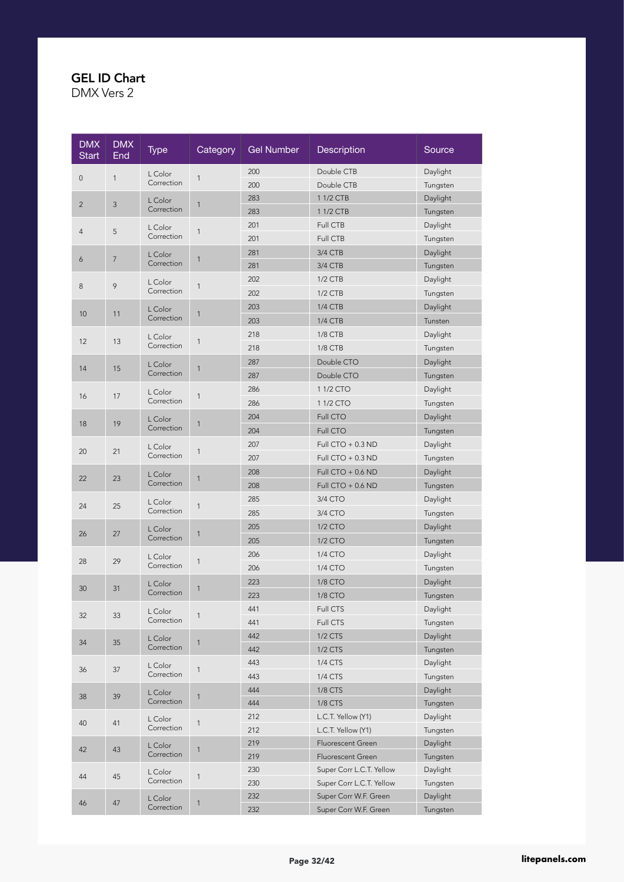| <b>DMX</b><br><b>Start</b> | <b>DMX</b><br>End | <b>Type</b>           | Category     | <b>Gel Number</b> | Description              | Source   |
|----------------------------|-------------------|-----------------------|--------------|-------------------|--------------------------|----------|
|                            |                   | L Color               |              | 200               | Double CTB               | Daylight |
| 0                          | $\mathbf{1}$      | Correction            | 1            | 200               | Double CTB               | Tungsten |
|                            |                   | L Color               |              | 283               | 1 1/2 CTB                | Daylight |
| $\overline{2}$             | 3                 | Correction            | $\mathbf{1}$ | 283               | 1 1/2 CTB                | Tungsten |
| $\overline{4}$             | 5                 | L Color               | 1            | 201               | Full CTB                 | Daylight |
|                            |                   | Correction            |              | 201               | Full CTB                 | Tungsten |
|                            | $\overline{7}$    | L Color               |              | 281               | 3/4 CTB                  | Daylight |
| 6                          |                   | Correction            | 1            | 281               | 3/4 CTB                  | Tungsten |
| 8                          | 9                 | L Color               | $\mathbf{1}$ | 202               | $1/2$ CTB                | Daylight |
|                            |                   | Correction            |              | 202               | 1/2 CTB                  | Tungsten |
| 10                         | 11                | L Color               | $\mathbf{1}$ | 203               | 1/4 CTB                  | Daylight |
|                            |                   | Correction            |              | 203               | <b>1/4 CTB</b>           | Tunsten  |
| 12                         | 13                | L Color               | $\mathbf{1}$ | 218               | 1/8 CTB                  | Daylight |
|                            |                   | Correction            |              | 218               | 1/8 CTB                  | Tungsten |
| 14                         | 15                | L Color               | $\mathbf{1}$ | 287               | Double CTO               | Daylight |
|                            |                   | Correction            |              | 287               | Double CTO               | Tungsten |
|                            |                   | L Color               |              | 286               | 1 1/2 CTO                | Daylight |
| 16                         | 17                | Correction            | $\mathbf{1}$ | 286               | 11/2 CTO                 | Tungsten |
|                            |                   | L Color               |              | 204               | <b>Full CTO</b>          | Daylight |
| 18                         | 19                | Correction            | $\mathbf{1}$ | 204               | Full CTO                 | Tungsten |
|                            |                   | L Color               |              | 207               | Full CTO $+0.3$ ND       | Daylight |
| 20                         | 21                | Correction            | $\mathbf{1}$ | 207               | Full $CTO + 0.3 ND$      | Tungsten |
|                            |                   | L Color               |              | 208               | Full $CTO + 0.6$ ND      | Daylight |
| 22                         | 23                | Correction            | $\mathbf{1}$ | 208               | Full $CTO + 0.6$ ND      | Tungsten |
|                            |                   | L Color               |              | 285               | 3/4 CTO                  | Daylight |
| 24                         | 25                | Correction            | $\mathbf{1}$ | 285               | 3/4 CTO                  | Tungsten |
|                            |                   | L Color               |              | 205               | 1/2 CTO                  | Daylight |
| 26                         | 27                | Correction            | 1            | 205               | 1/2 CTO                  | Tungsten |
|                            |                   | L Color               |              | 206               | 1/4 CTO                  | Daylight |
| 28                         | 29                | Correction            | $\mathbf{1}$ | 206               | 1/4 CTO                  | Tungsten |
| 30                         | 31                | L Color               | $\mathbf{1}$ | 223               | 1/8 CTO                  | Daylight |
|                            |                   | Correction            |              | 223               | 1/8 CTO                  | Tungsten |
| 32                         | 33                | L Color               | $\mathbf{1}$ | 441               | Full CTS                 | Daylight |
|                            |                   | Correction            |              | 441               | Full CTS                 | Tungsten |
| 34                         | 35                | L Color               | $\mathbf{1}$ | 442               | 1/2 CTS                  | Daylight |
|                            |                   | Correction            |              | 442               | 1/2 CTS                  | Tungsten |
| 36                         | 37                | L Color               | $\mathbf{1}$ | 443               | 1/4 CTS                  | Daylight |
|                            |                   | Correction            |              | 443               | 1/4 CTS                  | Tungsten |
| 38                         | 39                | L Color               | $\mathbf{1}$ | 444               | 1/8 CTS                  | Daylight |
|                            |                   | Correction            |              | 444               | 1/8 CTS                  | Tungsten |
| 40                         | 41                | L Color               | $\mathbf{1}$ | 212               | L.C.T. Yellow (Y1)       | Daylight |
|                            |                   | Correction            |              | 212               | L.C.T. Yellow (Y1)       | Tungsten |
| 42                         | 43                | L Color               | $\mathbf{1}$ | 219               | Fluorescent Green        | Daylight |
|                            |                   | Correction            |              | 219               | Fluorescent Green        | Tungsten |
| 44                         | 45                | L Color               | $\mathbf{1}$ | 230               | Super Corr L.C.T. Yellow | Daylight |
|                            |                   | Correction            |              | 230               | Super Corr L.C.T. Yellow | Tungsten |
| 46                         | 47                | L Color<br>Correction | $\mathbf{1}$ | 232               | Super Corr W.F. Green    | Daylight |
|                            |                   |                       |              | 232               | Super Corr W.F. Green    | Tungsten |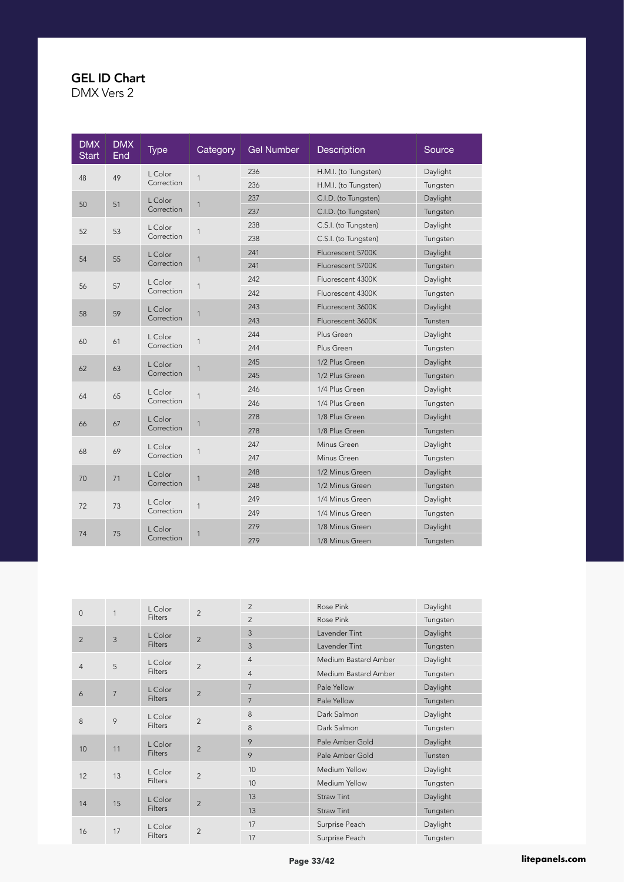| <b>DMX</b><br><b>Start</b> | <b>DMX</b><br>End | <b>Type</b> | Category     | <b>Gel Number</b> | <b>Description</b>   | Source   |                |          |
|----------------------------|-------------------|-------------|--------------|-------------------|----------------------|----------|----------------|----------|
| 48                         | 49                | L Color     | $\mathbf{1}$ | 236               | H.M.I. (to Tungsten) | Daylight |                |          |
|                            |                   | Correction  |              | 236               | H.M.I. (to Tungsten) | Tungsten |                |          |
| 50                         | 51                | L Color     | $\mathbf{1}$ | 237               | C.I.D. (to Tungsten) | Daylight |                |          |
|                            |                   | Correction  |              | 237               | C.I.D. (to Tungsten) | Tungsten |                |          |
| 52                         | 53                | L Color     | $\mathbf{1}$ | 238               | C.S.I. (to Tungsten) | Daylight |                |          |
|                            |                   | Correction  |              | 238               | C.S.I. (to Tungsten) | Tungsten |                |          |
| 54                         | 55                | L Color     |              | 241               | Fluorescent 5700K    | Daylight |                |          |
|                            |                   | Correction  | $\mathbf{1}$ | 241               | Fluorescent 5700K    | Tungsten |                |          |
| 56                         | 57                | L Color     | 1            | 242               | Fluorescent 4300K    | Daylight |                |          |
|                            |                   | Correction  |              | 242               | Fluorescent 4300K    | Tungsten |                |          |
|                            | 59                | L Color     |              | 243               | Fluorescent 3600K    | Daylight |                |          |
| 58                         |                   | Correction  | $\mathbf{1}$ | 243               | Fluorescent 3600K    | Tunsten  |                |          |
|                            |                   | L Color     | $\mathbf{1}$ | 244               | Plus Green           | Daylight |                |          |
| 60                         | 61                | Correction  |              | 244               | Plus Green           | Tungsten |                |          |
|                            |                   | L Color     | $\mathbf{1}$ | 245               | 1/2 Plus Green       | Daylight |                |          |
| 62                         | 63                | Correction  |              | 245               | 1/2 Plus Green       | Tungsten |                |          |
|                            |                   | L Color     |              | 246               | 1/4 Plus Green       | Daylight |                |          |
| 64                         | 65                | Correction  |              |                   | 1                    | 246      | 1/4 Plus Green | Tungsten |
|                            |                   | L Color     |              | 278               | 1/8 Plus Green       | Daylight |                |          |
| 66                         | 67                | Correction  | $\mathbf{1}$ | 278               | 1/8 Plus Green       | Tungsten |                |          |
|                            |                   | L Color     |              | 247               | Minus Green          | Daylight |                |          |
| 68                         | 69                | Correction  | 1            | 247               | Minus Green          | Tungsten |                |          |
|                            |                   | L Color     |              | 248               | 1/2 Minus Green      | Daylight |                |          |
| 70                         | 71                | Correction  | $\mathbf{1}$ | 248               | 1/2 Minus Green      | Tungsten |                |          |
|                            |                   | L Color     |              | 249               | 1/4 Minus Green      | Daylight |                |          |
| 72                         | 73                | Correction  | $\mathbf{1}$ | 249               | 1/4 Minus Green      | Tungsten |                |          |
|                            |                   | L Color     |              | 279               | 1/8 Minus Green      | Daylight |                |          |
| 74                         | 75                | Correction  | $\mathbf{1}$ | 279               | 1/8 Minus Green      | Tungsten |                |          |

| $\mathbf{0}$   | 1              | L Color            | $\overline{2}$ | $\overline{2}$ | Rose Pink            | Daylight |
|----------------|----------------|--------------------|----------------|----------------|----------------------|----------|
|                |                | <b>Filters</b>     |                | $\overline{2}$ | Rose Pink            | Tungsten |
| $\overline{2}$ | 3              | L Color            | $\overline{2}$ | $\mathbf{3}$   | Lavender Tint        | Daylight |
|                |                | <b>Filters</b>     |                | $\overline{3}$ | Lavender Tint        | Tungsten |
|                | 5              | L Color            | $\overline{2}$ | $\overline{4}$ | Medium Bastard Amber | Daylight |
| 4              |                | Filters            |                | $\overline{4}$ | Medium Bastard Amber | Tungsten |
|                |                | L Color            | $\overline{2}$ | 7              | Pale Yellow          | Daylight |
| 6              | $\overline{7}$ | <b>Filters</b>     |                | $\overline{7}$ | Pale Yellow          | Tungsten |
|                |                | L Color<br>Filters | $\overline{2}$ | 8              | Dark Salmon          | Daylight |
| 8              | 9              |                    |                | 8              | Dark Salmon          | Tungsten |
|                |                | L Color<br>Filters |                | 9              | Pale Amber Gold      | Daylight |
| 10             | 11             |                    | $\overline{2}$ | 9              | Pale Amber Gold      | Tunsten  |
|                |                | L Color            | $\overline{2}$ | 10             | Medium Yellow        | Daylight |
| 12             | 13             | Filters            |                | 10             | Medium Yellow        | Tungsten |
|                |                | L Color            |                | 13             | <b>Straw Tint</b>    | Daylight |
| 14             | 15             | Filters            | $\overline{2}$ | 13             | <b>Straw Tint</b>    | Tungsten |
|                |                | L Color            |                | 17             | Surprise Peach       | Daylight |
|                | 17<br>16       | Filters            | $\overline{2}$ | 17             | Surprise Peach       | Tungsten |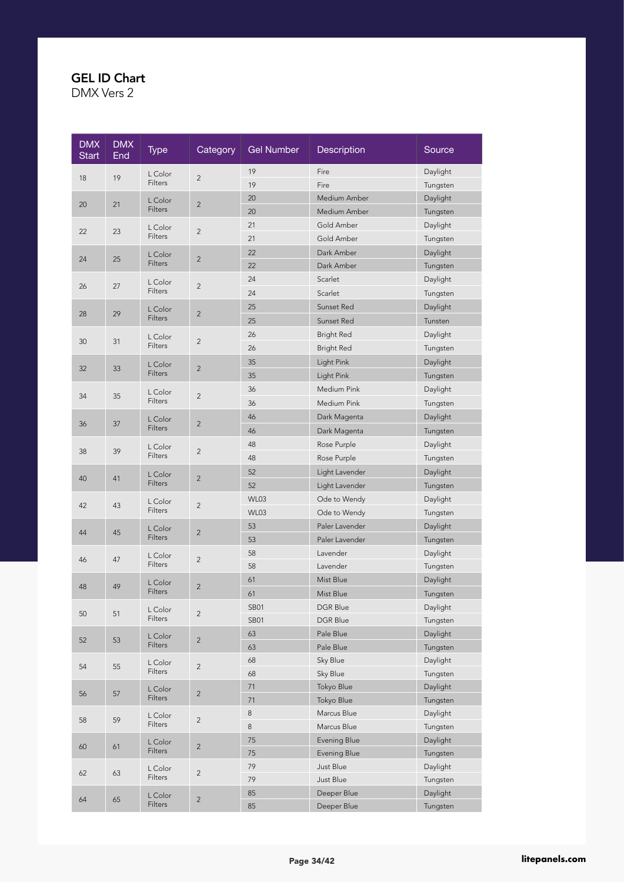| <b>DMX</b><br><b>Start</b> | <b>DMX</b><br>End | <b>Type</b>    | Category       | <b>Gel Number</b> | Description       | Source   |
|----------------------------|-------------------|----------------|----------------|-------------------|-------------------|----------|
| 18                         | 19                | L Color        | $\overline{c}$ | 19                | Fire              | Daylight |
|                            |                   | <b>Filters</b> |                | 19                | Fire              | Tungsten |
| 20                         | 21                | L Color        | $\overline{2}$ | 20                | Medium Amber      | Daylight |
|                            |                   | Filters        |                | 20                | Medium Amber      | Tungsten |
| 22                         | 23                | L Color        | $\overline{c}$ | 21                | Gold Amber        | Daylight |
|                            |                   | Filters        |                | 21                | Gold Amber        | Tungsten |
| 24                         | 25                | L Color        | $\overline{2}$ | 22                | Dark Amber        | Daylight |
|                            |                   | <b>Filters</b> |                | 22                | Dark Amber        | Tungsten |
| 26                         | 27                | L Color        | $\overline{c}$ | 24                | Scarlet           | Daylight |
|                            |                   | Filters        |                | 24                | Scarlet           | Tungsten |
|                            | 29                | L Color        |                | 25                | Sunset Red        | Daylight |
| 28                         |                   | Filters        | $\overline{2}$ | 25                | Sunset Red        | Tunsten  |
|                            |                   | L Color        |                | 26                | <b>Bright Red</b> | Daylight |
| 30                         | 31                | Filters        | $\overline{c}$ | 26                | <b>Bright Red</b> | Tungsten |
|                            |                   | L Color        |                | 35                | Light Pink        | Daylight |
| 32                         | 33                | Filters        | $\overline{2}$ | 35                | Light Pink        | Tungsten |
|                            |                   | L Color        |                | 36                | Medium Pink       | Daylight |
| 34                         | 35                | Filters        | $\overline{2}$ | 36                | Medium Pink       | Tungsten |
|                            |                   | L Color        |                | 46                | Dark Magenta      | Daylight |
| 36                         | 37                | Filters        | $\overline{2}$ | 46                | Dark Magenta      | Tungsten |
|                            |                   | L Color        |                | 48                | Rose Purple       | Daylight |
| 38                         | 39                | Filters        | $\overline{c}$ | 48                | Rose Purple       | Tungsten |
|                            |                   | L Color        | $\overline{2}$ | 52                | Light Lavender    | Daylight |
| 40                         | 41                | Filters        |                | 52                | Light Lavender    | Tungsten |
|                            |                   | L Color        |                | WL03              | Ode to Wendy      | Daylight |
| 42                         | 43                | Filters        | $\overline{c}$ | WL03              | Ode to Wendy      | Tungsten |
|                            |                   | L Color        |                | 53                | Paler Lavender    | Daylight |
| 44                         | 45                | Filters        | $\overline{2}$ | 53                | Paler Lavender    | Tungsten |
|                            |                   | L Color        |                | 58                | Lavender          | Daylight |
| 46                         | 47                | Filters        | $\overline{c}$ | 58                | Lavender          | Tungsten |
|                            |                   | L Color        |                | 61                | Mist Blue         | Daylight |
| 48                         | 49                | <b>Filters</b> | $\overline{2}$ | 61                | Mist Blue         | Tungsten |
|                            |                   | L Color        |                | SB01              | DGR Blue          | Daylight |
| 50                         | 51                | Filters        | $\overline{c}$ | <b>SB01</b>       | DGR Blue          | Tungsten |
|                            |                   | L Color        |                | 63                | Pale Blue         | Daylight |
| 52                         | 53                | Filters        | $\overline{c}$ | 63                | Pale Blue         | Tungsten |
|                            |                   | L Color        |                | 68                | Sky Blue          | Daylight |
| 54                         | 55                | Filters        | $\overline{c}$ | 68                | Sky Blue          | Tungsten |
|                            |                   | L Color        |                | 71                | Tokyo Blue        | Daylight |
| 56                         | 57                | Filters        | $\overline{c}$ | 71                | Tokyo Blue        | Tungsten |
| 58                         | 59                | L Color        | $\overline{2}$ | 8                 | Marcus Blue       | Daylight |
|                            |                   | Filters        |                | 8                 | Marcus Blue       | Tungsten |
| 60                         | 61                | L Color        | $\overline{c}$ | 75                | Evening Blue      | Daylight |
|                            |                   | Filters        |                | 75                | Evening Blue      | Tungsten |
| 62                         | 63                | L Color        | $\overline{c}$ | 79                | Just Blue         | Daylight |
|                            |                   | Filters        |                | 79                | Just Blue         | Tungsten |
| 64                         | 65                | L Color        | $\overline{c}$ | 85                | Deeper Blue       | Daylight |
|                            |                   | Filters        |                | 85                | Deeper Blue       | Tungsten |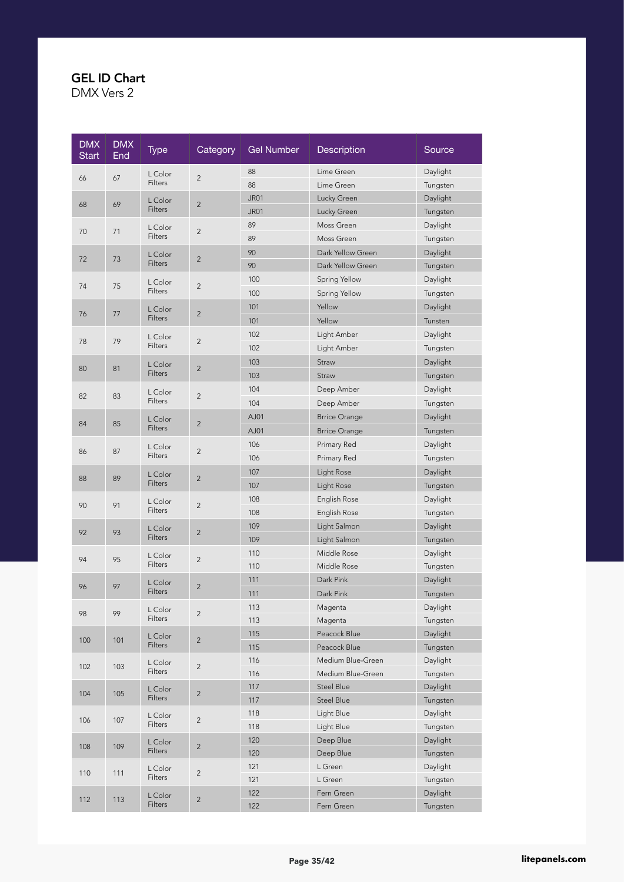| <b>DMX</b><br><b>Start</b> | <b>DMX</b><br>End | <b>Type</b>               | Category       | <b>Gel Number</b> | Description          | Source               |
|----------------------------|-------------------|---------------------------|----------------|-------------------|----------------------|----------------------|
|                            |                   | L Color                   |                | 88                | Lime Green           | Daylight             |
| 66                         | 67                | <b>Filters</b>            | $\sqrt{2}$     | 88                | Lime Green           | Tungsten             |
|                            |                   | L Color                   | $\sqrt{2}$     | <b>JR01</b>       | Lucky Green          | Daylight             |
| 68                         | 69                | Filters                   |                | <b>JR01</b>       | Lucky Green          | Tungsten             |
| 70                         | 71                | L Color                   | $\sqrt{2}$     | 89                | Moss Green           | Daylight             |
|                            |                   | Filters                   |                | 89                | Moss Green           | Tungsten             |
| 72                         | 73                | L Color                   | $\overline{c}$ | 90                | Dark Yellow Green    | Daylight             |
|                            |                   | <b>Filters</b>            |                | 90                | Dark Yellow Green    | Tungsten             |
| 74                         | 75                | L Color                   | $\overline{c}$ | 100               | Spring Yellow        | Daylight             |
|                            |                   | Filters                   |                | 100               | Spring Yellow        | Tungsten             |
| 76                         | 77                | L Color                   | $\overline{2}$ | 101               | Yellow               | Daylight             |
|                            |                   | Filters                   |                | 101               | Yellow               | Tunsten              |
| 78                         | 79                | L Color                   | $\overline{c}$ | 102               | Light Amber          | Daylight             |
|                            |                   | Filters                   |                | 102               | Light Amber          | Tungsten             |
| 80                         | 81                | L Color                   | $\overline{2}$ | 103               | Straw                | Daylight             |
|                            |                   | Filters                   |                | 103               | Straw                | Tungsten             |
|                            |                   | L Color                   |                | 104               | Deep Amber           | Daylight             |
| 82                         | 83                | Filters                   | $\overline{c}$ | 104               | Deep Amber           | Tungsten             |
|                            | 85                | L Color                   | $\overline{2}$ | AJ01              | <b>Brrice Orange</b> | Daylight             |
| 84                         |                   | Filters                   |                | AJ01              | <b>Brrice Orange</b> | Tungsten             |
|                            |                   | L Color                   | $\overline{c}$ | 106               | Primary Red          | Daylight             |
| 86                         | 87                | Filters                   |                | 106               | Primary Red          | Tungsten             |
|                            |                   | L Color<br>Filters        | $\overline{2}$ | 107               | Light Rose           | Daylight             |
| 88                         | 89                |                           |                | 107               | Light Rose           | Tungsten             |
| 90                         | 91                | L Color                   | $\overline{c}$ | 108               | English Rose         | Daylight             |
|                            |                   | Filters                   |                | 108               | English Rose         | Tungsten             |
| 92                         | 93                | L Color                   | $\overline{2}$ | 109               | Light Salmon         | Daylight             |
|                            |                   | Filters                   |                | 109               | Light Salmon         | Tungsten             |
| 94                         | 95                | L Color                   | $\overline{2}$ | 110               | Middle Rose          | Daylight             |
|                            |                   | Filters                   |                | 110               | Middle Rose          | Tungsten             |
| 96                         | 97                | L Color                   | $\overline{2}$ | 111               | Dark Pink            | Daylight             |
|                            |                   | Filters                   |                | 111               | Dark Pink            | Tungsten             |
| 98                         | 99                | L Color                   | $\overline{c}$ | 113               | Magenta              | Daylight             |
|                            |                   | Filters                   |                | 113               | Magenta              | Tungsten             |
| 100                        | 101               | L Color                   | $\overline{2}$ | 115               | Peacock Blue         | Daylight             |
|                            |                   | Filters                   |                | 115               | Peacock Blue         | Tungsten             |
| 102                        | 103               | L Color                   | $\overline{2}$ | 116               | Medium Blue-Green    | Daylight             |
|                            |                   | Filters                   |                | 116               | Medium Blue-Green    | Tungsten             |
| 104                        | 105               | L Color<br><b>Filters</b> | $\sqrt{2}$     | 117               | <b>Steel Blue</b>    | Daylight             |
|                            |                   |                           |                | 117               | Steel Blue           | Tungsten             |
| 106                        | 107               | L Color<br>Filters        | $\overline{c}$ | 118               | Light Blue           | Daylight             |
|                            |                   |                           |                | 118               | Light Blue           | Tungsten             |
| 108                        | 109               | L Color<br><b>Filters</b> | $\overline{2}$ | 120<br>120        | Deep Blue            | Daylight             |
|                            |                   |                           |                | 121               | Deep Blue<br>L Green | Tungsten<br>Daylight |
| 110                        | 111               | L Color<br>Filters        | $\overline{c}$ | 121               | L Green              | Tungsten             |
|                            |                   |                           |                | 122               | Fern Green           | Daylight             |
| 112                        | 113               | L Color<br>Filters        | $\overline{2}$ | 122               | Fern Green           | Tungsten             |
|                            |                   |                           |                |                   |                      |                      |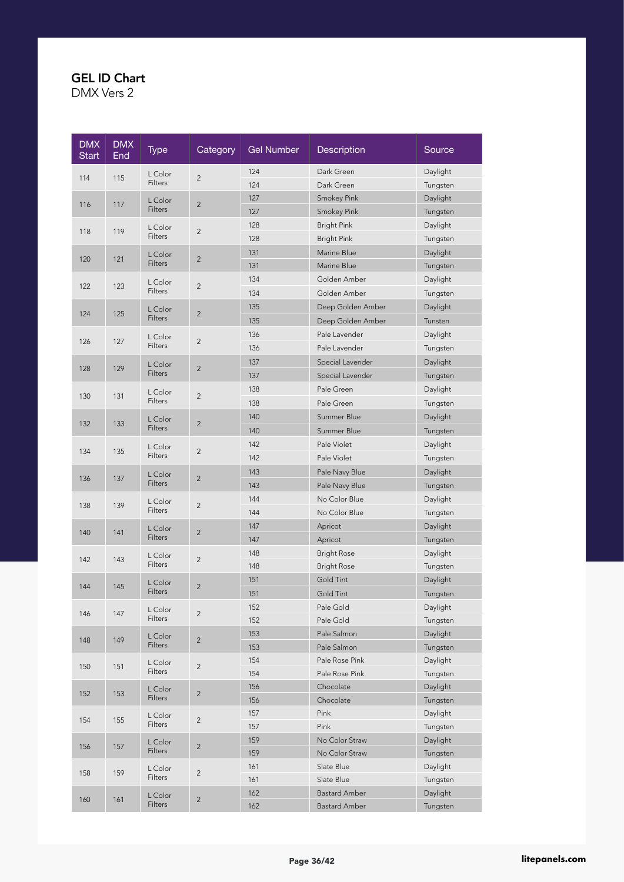| <b>DMX</b><br><b>Start</b> | <b>DMX</b><br>End | <b>Type</b>    | Category       | <b>Gel Number</b>    | Description          | Source   |
|----------------------------|-------------------|----------------|----------------|----------------------|----------------------|----------|
|                            |                   | L Color        | $\overline{c}$ | 124                  | Dark Green           | Daylight |
| 114                        | 115               | Filters        |                | 124                  | Dark Green           | Tungsten |
| 116                        | 117               | L Color        | $\overline{2}$ | 127                  | <b>Smokey Pink</b>   | Daylight |
|                            |                   | Filters        |                | 127                  | <b>Smokey Pink</b>   | Tungsten |
| 118                        | 119               | L Color        | $\overline{2}$ | 128                  | <b>Bright Pink</b>   | Daylight |
|                            |                   | Filters        |                | 128                  | <b>Bright Pink</b>   | Tungsten |
| 120                        | 121               | L Color        | $\overline{c}$ | 131                  | Marine Blue          | Daylight |
|                            |                   | <b>Filters</b> |                | 131                  | Marine Blue          | Tungsten |
| 122                        | 123               | L Color        | $\overline{c}$ | 134                  | Golden Amber         | Daylight |
|                            |                   | Filters        |                | 134                  | Golden Amber         | Tungsten |
| 124                        | 125               | L Color        | $\overline{2}$ | 135                  | Deep Golden Amber    | Daylight |
|                            |                   | <b>Filters</b> |                | 135                  | Deep Golden Amber    | Tunsten  |
|                            |                   | L Color        |                | 136                  | Pale Lavender        | Daylight |
| 126                        | 127               | Filters        | $\overline{c}$ | 136                  | Pale Lavender        | Tungsten |
|                            |                   | L Color        |                | 137                  | Special Lavender     | Daylight |
| 128                        | 129               | <b>Filters</b> | $\overline{2}$ | 137                  | Special Lavender     | Tungsten |
|                            |                   | L Color        |                | 138                  | Pale Green           | Daylight |
| 130                        | 131               | Filters        | $\overline{c}$ | 138                  | Pale Green           | Tungsten |
|                            |                   | L Color        |                | 140                  | Summer Blue          | Daylight |
| 132                        | 133               | <b>Filters</b> | $\overline{2}$ | 140                  | Summer Blue          | Tungsten |
|                            |                   | L Color        |                | 142                  | Pale Violet          | Daylight |
| 134                        | 135               | Filters        | $\overline{c}$ | 142                  | Pale Violet          | Tungsten |
|                            |                   | L Color        |                | 143                  | Pale Navy Blue       | Daylight |
| 136                        | 137               | Filters        | $\overline{2}$ | 143                  | Pale Navy Blue       | Tungsten |
|                            |                   | L Color        |                | 144                  | No Color Blue        | Daylight |
| 138                        | 139               | Filters        | $\overline{c}$ | 144                  | No Color Blue        | Tungsten |
|                            |                   | L Color        |                | 147                  | Apricot              | Daylight |
| 140                        | 141               | Filters        | $\overline{2}$ | 147                  | Apricot              | Tungsten |
|                            |                   | L Color        |                | 148                  | <b>Bright Rose</b>   | Daylight |
| 142                        | 143               | <b>Filters</b> | $\overline{c}$ | 148                  | <b>Bright Rose</b>   | Tungsten |
|                            |                   | L Color        |                | 151                  | Gold Tint            | Daylight |
| 144                        | 145               | <b>Filters</b> | $\overline{2}$ | 151                  | Gold Tint            | Tungsten |
|                            |                   | L Color        |                | 152                  | Pale Gold            | Daylight |
| 146                        | 147               | Filters        | $\overline{c}$ | 152                  | Pale Gold            | Tungsten |
|                            | 149               | L Color        | $\overline{2}$ | 153                  | Pale Salmon          | Daylight |
| 148                        |                   | Filters        |                | 153                  | Pale Salmon          | Tungsten |
| 150                        | 151               | L Color        | $\overline{2}$ | 154                  | Pale Rose Pink       | Daylight |
|                            |                   | Filters        |                | 154                  | Pale Rose Pink       | Tungsten |
| 152                        | 153               | L Color        | $\overline{2}$ | 156                  | Chocolate            | Daylight |
|                            |                   | <b>Filters</b> |                | 156                  | Chocolate            | Tungsten |
| 154                        | 155               | L Color        | $\overline{2}$ | 157                  | Pink                 | Daylight |
|                            |                   | Filters        |                | 157                  | Pink                 | Tungsten |
| 156                        | 157               | L Color        | $\overline{2}$ | 159                  | No Color Straw       | Daylight |
|                            |                   | <b>Filters</b> |                | 159                  | No Color Straw       | Tungsten |
| 158                        | 159               | L Color        | $\sqrt{2}$     | 161                  | Slate Blue           | Daylight |
|                            |                   | Filters        |                | 161                  | Slate Blue           | Tungsten |
| 160                        | 161               | L Color        | $\overline{c}$ | 162                  | <b>Bastard Amber</b> | Daylight |
|                            |                   | Filters        | 162            | <b>Bastard Amber</b> | Tungsten             |          |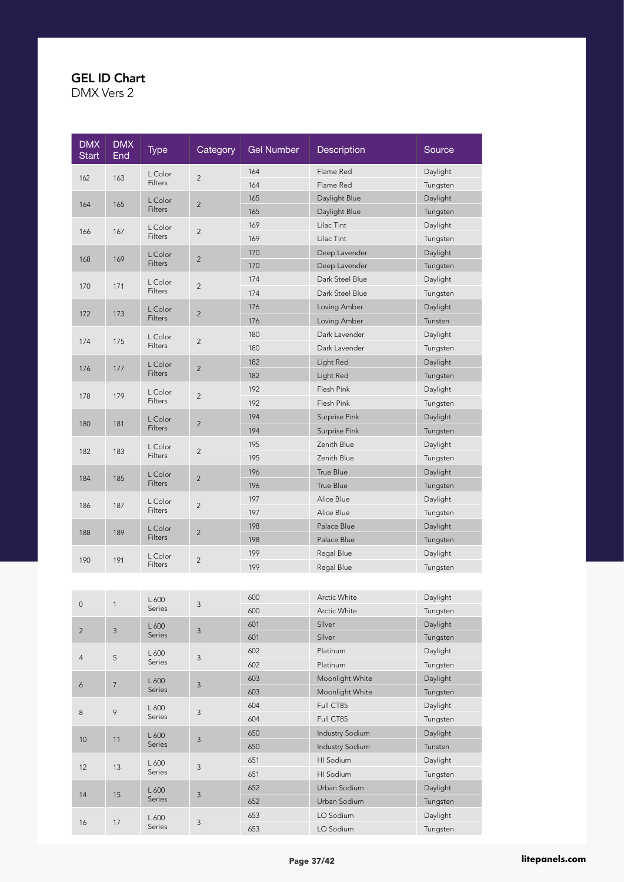| <b>DMX</b><br><b>Start</b> | <b>DMX</b><br>End | Type           | Category                  | <b>Gel Number</b> | Description            | Source   |
|----------------------------|-------------------|----------------|---------------------------|-------------------|------------------------|----------|
|                            |                   | L Color        | $\overline{c}$            | 164               | Flame Red              | Daylight |
| 162                        | 163               | Filters        |                           | 164               | Flame Red              | Tungsten |
|                            |                   | L Color        | $\sqrt{2}$                | 165               | Daylight Blue          | Daylight |
| 164                        | 165               | Filters        |                           | 165               | Daylight Blue          | Tungsten |
| 166                        | 167               | L Color        | $\overline{c}$            | 169               | Lilac Tint             | Daylight |
|                            |                   | Filters        |                           | 169               | Lilac Tint             | Tungsten |
| 168                        | 169               | L Color        | $\overline{c}$            | 170               | Deep Lavender          | Daylight |
|                            |                   | <b>Filters</b> |                           | 170               | Deep Lavender          | Tungsten |
| 170                        | 171               | L Color        | $\overline{c}$            | 174               | Dark Steel Blue        | Daylight |
|                            |                   | Filters        |                           | 174               | Dark Steel Blue        | Tungsten |
| 172                        | 173               | L Color        | $\overline{2}$            | 176               | Loving Amber           | Daylight |
|                            |                   | Filters        |                           | 176               | Loving Amber           | Tunsten  |
| 174                        | 175               | L Color        | $\overline{c}$            | 180               | Dark Lavender          | Daylight |
|                            |                   | Filters        |                           | 180               | Dark Lavender          | Tungsten |
| 176                        | 177               | L Color        | $\overline{2}$            | 182               | Light Red              | Daylight |
|                            |                   | Filters        |                           | 182               | Light Red              | Tungsten |
| 178                        | 179               | L Color        | $\overline{c}$            | 192               | Flesh Pink             | Daylight |
|                            |                   | Filters        |                           | 192               | Flesh Pink             | Tungsten |
| 180                        | 181               | L Color        | $\overline{2}$            | 194               | Surprise Pink          | Daylight |
|                            |                   | <b>Filters</b> |                           | 194               | Surprise Pink          | Tungsten |
| 182                        | 183               | L Color        | $\overline{c}$            | 195               | Zenith Blue            | Daylight |
|                            |                   | Filters        |                           | 195               | Zenith Blue            | Tungsten |
| 184                        | 185               | L Color        | $\overline{2}$            | 196               | True Blue              | Daylight |
|                            |                   | Filters        |                           | 196               | True Blue              | Tungsten |
| 186                        | 187               | L Color        | $\overline{2}$            | 197               | Alice Blue             | Daylight |
|                            |                   | Filters        |                           | 197               | Alice Blue             | Tungsten |
| 188                        | 189               | L Color        | $\overline{2}$            | 198               | Palace Blue            | Daylight |
|                            |                   | Filters        |                           | 198               | Palace Blue            | Tungsten |
| 190                        | 191               | L Color        | $\overline{c}$            | 199               | Regal Blue             | Daylight |
|                            |                   | Filters        |                           | 199               | Regal Blue             | Tungsten |
|                            |                   |                |                           |                   |                        |          |
|                            |                   | L 600          |                           | 600               | Arctic White           | Daylight |
| 0                          | $\mathbf{1}$      | Series         | 3                         | 600               | Arctic White           | Tungsten |
| $\overline{c}$             | $\mathsf 3$       | L 600          | 3                         | 601               | Silver                 | Daylight |
|                            |                   | Series         |                           | 601               | Silver                 | Tungsten |
| 4                          | 5                 | L 600          | 3                         | 602               | Platinum               | Daylight |
|                            |                   | Series         |                           | 602               | Platinum               | Tungsten |
| 6                          | $\overline{7}$    | L 600          | 3                         | 603               | Moonlight White        | Daylight |
|                            |                   | Series         |                           | 603               | Moonlight White        | Tungsten |
| $\bf 8$                    | $\, \varphi$      | L 600          | $\ensuremath{\mathsf{3}}$ | 604               | Full CT85              | Daylight |
|                            |                   | Series         |                           | 604               | Full CT85              | Tungsten |
| 10                         | 11                | L 600          | $\mathsf 3$               | 650               | <b>Industry Sodium</b> | Daylight |
|                            |                   | Series         |                           | 650               | <b>Industry Sodium</b> | Tunsten  |
| 12                         | 13                | L 600          | $\ensuremath{\mathsf{3}}$ | 651               | HI Sodium              | Daylight |
|                            |                   | Series         |                           | 651               | HI Sodium              | Tungsten |
| 14                         | 15                | L 600          | $\mathsf 3$               | 652               | Urban Sodium           | Daylight |
|                            |                   | Series         |                           | 652               | Urban Sodium           | Tungsten |
| 16                         | $17\,$            | L 600          | $\ensuremath{\mathsf{3}}$ | 653               | LO Sodium              | Daylight |
|                            |                   | Series         |                           | 653               | LO Sodium              | Tungsten |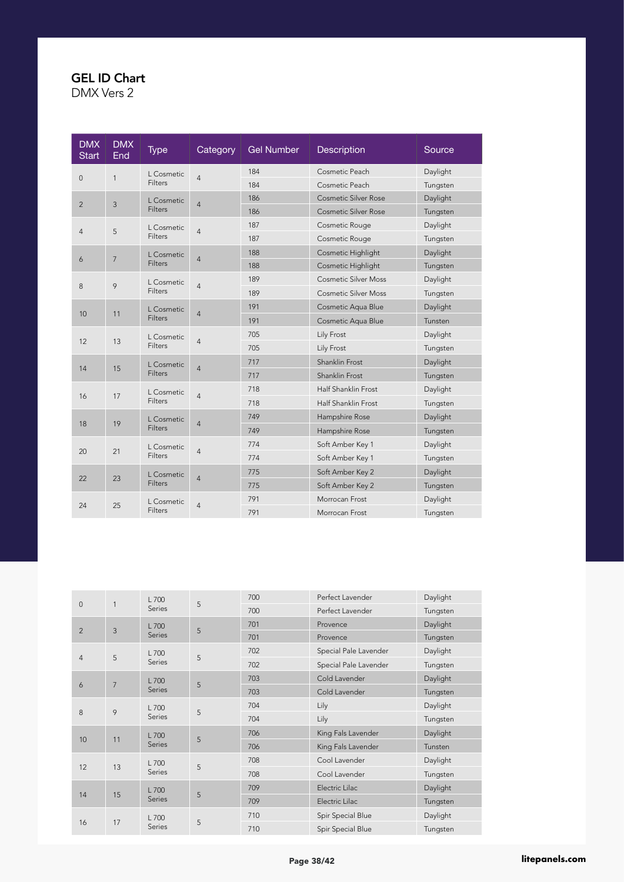| <b>DMX</b><br><b>Start</b> | <b>DMX</b><br>End | <b>Type</b>           | Category       | <b>Gel Number</b> | <b>Description</b>          | Source              |                     |          |
|----------------------------|-------------------|-----------------------|----------------|-------------------|-----------------------------|---------------------|---------------------|----------|
| $\mathsf{O}\xspace$        | $\mathbf{1}$      | L Cosmetic            | $\overline{4}$ | 184               | Cosmetic Peach              | Daylight            |                     |          |
|                            |                   | <b>Filters</b>        |                | 184               | Cosmetic Peach              | Tungsten            |                     |          |
| $\overline{2}$             | $\mathbf{3}$      | L Cosmetic            | $\overline{4}$ | 186               | <b>Cosmetic Silver Rose</b> | Daylight            |                     |          |
|                            |                   | <b>Filters</b>        |                | 186               | <b>Cosmetic Silver Rose</b> | Tungsten            |                     |          |
| $\overline{4}$             | 5                 | L Cosmetic            | $\overline{4}$ | 187               | Cosmetic Rouge              | Daylight            |                     |          |
|                            |                   | Filters               |                | 187               | Cosmetic Rouge              | Tungsten            |                     |          |
| 6                          | $\overline{7}$    | L Cosmetic            | $\overline{4}$ | 188               | <b>Cosmetic Highlight</b>   | Daylight            |                     |          |
|                            |                   | <b>Filters</b>        |                | 188               | Cosmetic Highlight          | Tungsten            |                     |          |
| 8                          | 9                 | L Cosmetic            | $\overline{4}$ | 189               | <b>Cosmetic Silver Moss</b> | Daylight            |                     |          |
|                            |                   | <b>Filters</b>        |                | 189               | <b>Cosmetic Silver Moss</b> | Tungsten            |                     |          |
|                            |                   | L Cosmetic            |                |                   |                             | 191                 | Cosmetic Aqua Blue  | Daylight |
| 10                         | 11                | Filters               | 4              | 191               | Cosmetic Aqua Blue          | Tunsten             |                     |          |
|                            |                   | L Cosmetic            | 4              | 705               | Lily Frost                  | Daylight            |                     |          |
| 12                         | 13                | <b>Filters</b>        |                | 705               | Lily Frost                  | Tungsten            |                     |          |
|                            |                   | L Cosmetic            | $\overline{4}$ | 717               | Shanklin Frost              | Daylight            |                     |          |
| 14                         | 15                | <b>Filters</b>        |                | 717               | Shanklin Frost              | Tungsten            |                     |          |
|                            | 17                | L Cosmetic<br>Filters |                |                   |                             | 718                 | Half Shanklin Frost | Daylight |
| 16                         |                   |                       |                | 4                 | 718                         | Half Shanklin Frost | Tungsten            |          |
|                            |                   | L Cosmetic            |                | 749               | Hampshire Rose              | Daylight            |                     |          |
| 18                         | 19                | <b>Filters</b>        | $\overline{4}$ | 749               | Hampshire Rose              | Tungsten            |                     |          |
|                            |                   | L Cosmetic            |                | 774               | Soft Amber Key 1            | Daylight            |                     |          |
| 20                         | 21                | <b>Filters</b>        | 4              | 774               | Soft Amber Key 1            | Tungsten            |                     |          |
|                            |                   | L Cosmetic            |                | 775               | Soft Amber Key 2            | Daylight            |                     |          |
| 22                         | 23                | Filters               | $\overline{4}$ | 775               | Soft Amber Key 2            | Tungsten            |                     |          |
|                            |                   | L Cosmetic            |                | 791               | Morrocan Frost              | Daylight            |                     |          |
| 24                         | 25                | Filters               | 4              | 791               | Morrocan Frost              | Tungsten            |                     |          |

| $\mathbf{0}$    | 1              | $L$ 700         | 5 | 700 | Perfect Lavender      | Daylight |
|-----------------|----------------|-----------------|---|-----|-----------------------|----------|
|                 |                | Series          |   | 700 | Perfect Lavender      | Tungsten |
| $\overline{2}$  | $\mathbf{3}$   | $L$ 700         | 5 | 701 | Provence              | Daylight |
|                 |                | Series          |   | 701 | Provence              | Tungsten |
| $\overline{4}$  | 5              | L 700           | 5 | 702 | Special Pale Lavender | Daylight |
|                 |                | Series          |   | 702 | Special Pale Lavender | Tungsten |
|                 | $\overline{7}$ | L 700           | 5 | 703 | Cold Lavender         | Daylight |
| 6               |                | Series          |   | 703 | Cold Lavender         | Tungsten |
|                 | 9              | L 700<br>Series | 5 | 704 | Lily                  | Daylight |
| 8               |                |                 |   | 704 | Lily                  | Tungsten |
|                 |                | L 700<br>Series | 5 | 706 | King Fals Lavender    | Daylight |
| 10 <sup>°</sup> | 11             |                 |   | 706 | King Fals Lavender    | Tunsten  |
|                 |                | $L$ 700         |   | 708 | Cool Lavender         | Daylight |
| 12              | 13             | <b>Series</b>   | 5 | 708 | Cool Lavender         | Tungsten |
|                 |                | $L$ 700         |   | 709 | Electric Lilac        | Daylight |
| 14              | 15             | Series          | 5 | 709 | Electric Lilac        | Tungsten |
|                 |                | $L$ 700         |   | 710 | Spir Special Blue     | Daylight |
| 16              |                | 17<br>Series    | 5 | 710 | Spir Special Blue     | Tungsten |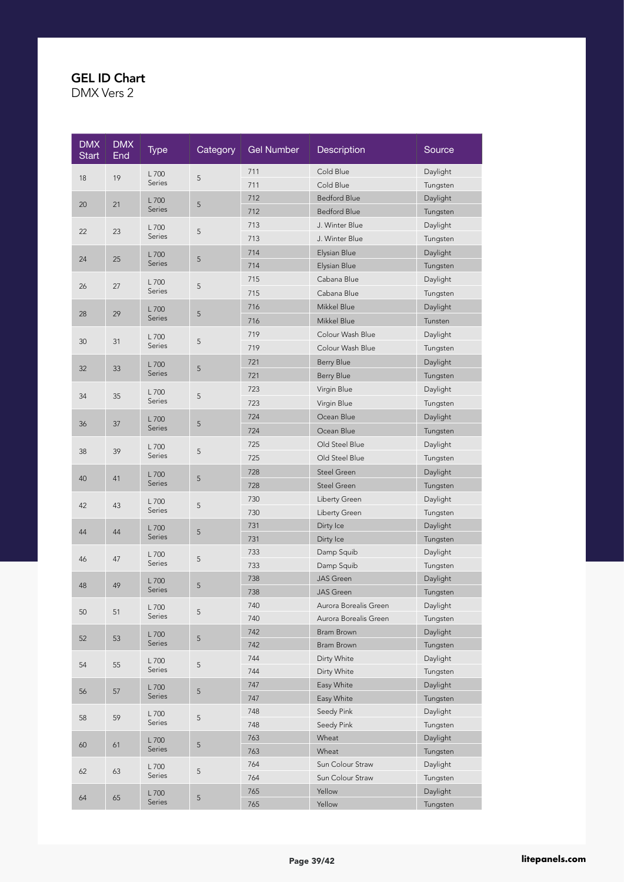| <b>DMX</b><br><b>Start</b> | <b>DMX</b><br>End | Type          | Category    | <b>Gel Number</b> | Description           | Source   |
|----------------------------|-------------------|---------------|-------------|-------------------|-----------------------|----------|
|                            |                   | L 700         |             | 711               | Cold Blue             | Daylight |
| 18                         | 19                | Series        | 5           | 711               | Cold Blue             | Tungsten |
|                            |                   | L 700         |             | 712               | <b>Bedford Blue</b>   | Daylight |
| 20                         | 21                | <b>Series</b> | 5           | 712               | <b>Bedford Blue</b>   | Tungsten |
|                            |                   | L 700         |             | 713               | J. Winter Blue        | Daylight |
| 22                         | 23                | Series        | 5           | 713               | J. Winter Blue        | Tungsten |
|                            |                   | L 700         |             | 714               | Elysian Blue          | Daylight |
| 24                         | 25                | Series        | 5           | 714               | Elysian Blue          | Tungsten |
|                            |                   | L 700         |             | 715               | Cabana Blue           | Daylight |
| 26                         | 27                | Series        | 5           | 715               | Cabana Blue           | Tungsten |
|                            |                   | L 700         |             | 716               | Mikkel Blue           | Daylight |
| 28                         | 29                | Series        | 5           | 716               | Mikkel Blue           | Tunsten  |
|                            |                   | L 700         |             | 719               | Colour Wash Blue      | Daylight |
| 30                         | 31                | Series        | 5           | 719               | Colour Wash Blue      | Tungsten |
|                            |                   | L 700         |             | 721               | <b>Berry Blue</b>     | Daylight |
| 32                         | 33                | <b>Series</b> | 5           | 721               | <b>Berry Blue</b>     | Tungsten |
|                            |                   | L700          |             | 723               | Virgin Blue           | Daylight |
| 34                         | 35                | Series        | 5           | 723               | Virgin Blue           | Tungsten |
|                            |                   | L700          |             | 724               | Ocean Blue            | Daylight |
| 36                         | 37                | <b>Series</b> | 5           | 724               | Ocean Blue            | Tungsten |
|                            |                   | L700          |             | 725               | Old Steel Blue        | Daylight |
| 38                         | 39                | Series        | $\sqrt{5}$  | 725               | Old Steel Blue        | Tungsten |
|                            |                   | L700          |             | 728               | Steel Green           | Daylight |
| 40                         | 41                | <b>Series</b> | 5           | 728               | Steel Green           | Tungsten |
|                            |                   | L 700         |             | 730               | Liberty Green         | Daylight |
| 42                         | 43                | Series        | 5           | 730               | Liberty Green         | Tungsten |
|                            |                   | L 700         |             | 731               | Dirty Ice             | Daylight |
| 44                         | 44                | Series        | 5           | 731               | Dirty Ice             | Tungsten |
|                            |                   | L 700         |             | 733               | Damp Squib            | Daylight |
| 46                         | 47                | Series        | 5           | 733               | Damp Squib            | Tungsten |
|                            |                   | L700          |             | 738               | <b>JAS</b> Green      | Daylight |
| 48                         | 49                | Series        | 5           | 738               | <b>JAS</b> Green      | Tungsten |
|                            |                   | L 700         |             | 740               | Aurora Borealis Green | Daylight |
| 50                         | 51                | Series        | 5           | 740               | Aurora Borealis Green | Tungsten |
|                            |                   | L 700         |             | 742               | Bram Brown            | Daylight |
| 52                         | 53                | Series        | $\mathsf S$ | 742               | Bram Brown            | Tungsten |
| 54                         | 55                | L 700         | $\mathsf S$ | 744               | Dirty White           | Daylight |
|                            |                   | Series        |             | 744               | Dirty White           | Tungsten |
| 56                         | 57                | L 700         | 5           | 747               | Easy White            | Daylight |
|                            |                   | Series        |             | 747               | Easy White            | Tungsten |
| 58                         | 59                | L 700         | $\mathsf S$ | 748               | Seedy Pink            | Daylight |
|                            |                   | Series        |             | 748               | Seedy Pink            | Tungsten |
| 60                         | 61                | L 700         | 5           | 763               | Wheat                 | Daylight |
|                            |                   | Series        |             | 763               | Wheat                 | Tungsten |
| 62                         | 63                | L 700         | 5           | 764               | Sun Colour Straw      | Daylight |
|                            |                   | Series        |             | 764               | Sun Colour Straw      | Tungsten |
| 64                         | 65                | L 700         | $\mathsf S$ | 765               | Yellow                | Daylight |
|                            |                   | Series        |             | 765               | Yellow                | Tungsten |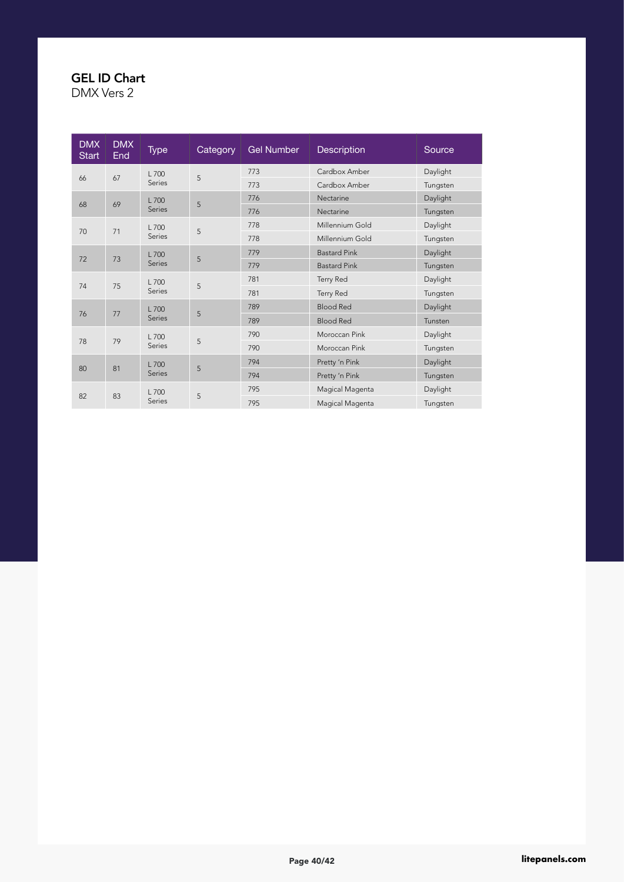| <b>DMX</b><br><b>Start</b> | <b>DMX</b><br><b>End</b> | Type          | Category | <b>Gel Number</b> | <b>Description</b>  | Source           |          |  |  |     |                     |          |
|----------------------------|--------------------------|---------------|----------|-------------------|---------------------|------------------|----------|--|--|-----|---------------------|----------|
|                            | 67                       | L 700         | 5        | 773               | Cardbox Amber       | Daylight         |          |  |  |     |                     |          |
| 66                         |                          | Series        |          | 773               | Cardbox Amber       | Tungsten         |          |  |  |     |                     |          |
|                            |                          | L 700         |          | 776               | Nectarine           | Daylight         |          |  |  |     |                     |          |
| 68                         | 69                       | Series        | 5        | 776               | Nectarine           | Tungsten         |          |  |  |     |                     |          |
|                            |                          | L 700         |          | 778               | Millennium Gold     | Daylight         |          |  |  |     |                     |          |
| 70                         | 71                       | Series        | 5        | 778               | Millennium Gold     | Tungsten         |          |  |  |     |                     |          |
|                            |                          |               |          | L 700             |                     |                  |          |  |  | 779 | <b>Bastard Pink</b> | Daylight |
| 72                         | 73                       | Series        | 5        | 779               | <b>Bastard Pink</b> | Tungsten         |          |  |  |     |                     |          |
|                            |                          | L 700         |          |                   | 781                 | <b>Terry Red</b> | Daylight |  |  |     |                     |          |
| 74                         | 75                       | Series        | 5        | 781               | Terry Red           | Tungsten         |          |  |  |     |                     |          |
|                            |                          | L 700         |          | 789               | <b>Blood Red</b>    | Daylight         |          |  |  |     |                     |          |
| 76                         | 77                       | <b>Series</b> | 5        | 789               | <b>Blood Red</b>    | Tunsten          |          |  |  |     |                     |          |
|                            |                          | L 700         |          | 790               | Moroccan Pink       | Daylight         |          |  |  |     |                     |          |
| 78                         | 79                       | <b>Series</b> | 5        | 790               | Moroccan Pink       | Tungsten         |          |  |  |     |                     |          |
|                            |                          | L 700         |          | 794               | Pretty 'n Pink      | Daylight         |          |  |  |     |                     |          |
| 80                         | 81                       | <b>Series</b> | 5        | 794               | Pretty 'n Pink      | Tungsten         |          |  |  |     |                     |          |
|                            |                          | L700          |          | 795               | Magical Magenta     | Daylight         |          |  |  |     |                     |          |
| 82                         | 83                       | Series        | 5        | 795               | Magical Magenta     | Tungsten         |          |  |  |     |                     |          |